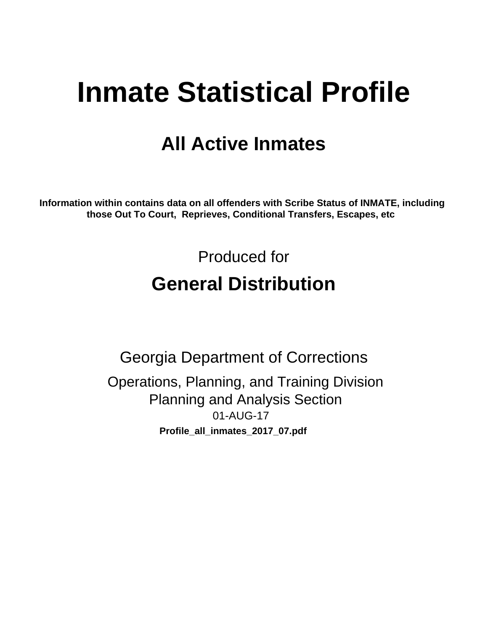# **Inmate Statistical Profile**

# **All Active Inmates**

Information within contains data on all offenders with Scribe Status of INMATE, including those Out To Court, Reprieves, Conditional Transfers, Escapes, etc

> Produced for **General Distribution**

**Georgia Department of Corrections** Operations, Planning, and Training Division **Planning and Analysis Section** 01-AUG-17 Profile\_all\_inmates\_2017\_07.pdf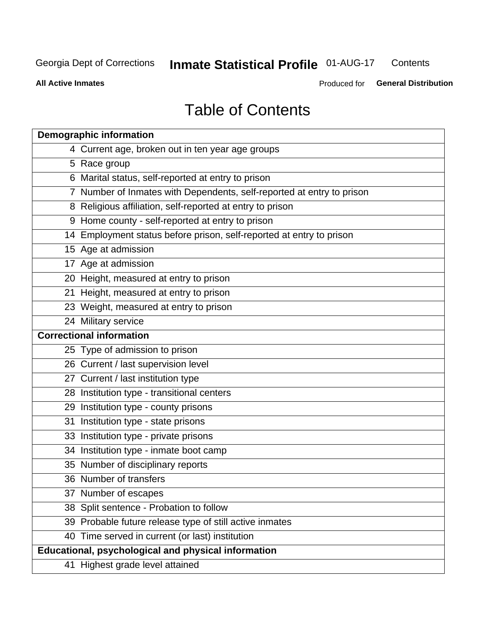#### **Inmate Statistical Profile 01-AUG-17** Contents

**All Active Inmates** 

Produced for General Distribution

# **Table of Contents**

| <b>Demographic information</b>                                        |
|-----------------------------------------------------------------------|
| 4 Current age, broken out in ten year age groups                      |
| 5 Race group                                                          |
| 6 Marital status, self-reported at entry to prison                    |
| 7 Number of Inmates with Dependents, self-reported at entry to prison |
| 8 Religious affiliation, self-reported at entry to prison             |
| 9 Home county - self-reported at entry to prison                      |
| 14 Employment status before prison, self-reported at entry to prison  |
| 15 Age at admission                                                   |
| 17 Age at admission                                                   |
| 20 Height, measured at entry to prison                                |
| 21 Height, measured at entry to prison                                |
| 23 Weight, measured at entry to prison                                |
| 24 Military service                                                   |
| <b>Correctional information</b>                                       |
| 25 Type of admission to prison                                        |
| 26 Current / last supervision level                                   |
| 27 Current / last institution type                                    |
| 28 Institution type - transitional centers                            |
| 29 Institution type - county prisons                                  |
| 31 Institution type - state prisons                                   |
| 33 Institution type - private prisons                                 |
| 34 Institution type - inmate boot camp                                |
| 35 Number of disciplinary reports                                     |
| 36 Number of transfers                                                |
| 37 Number of escapes                                                  |
| 38 Split sentence - Probation to follow                               |
| 39 Probable future release type of still active inmates               |
| 40 Time served in current (or last) institution                       |
| Educational, psychological and physical information                   |
| 41 Highest grade level attained                                       |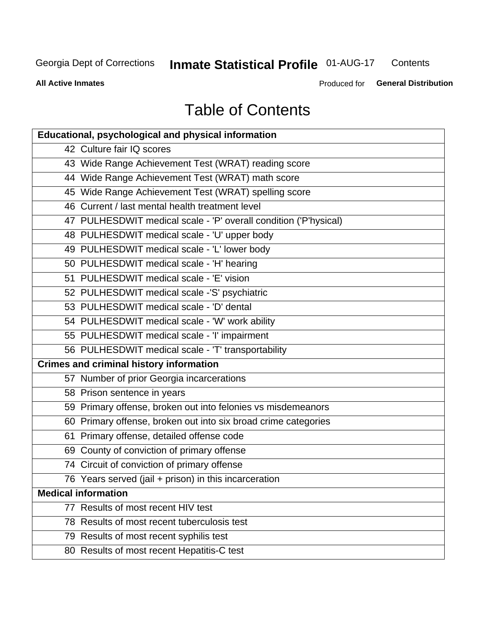# **Inmate Statistical Profile 01-AUG-17**

Contents

**All Active Inmates** 

Produced for General Distribution

# **Table of Contents**

| <b>Educational, psychological and physical information</b>       |
|------------------------------------------------------------------|
| 42 Culture fair IQ scores                                        |
| 43 Wide Range Achievement Test (WRAT) reading score              |
| 44 Wide Range Achievement Test (WRAT) math score                 |
| 45 Wide Range Achievement Test (WRAT) spelling score             |
| 46 Current / last mental health treatment level                  |
| 47 PULHESDWIT medical scale - 'P' overall condition ('P'hysical) |
| 48 PULHESDWIT medical scale - 'U' upper body                     |
| 49 PULHESDWIT medical scale - 'L' lower body                     |
| 50 PULHESDWIT medical scale - 'H' hearing                        |
| 51 PULHESDWIT medical scale - 'E' vision                         |
| 52 PULHESDWIT medical scale -'S' psychiatric                     |
| 53 PULHESDWIT medical scale - 'D' dental                         |
| 54 PULHESDWIT medical scale - 'W' work ability                   |
| 55 PULHESDWIT medical scale - 'I' impairment                     |
| 56 PULHESDWIT medical scale - 'T' transportability               |
| <b>Crimes and criminal history information</b>                   |
| 57 Number of prior Georgia incarcerations                        |
| 58 Prison sentence in years                                      |
| 59 Primary offense, broken out into felonies vs misdemeanors     |
| 60 Primary offense, broken out into six broad crime categories   |
| 61 Primary offense, detailed offense code                        |
| 69 County of conviction of primary offense                       |
| 74 Circuit of conviction of primary offense                      |
| 76 Years served (jail + prison) in this incarceration            |
| <b>Medical information</b>                                       |
| 77 Results of most recent HIV test                               |
| 78 Results of most recent tuberculosis test                      |
| 79 Results of most recent syphilis test                          |
| 80 Results of most recent Hepatitis-C test                       |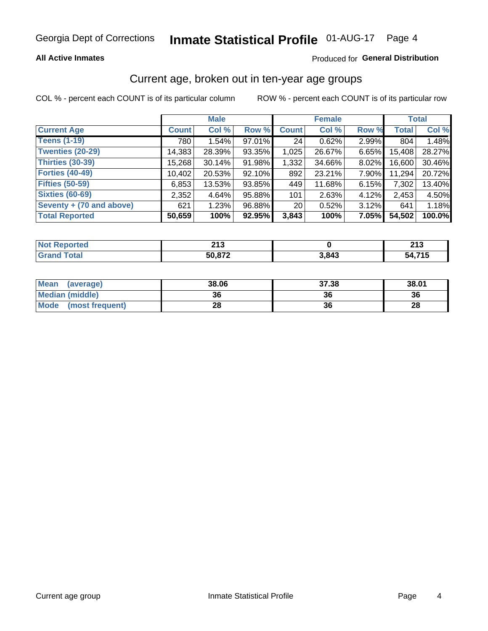#### **All Active Inmates**

### Produced for General Distribution

### Current age, broken out in ten-year age groups

COL % - percent each COUNT is of its particular column

|                          | <b>Male</b>  |        |        | <b>Female</b>   |        |          | <b>Total</b> |        |
|--------------------------|--------------|--------|--------|-----------------|--------|----------|--------------|--------|
| <b>Current Age</b>       | <b>Count</b> | Col %  | Row %  | <b>Count</b>    | Col %  | Row %    | <b>Total</b> | Col %  |
| <b>Teens (1-19)</b>      | 780          | 1.54%  | 97.01% | 24              | 0.62%  | 2.99%    | 804          | 1.48%  |
| <b>Twenties (20-29)</b>  | 14,383       | 28.39% | 93.35% | 1,025           | 26.67% | 6.65%    | 15,408       | 28.27% |
| Thirties (30-39)         | 15,268       | 30.14% | 91.98% | 1,332           | 34.66% | 8.02%    | 16,600       | 30.46% |
| <b>Forties (40-49)</b>   | 10,402       | 20.53% | 92.10% | 892             | 23.21% | 7.90%    | 11,294       | 20.72% |
| <b>Fifties (50-59)</b>   | 6,853        | 13.53% | 93.85% | 449             | 11.68% | 6.15%    | 7,302        | 13.40% |
| <b>Sixties (60-69)</b>   | 2,352        | 4.64%  | 95.88% | 101             | 2.63%  | 4.12%    | 2.453        | 4.50%  |
| Seventy + (70 and above) | 621          | 1.23%  | 96.88% | 20 <sub>1</sub> | 0.52%  | $3.12\%$ | 641          | 1.18%  |
| <b>Total Reported</b>    | 50,659       | 100%   | 92.95% | 3,843           | 100%   | $7.05\%$ | 54,502       | 100.0% |

| <b>Not Repo</b> | 242    |       | 242           |
|-----------------|--------|-------|---------------|
| <b>Exported</b> | 4 I V  |       | 4 I J         |
| Total           | 50.872 | 3,843 | 4. 74 F<br>54 |

| <b>Mean</b><br>(average) | 38.06 | 37.38 | 38.01 |
|--------------------------|-------|-------|-------|
| Median (middle)          | 36    | 36    | 36    |
| Mode<br>(most frequent)  | 28    | 36    | 28    |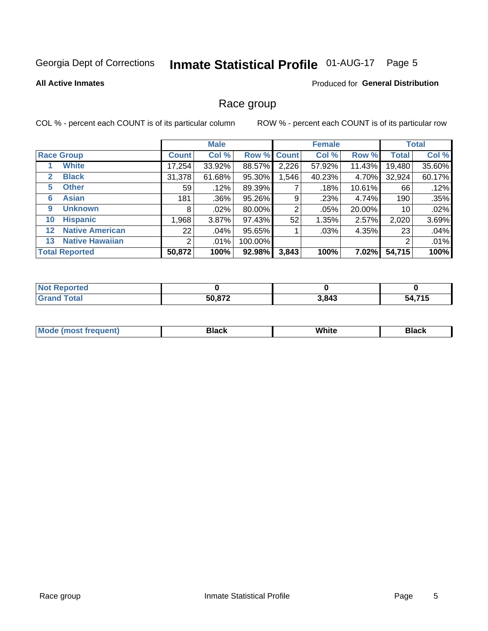# Inmate Statistical Profile 01-AUG-17 Page 5

#### **All Active Inmates**

#### **Produced for General Distribution**

### Race group

COL % - percent each COUNT is of its particular column

|                   |                        | <b>Male</b>     |          |         | <b>Female</b> |        |           | <b>Total</b> |        |
|-------------------|------------------------|-----------------|----------|---------|---------------|--------|-----------|--------------|--------|
|                   | <b>Race Group</b>      | <b>Count</b>    | Col %    |         | Row % Count   | Col %  | Row %     | <b>Total</b> | Col %  |
|                   | <b>White</b>           | 17,254          | 33.92%   | 88.57%  | 2,226         | 57.92% | 11.43%    | 19,480       | 35.60% |
| 2                 | <b>Black</b>           | 31,378          | 61.68%   | 95.30%  | .546          | 40.23% | 4.70%     | 32,924       | 60.17% |
| 5                 | <b>Other</b>           | 59 <sub>1</sub> | .12%     | 89.39%  |               | .18%   | $10.61\%$ | 66           | .12%   |
| 6                 | <b>Asian</b>           | 181             | .36%     | 95.26%  | 9             | .23%   | 4.74%     | 190          | .35%   |
| 9                 | <b>Unknown</b>         | 8               | $.02\%$  | 80.00%  | 2             | .05%   | 20.00%    | 10           | .02%   |
| 10                | <b>Hispanic</b>        | .968            | $3.87\%$ | 97.43%  | 52            | 1.35%  | 2.57%     | 2,020        | 3.69%  |
| $12 \overline{ }$ | <b>Native American</b> | 22              | .04%     | 95.65%  |               | .03%   | 4.35%     | 23           | .04%   |
| 13                | <b>Native Hawaiian</b> | 2               | $.01\%$  | 100.00% |               |        |           | 2            | .01%   |
|                   | <b>Total Reported</b>  | 50,872          | 100%     | 92.98%  | 3,843         | 100%   | 7.02%     | 54,715       | 100%   |

| <b>Not Reported</b> |        |       |        |
|---------------------|--------|-------|--------|
| <b>Grand Total</b>  | 50,872 | 3,843 | 54,715 |

| <b>Mode</b><br>---<br>most frequent) | Black | White | <b>Black</b> |
|--------------------------------------|-------|-------|--------------|
|                                      |       |       |              |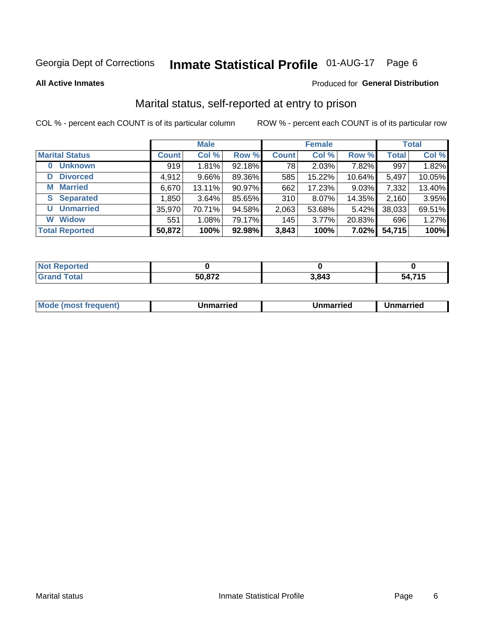# Inmate Statistical Profile 01-AUG-17 Page 6

**All Active Inmates** 

### Produced for General Distribution

### Marital status, self-reported at entry to prison

COL % - percent each COUNT is of its particular column

|                            | <b>Male</b>  |        |        |              | <b>Female</b> | <b>Total</b> |              |        |
|----------------------------|--------------|--------|--------|--------------|---------------|--------------|--------------|--------|
| <b>Marital Status</b>      | <b>Count</b> | Col %  | Row %  | <b>Count</b> | Col %         | Row %        | <b>Total</b> | Col %  |
| <b>Unknown</b><br>$\bf{0}$ | 919          | 1.81%  | 92.18% | 78           | 2.03%         | 7.82%        | 997          | 1.82%  |
| <b>Divorced</b><br>D       | 4,912        | 9.66%  | 89.36% | 585          | 15.22%        | $10.64\%$    | 5,497        | 10.05% |
| <b>Married</b><br>М        | 6,670        | 13.11% | 90.97% | 662          | 17.23%        | 9.03%        | 7,332        | 13.40% |
| <b>Separated</b><br>S.     | 1,850        | 3.64%  | 85.65% | 310          | 8.07%         | 14.35%       | 2,160        | 3.95%  |
| <b>Unmarried</b><br>U      | 35,970       | 70.71% | 94.58% | 2,063        | 53.68%        | 5.42%        | 38,033       | 69.51% |
| <b>Widow</b><br>W          | 551          | 1.08%  | 79.17% | 145          | 3.77%         | 20.83%       | 696          | 1.27%  |
| <b>Total Reported</b>      | 50,872       | 100%   | 92.98% | 3,843        | 100%          | 7.02%        | 54,715       | 100%   |

| <b>Not Repo</b><br>morted ∴ |        |       |            |
|-----------------------------|--------|-------|------------|
| <b>Total</b>                | 50 R72 | 3,843 | 74E<br>. . |

| <b>Mode (most frequent)</b><br>Unmarried<br>Unmarried<br>Jnmarried |
|--------------------------------------------------------------------|
|--------------------------------------------------------------------|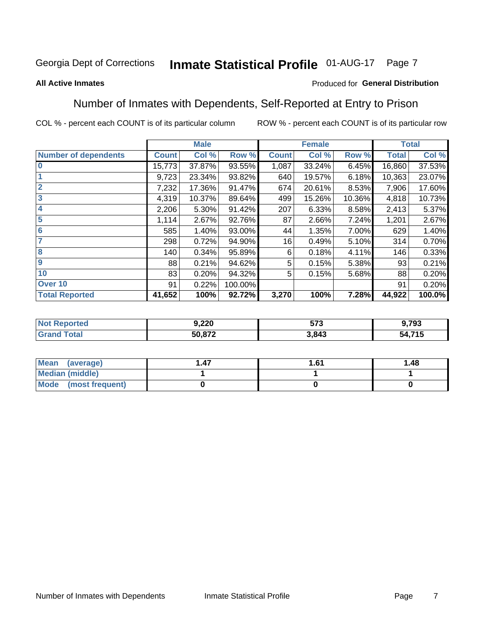#### **Inmate Statistical Profile 01-AUG-17** Page 7

#### **All Active Inmates**

#### Produced for General Distribution

### Number of Inmates with Dependents, Self-Reported at Entry to Prison

COL % - percent each COUNT is of its particular column

|                             |              | <b>Male</b> |         |              | <b>Female</b> |        |              | <b>Total</b> |
|-----------------------------|--------------|-------------|---------|--------------|---------------|--------|--------------|--------------|
| <b>Number of dependents</b> | <b>Count</b> | Col %       | Row %   | <b>Count</b> | Col %         | Row %  | <b>Total</b> | Col %        |
| l 0                         | 15,773       | 37.87%      | 93.55%  | 1,087        | 33.24%        | 6.45%  | 16,860       | 37.53%       |
|                             | 9,723        | 23.34%      | 93.82%  | 640          | 19.57%        | 6.18%  | 10,363       | 23.07%       |
| $\overline{2}$              | 7,232        | 17.36%      | 91.47%  | 674          | 20.61%        | 8.53%  | 7,906        | 17.60%       |
| $\overline{\mathbf{3}}$     | 4,319        | 10.37%      | 89.64%  | 499          | 15.26%        | 10.36% | 4,818        | 10.73%       |
| 4                           | 2,206        | 5.30%       | 91.42%  | 207          | 6.33%         | 8.58%  | 2,413        | 5.37%        |
| 5                           | 1,114        | 2.67%       | 92.76%  | 87           | 2.66%         | 7.24%  | 1,201        | 2.67%        |
| 6                           | 585          | 1.40%       | 93.00%  | 44           | 1.35%         | 7.00%  | 629          | 1.40%        |
| 7                           | 298          | 0.72%       | 94.90%  | 16           | 0.49%         | 5.10%  | 314          | 0.70%        |
| 8                           | 140          | 0.34%       | 95.89%  | 6            | 0.18%         | 4.11%  | 146          | 0.33%        |
| 9                           | 88           | 0.21%       | 94.62%  | 5            | 0.15%         | 5.38%  | 93           | 0.21%        |
| 10                          | 83           | 0.20%       | 94.32%  | 5            | 0.15%         | 5.68%  | 88           | 0.20%        |
| Over 10                     | 91           | 0.22%       | 100.00% |              |               |        | 91           | 0.20%        |
| <b>Total Reported</b>       | 41,652       | 100%        | 92.72%  | 3,270        | 100%          | 7.28%  | 44,922       | 100.0%       |

| 9,220  | ドフク<br>ว / ง | .793   |
|--------|--------------|--------|
| 50.872 | 3,843        | 54,715 |

| Mean (average)       | 1.61 | 1.48 |
|----------------------|------|------|
| Median (middle)      |      |      |
| Mode (most frequent) |      |      |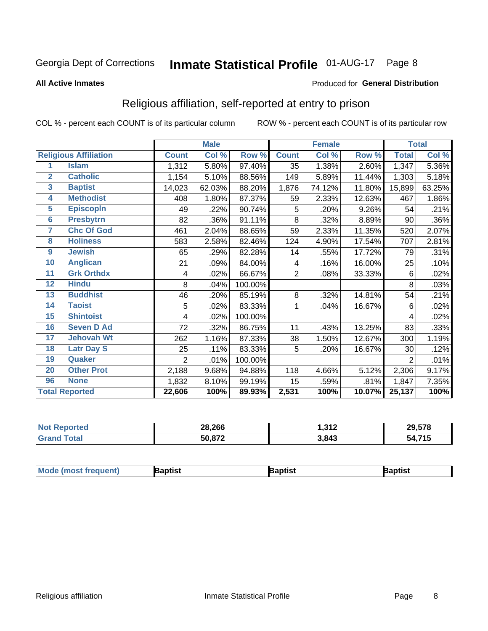#### **Inmate Statistical Profile 01-AUG-17** Page 8

#### **All Active Inmates**

#### Produced for General Distribution

### Religious affiliation, self-reported at entry to prison

COL % - percent each COUNT is of its particular column

|                  |                              |                | <b>Male</b> |         |                | <b>Female</b> |        |                | <b>Total</b> |
|------------------|------------------------------|----------------|-------------|---------|----------------|---------------|--------|----------------|--------------|
|                  | <b>Religious Affiliation</b> | <b>Count</b>   | Col %       | Row %   | <b>Count</b>   | Col %         | Row %  | <b>Total</b>   | Col %        |
| 1                | <b>Islam</b>                 | 1,312          | 5.80%       | 97.40%  | 35             | 1.38%         | 2.60%  | 1,347          | 5.36%        |
| $\mathbf{2}$     | <b>Catholic</b>              | 1,154          | 5.10%       | 88.56%  | 149            | 5.89%         | 11.44% | 1,303          | 5.18%        |
| 3                | <b>Baptist</b>               | 14,023         | 62.03%      | 88.20%  | 1,876          | 74.12%        | 11.80% | 15,899         | 63.25%       |
| 4                | <b>Methodist</b>             | 408            | 1.80%       | 87.37%  | 59             | 2.33%         | 12.63% | 467            | 1.86%        |
| $\overline{5}$   | <b>EpiscopIn</b>             | 49             | .22%        | 90.74%  | 5              | .20%          | 9.26%  | 54             | .21%         |
| $6\phantom{1}6$  | <b>Presbytrn</b>             | 82             | .36%        | 91.11%  | 8              | .32%          | 8.89%  | 90             | .36%         |
| 7                | <b>Chc Of God</b>            | 461            | 2.04%       | 88.65%  | 59             | 2.33%         | 11.35% | 520            | 2.07%        |
| 8                | <b>Holiness</b>              | 583            | 2.58%       | 82.46%  | 124            | 4.90%         | 17.54% | 707            | 2.81%        |
| $\boldsymbol{9}$ | <b>Jewish</b>                | 65             | .29%        | 82.28%  | 14             | .55%          | 17.72% | 79             | .31%         |
| 10               | <b>Anglican</b>              | 21             | .09%        | 84.00%  | 4              | .16%          | 16.00% | 25             | .10%         |
| 11               | <b>Grk Orthdx</b>            | 4              | .02%        | 66.67%  | $\overline{2}$ | .08%          | 33.33% | 6              | .02%         |
| 12               | <b>Hindu</b>                 | 8              | .04%        | 100.00% |                |               |        | 8              | .03%         |
| 13               | <b>Buddhist</b>              | 46             | .20%        | 85.19%  | 8              | .32%          | 14.81% | 54             | .21%         |
| 14               | <b>Taoist</b>                | 5              | .02%        | 83.33%  | 1              | .04%          | 16.67% | 6              | .02%         |
| 15               | <b>Shintoist</b>             | 4              | .02%        | 100.00% |                |               |        | 4              | .02%         |
| 16               | <b>Seven D Ad</b>            | 72             | .32%        | 86.75%  | 11             | .43%          | 13.25% | 83             | .33%         |
| 17               | <b>Jehovah Wt</b>            | 262            | 1.16%       | 87.33%  | 38             | 1.50%         | 12.67% | 300            | 1.19%        |
| 18               | <b>Latr Day S</b>            | 25             | .11%        | 83.33%  | 5              | .20%          | 16.67% | 30             | .12%         |
| 19               | Quaker                       | $\overline{2}$ | .01%        | 100.00% |                |               |        | $\overline{2}$ | .01%         |
| 20               | <b>Other Prot</b>            | 2,188          | 9.68%       | 94.88%  | 118            | 4.66%         | 5.12%  | 2,306          | 9.17%        |
| 96               | <b>None</b>                  | 1,832          | 8.10%       | 99.19%  | 15             | .59%          | .81%   | 1,847          | 7.35%        |
|                  | <b>Total Reported</b>        | 22,606         | 100%        | 89.93%  | 2,531          | 100%          | 10.07% | 25,137         | 100%         |

| <b>Reported</b><br>N0 | 28,266 | 242<br>או טו | 29,578 |
|-----------------------|--------|--------------|--------|
| <b>otal</b>           | 50,872 | 3,843        | 54,715 |

|  | <b>Mod</b><br>de (most frequent) | aptist | <b>laptist</b> | 3aptist |
|--|----------------------------------|--------|----------------|---------|
|--|----------------------------------|--------|----------------|---------|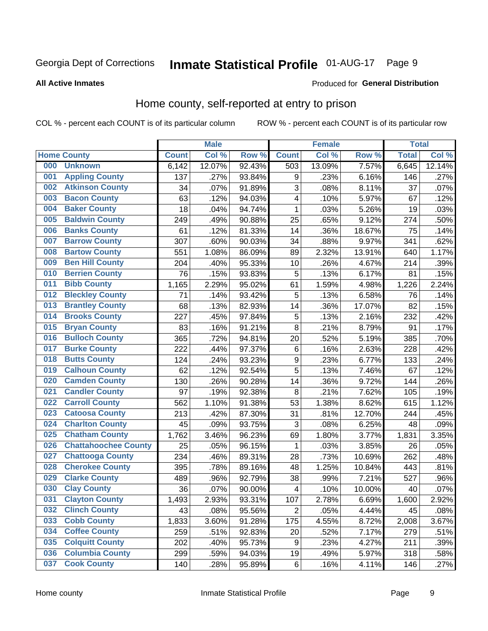# Inmate Statistical Profile 01-AUG-17 Page 9

#### **All Active Inmates**

### Produced for General Distribution

### Home county, self-reported at entry to prison

COL % - percent each COUNT is of its particular column

|     |                             |              | <b>Male</b> |                  |                         | <b>Female</b> |        | <b>Total</b> |        |
|-----|-----------------------------|--------------|-------------|------------------|-------------------------|---------------|--------|--------------|--------|
|     | <b>Home County</b>          | <b>Count</b> | Col %       | Row <sup>%</sup> | <b>Count</b>            | Col %         | Row %  | <b>Total</b> | Col %  |
| 000 | <b>Unknown</b>              | 6,142        | 12.07%      | 92.43%           | 503                     | 13.09%        | 7.57%  | 6,645        | 12.14% |
| 001 | <b>Appling County</b>       | 137          | .27%        | 93.84%           | 9                       | .23%          | 6.16%  | 146          | .27%   |
| 002 | <b>Atkinson County</b>      | 34           | .07%        | 91.89%           | 3                       | .08%          | 8.11%  | 37           | .07%   |
| 003 | <b>Bacon County</b>         | 63           | .12%        | 94.03%           | 4                       | .10%          | 5.97%  | 67           | .12%   |
| 004 | <b>Baker County</b>         | 18           | .04%        | 94.74%           | $\mathbf{1}$            | .03%          | 5.26%  | 19           | .03%   |
| 005 | <b>Baldwin County</b>       | 249          | .49%        | 90.88%           | 25                      | .65%          | 9.12%  | 274          | .50%   |
| 006 | <b>Banks County</b>         | 61           | .12%        | 81.33%           | 14                      | .36%          | 18.67% | 75           | .14%   |
| 007 | <b>Barrow County</b>        | 307          | .60%        | 90.03%           | 34                      | .88%          | 9.97%  | 341          | .62%   |
| 008 | <b>Bartow County</b>        | 551          | 1.08%       | 86.09%           | 89                      | 2.32%         | 13.91% | 640          | 1.17%  |
| 009 | <b>Ben Hill County</b>      | 204          | .40%        | 95.33%           | 10                      | .26%          | 4.67%  | 214          | .39%   |
| 010 | <b>Berrien County</b>       | 76           | .15%        | 93.83%           | 5                       | .13%          | 6.17%  | 81           | .15%   |
| 011 | <b>Bibb County</b>          | 1,165        | 2.29%       | 95.02%           | 61                      | 1.59%         | 4.98%  | 1,226        | 2.24%  |
| 012 | <b>Bleckley County</b>      | 71           | .14%        | 93.42%           | 5                       | .13%          | 6.58%  | 76           | .14%   |
| 013 | <b>Brantley County</b>      | 68           | .13%        | 82.93%           | 14                      | .36%          | 17.07% | 82           | .15%   |
| 014 | <b>Brooks County</b>        | 227          | .45%        | 97.84%           | 5                       | .13%          | 2.16%  | 232          | .42%   |
| 015 | <b>Bryan County</b>         | 83           | .16%        | 91.21%           | 8                       | .21%          | 8.79%  | 91           | .17%   |
| 016 | <b>Bulloch County</b>       | 365          | .72%        | 94.81%           | 20                      | .52%          | 5.19%  | 385          | .70%   |
| 017 | <b>Burke County</b>         | 222          | .44%        | 97.37%           | $\,6$                   | .16%          | 2.63%  | 228          | .42%   |
| 018 | <b>Butts County</b>         | 124          | .24%        | 93.23%           | $\boldsymbol{9}$        | .23%          | 6.77%  | 133          | .24%   |
| 019 | <b>Calhoun County</b>       | 62           | .12%        | 92.54%           | 5                       | .13%          | 7.46%  | 67           | .12%   |
| 020 | <b>Camden County</b>        | 130          | .26%        | 90.28%           | 14                      | .36%          | 9.72%  | 144          | .26%   |
| 021 | <b>Candler County</b>       | 97           | .19%        | 92.38%           | 8                       | .21%          | 7.62%  | 105          | .19%   |
| 022 | <b>Carroll County</b>       | 562          | 1.10%       | 91.38%           | 53                      | 1.38%         | 8.62%  | 615          | 1.12%  |
| 023 | <b>Catoosa County</b>       | 213          | .42%        | 87.30%           | 31                      | .81%          | 12.70% | 244          | .45%   |
| 024 | <b>Charlton County</b>      | 45           | .09%        | 93.75%           | 3                       | .08%          | 6.25%  | 48           | .09%   |
| 025 | <b>Chatham County</b>       | 1,762        | 3.46%       | 96.23%           | 69                      | 1.80%         | 3.77%  | 1,831        | 3.35%  |
| 026 | <b>Chattahoochee County</b> | 25           | .05%        | 96.15%           | 1                       | .03%          | 3.85%  | 26           | .05%   |
| 027 | <b>Chattooga County</b>     | 234          | .46%        | 89.31%           | 28                      | .73%          | 10.69% | 262          | .48%   |
| 028 | <b>Cherokee County</b>      | 395          | .78%        | 89.16%           | 48                      | 1.25%         | 10.84% | 443          | .81%   |
| 029 | <b>Clarke County</b>        | 489          | .96%        | 92.79%           | 38                      | .99%          | 7.21%  | 527          | .96%   |
| 030 | <b>Clay County</b>          | 36           | .07%        | 90.00%           | $\overline{\mathbf{4}}$ | .10%          | 10.00% | 40           | .07%   |
| 031 | <b>Clayton County</b>       | 1,493        | 2.93%       | 93.31%           | 107                     | 2.78%         | 6.69%  | 1,600        | 2.92%  |
| 032 | <b>Clinch County</b>        | 43           | .08%        | 95.56%           | $\overline{2}$          | .05%          | 4.44%  | 45           | .08%   |
| 033 | <b>Cobb County</b>          | 1,833        | 3.60%       | 91.28%           | 175                     | 4.55%         | 8.72%  | 2,008        | 3.67%  |
| 034 | <b>Coffee County</b>        | 259          | .51%        | 92.83%           | 20                      | .52%          | 7.17%  | 279          | .51%   |
| 035 | <b>Colquitt County</b>      | 202          | .40%        | 95.73%           | $\boldsymbol{9}$        | .23%          | 4.27%  | 211          | .39%   |
| 036 | <b>Columbia County</b>      | 299          | .59%        | 94.03%           | 19                      | .49%          | 5.97%  | 318          | .58%   |
| 037 | <b>Cook County</b>          | 140          | .28%        | 95.89%           | $\,6$                   | .16%          | 4.11%  | 146          | .27%   |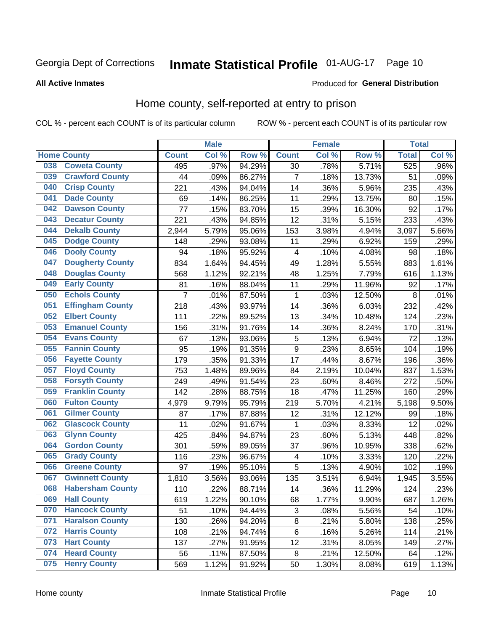# Inmate Statistical Profile 01-AUG-17 Page 10

#### **All Active Inmates**

#### Produced for General Distribution

### Home county, self-reported at entry to prison

COL % - percent each COUNT is of its particular column

|     |                         |                    | <b>Male</b> |        |                  | <b>Female</b> |        | <b>Total</b> |       |
|-----|-------------------------|--------------------|-------------|--------|------------------|---------------|--------|--------------|-------|
|     | <b>Home County</b>      | <b>Count</b>       | Col%        | Row %  | <b>Count</b>     | Col %         | Row %  | <b>Total</b> | Col % |
| 038 | <b>Coweta County</b>    | 495                | .97%        | 94.29% | 30               | .78%          | 5.71%  | 525          | .96%  |
| 039 | <b>Crawford County</b>  | 44                 | .09%        | 86.27% | $\overline{7}$   | .18%          | 13.73% | 51           | .09%  |
| 040 | <b>Crisp County</b>     | 221                | .43%        | 94.04% | 14               | .36%          | 5.96%  | 235          | .43%  |
| 041 | <b>Dade County</b>      | 69                 | .14%        | 86.25% | 11               | .29%          | 13.75% | 80           | .15%  |
| 042 | <b>Dawson County</b>    | 77                 | .15%        | 83.70% | 15               | .39%          | 16.30% | 92           | .17%  |
| 043 | <b>Decatur County</b>   | 221                | .43%        | 94.85% | 12               | .31%          | 5.15%  | 233          | .43%  |
| 044 | <b>Dekalb County</b>    | 2,944              | 5.79%       | 95.06% | 153              | 3.98%         | 4.94%  | 3,097        | 5.66% |
| 045 | <b>Dodge County</b>     | 148                | .29%        | 93.08% | 11               | .29%          | 6.92%  | 159          | .29%  |
| 046 | <b>Dooly County</b>     | 94                 | .18%        | 95.92% | 4                | .10%          | 4.08%  | 98           | .18%  |
| 047 | <b>Dougherty County</b> | 834                | 1.64%       | 94.45% | 49               | 1.28%         | 5.55%  | 883          | 1.61% |
| 048 | <b>Douglas County</b>   | 568                | 1.12%       | 92.21% | 48               | 1.25%         | 7.79%  | 616          | 1.13% |
| 049 | <b>Early County</b>     | 81                 | .16%        | 88.04% | 11               | .29%          | 11.96% | 92           | .17%  |
| 050 | <b>Echols County</b>    | 7                  | .01%        | 87.50% | 1                | .03%          | 12.50% | 8            | .01%  |
| 051 | <b>Effingham County</b> | 218                | .43%        | 93.97% | 14               | .36%          | 6.03%  | 232          | .42%  |
| 052 | <b>Elbert County</b>    | 111                | .22%        | 89.52% | 13               | .34%          | 10.48% | 124          | .23%  |
| 053 | <b>Emanuel County</b>   | 156                | .31%        | 91.76% | 14               | .36%          | 8.24%  | 170          | .31%  |
| 054 | <b>Evans County</b>     | 67                 | .13%        | 93.06% | 5                | .13%          | 6.94%  | 72           | .13%  |
| 055 | <b>Fannin County</b>    | 95                 | .19%        | 91.35% | $\boldsymbol{9}$ | .23%          | 8.65%  | 104          | .19%  |
| 056 | <b>Fayette County</b>   | 179                | .35%        | 91.33% | 17               | .44%          | 8.67%  | 196          | .36%  |
| 057 | <b>Floyd County</b>     | 753                | 1.48%       | 89.96% | 84               | 2.19%         | 10.04% | 837          | 1.53% |
| 058 | <b>Forsyth County</b>   | 249                | .49%        | 91.54% | 23               | .60%          | 8.46%  | 272          | .50%  |
| 059 | <b>Franklin County</b>  | 142                | .28%        | 88.75% | 18               | .47%          | 11.25% | 160          | .29%  |
| 060 | <b>Fulton County</b>    | 4,979              | 9.79%       | 95.79% | 219              | 5.70%         | 4.21%  | 5,198        | 9.50% |
| 061 | <b>Gilmer County</b>    | 87                 | .17%        | 87.88% | 12               | .31%          | 12.12% | 99           | .18%  |
| 062 | <b>Glascock County</b>  | 11                 | .02%        | 91.67% | 1                | .03%          | 8.33%  | 12           | .02%  |
| 063 | <b>Glynn County</b>     | 425                | .84%        | 94.87% | 23               | .60%          | 5.13%  | 448          | .82%  |
| 064 | <b>Gordon County</b>    | 301                | .59%        | 89.05% | 37               | .96%          | 10.95% | 338          | .62%  |
| 065 | <b>Grady County</b>     | 116                | .23%        | 96.67% | 4                | .10%          | 3.33%  | 120          | .22%  |
| 066 | <b>Greene County</b>    | 97                 | .19%        | 95.10% | 5                | .13%          | 4.90%  | 102          | .19%  |
| 067 | <b>Gwinnett County</b>  | $\overline{1,810}$ | 3.56%       | 93.06% | 135              | 3.51%         | 6.94%  | 1,945        | 3.55% |
| 068 | <b>Habersham County</b> | 110                | .22%        | 88.71% | 14               | .36%          | 11.29% | 124          | .23%  |
| 069 | <b>Hall County</b>      | 619                | 1.22%       | 90.10% | 68               | 1.77%         | 9.90%  | 687          | 1.26% |
| 070 | <b>Hancock County</b>   | 51                 | .10%        | 94.44% | 3                | .08%          | 5.56%  | 54           | .10%  |
| 071 | <b>Haralson County</b>  | 130                | .26%        | 94.20% | $\bf 8$          | .21%          | 5.80%  | 138          | .25%  |
| 072 | <b>Harris County</b>    | 108                | .21%        | 94.74% | $\,6$            | .16%          | 5.26%  | 114          | .21%  |
| 073 | <b>Hart County</b>      | 137                | .27%        | 91.95% | 12               | .31%          | 8.05%  | 149          | .27%  |
| 074 | <b>Heard County</b>     | 56                 | .11%        | 87.50% | 8                | .21%          | 12.50% | 64           | .12%  |
| 075 | <b>Henry County</b>     | 569                | 1.12%       | 91.92% | 50               | 1.30%         | 8.08%  | 619          | 1.13% |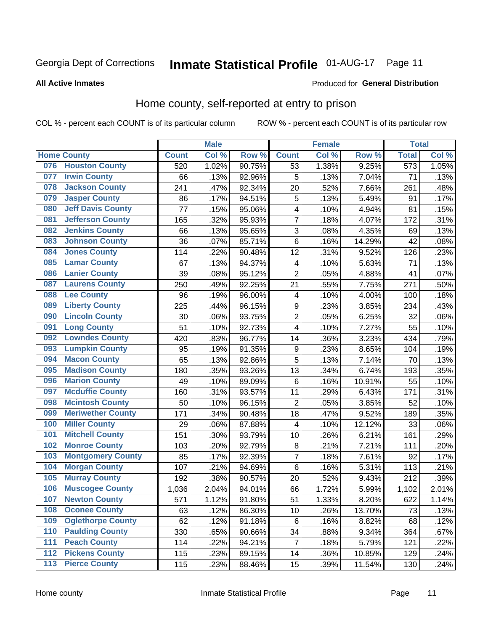# Inmate Statistical Profile 01-AUG-17 Page 11

**All Active Inmates** 

#### Produced for General Distribution

### Home county, self-reported at entry to prison

COL % - percent each COUNT is of its particular column

|                  |                          |              | <b>Male</b> |                  |                         | <b>Female</b> |        | <b>Total</b> |       |
|------------------|--------------------------|--------------|-------------|------------------|-------------------------|---------------|--------|--------------|-------|
|                  | <b>Home County</b>       | <b>Count</b> | Col %       | Row <sup>%</sup> | <b>Count</b>            | Col %         | Row %  | <b>Total</b> | Col % |
| 076              | <b>Houston County</b>    | 520          | 1.02%       | 90.75%           | 53                      | 1.38%         | 9.25%  | 573          | 1.05% |
| 077              | <b>Irwin County</b>      | 66           | .13%        | 92.96%           | 5                       | .13%          | 7.04%  | 71           | .13%  |
| 078              | <b>Jackson County</b>    | 241          | .47%        | 92.34%           | 20                      | .52%          | 7.66%  | 261          | .48%  |
| 079              | <b>Jasper County</b>     | 86           | .17%        | 94.51%           | 5                       | .13%          | 5.49%  | 91           | .17%  |
| 080              | <b>Jeff Davis County</b> | 77           | .15%        | 95.06%           | $\overline{\mathbf{4}}$ | .10%          | 4.94%  | 81           | .15%  |
| 081              | <b>Jefferson County</b>  | 165          | .32%        | 95.93%           | 7                       | .18%          | 4.07%  | 172          | .31%  |
| 082              | <b>Jenkins County</b>    | 66           | .13%        | 95.65%           | 3                       | .08%          | 4.35%  | 69           | .13%  |
| 083              | <b>Johnson County</b>    | 36           | .07%        | 85.71%           | 6                       | .16%          | 14.29% | 42           | .08%  |
| 084              | <b>Jones County</b>      | 114          | .22%        | 90.48%           | 12                      | .31%          | 9.52%  | 126          | .23%  |
| 085              | <b>Lamar County</b>      | 67           | .13%        | 94.37%           | 4                       | .10%          | 5.63%  | 71           | .13%  |
| 086              | <b>Lanier County</b>     | 39           | .08%        | 95.12%           | $\overline{2}$          | .05%          | 4.88%  | 41           | .07%  |
| 087              | <b>Laurens County</b>    | 250          | .49%        | 92.25%           | 21                      | .55%          | 7.75%  | 271          | .50%  |
| 088              | <b>Lee County</b>        | 96           | .19%        | 96.00%           | 4                       | .10%          | 4.00%  | 100          | .18%  |
| 089              | <b>Liberty County</b>    | 225          | .44%        | 96.15%           | 9                       | .23%          | 3.85%  | 234          | .43%  |
| 090              | <b>Lincoln County</b>    | 30           | .06%        | 93.75%           | $\overline{2}$          | .05%          | 6.25%  | 32           | .06%  |
| 091              | <b>Long County</b>       | 51           | .10%        | 92.73%           | $\overline{\mathbf{4}}$ | .10%          | 7.27%  | 55           | .10%  |
| 092              | <b>Lowndes County</b>    | 420          | .83%        | 96.77%           | 14                      | .36%          | 3.23%  | 434          | .79%  |
| 093              | <b>Lumpkin County</b>    | 95           | .19%        | 91.35%           | $\boldsymbol{9}$        | .23%          | 8.65%  | 104          | .19%  |
| 094              | <b>Macon County</b>      | 65           | .13%        | 92.86%           | 5                       | .13%          | 7.14%  | 70           | .13%  |
| 095              | <b>Madison County</b>    | 180          | .35%        | 93.26%           | 13                      | .34%          | 6.74%  | 193          | .35%  |
| 096              | <b>Marion County</b>     | 49           | .10%        | 89.09%           | 6                       | .16%          | 10.91% | 55           | .10%  |
| 097              | <b>Mcduffie County</b>   | 160          | .31%        | 93.57%           | 11                      | .29%          | 6.43%  | 171          | .31%  |
| 098              | <b>Mcintosh County</b>   | 50           | .10%        | 96.15%           | $\overline{2}$          | .05%          | 3.85%  | 52           | .10%  |
| 099              | <b>Meriwether County</b> | 171          | .34%        | 90.48%           | 18                      | .47%          | 9.52%  | 189          | .35%  |
| 100              | <b>Miller County</b>     | 29           | .06%        | 87.88%           | 4                       | .10%          | 12.12% | 33           | .06%  |
| 101              | <b>Mitchell County</b>   | 151          | .30%        | 93.79%           | 10                      | .26%          | 6.21%  | 161          | .29%  |
| 102              | <b>Monroe County</b>     | 103          | .20%        | 92.79%           | $\bf 8$                 | .21%          | 7.21%  | 111          | .20%  |
| 103              | <b>Montgomery County</b> | 85           | .17%        | 92.39%           | $\overline{7}$          | .18%          | 7.61%  | 92           | .17%  |
| 104              | <b>Morgan County</b>     | 107          | .21%        | 94.69%           | $\,6$                   | .16%          | 5.31%  | 113          | .21%  |
| 105              | <b>Murray County</b>     | 192          | .38%        | 90.57%           | 20                      | .52%          | 9.43%  | 212          | .39%  |
| 106              | <b>Muscogee County</b>   | 1,036        | 2.04%       | 94.01%           | 66                      | 1.72%         | 5.99%  | 1,102        | 2.01% |
| 107              | <b>Newton County</b>     | 571          | 1.12%       | 91.80%           | 51                      | 1.33%         | 8.20%  | 622          | 1.14% |
| 108              | <b>Oconee County</b>     | 63           | .12%        | 86.30%           | 10                      | .26%          | 13.70% | 73           | .13%  |
| 109              | <b>Oglethorpe County</b> | 62           | .12%        | 91.18%           | 6                       | .16%          | 8.82%  | 68           | .12%  |
| 110              | <b>Paulding County</b>   | 330          | .65%        | 90.66%           | 34                      | .88%          | 9.34%  | 364          | .67%  |
| 111              | <b>Peach County</b>      | 114          | .22%        | 94.21%           | $\overline{7}$          | .18%          | 5.79%  | 121          | .22%  |
| $\overline{112}$ | <b>Pickens County</b>    | 115          | .23%        | 89.15%           | 14                      | .36%          | 10.85% | 129          | .24%  |
| 113              | <b>Pierce County</b>     | 115          | .23%        | 88.46%           | 15                      | .39%          | 11.54% | 130          | .24%  |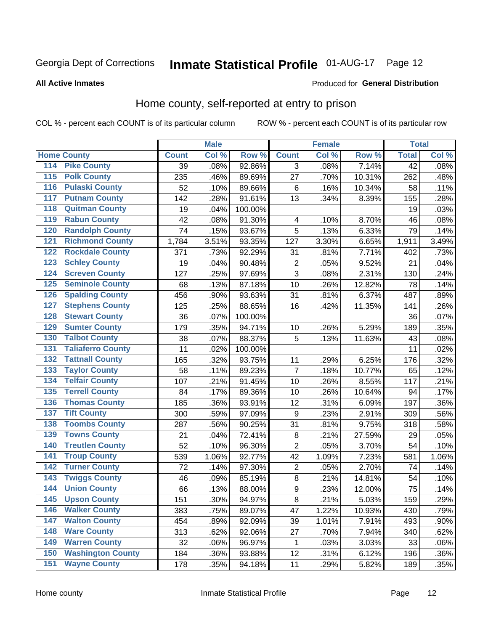# Inmate Statistical Profile 01-AUG-17 Page 12

#### **All Active Inmates**

### Produced for General Distribution

### Home county, self-reported at entry to prison

COL % - percent each COUNT is of its particular column

|                  |                          |              | <b>Male</b> |         |                         | <b>Female</b> |        | <b>Total</b> |       |
|------------------|--------------------------|--------------|-------------|---------|-------------------------|---------------|--------|--------------|-------|
|                  | <b>Home County</b>       | <b>Count</b> | Col %       | Row %   | <b>Count</b>            | Col %         | Row %  | <b>Total</b> | Col % |
| 114              | <b>Pike County</b>       | 39           | .08%        | 92.86%  | 3                       | .08%          | 7.14%  | 42           | .08%  |
| $\overline{115}$ | <b>Polk County</b>       | 235          | .46%        | 89.69%  | 27                      | .70%          | 10.31% | 262          | .48%  |
| 116              | <b>Pulaski County</b>    | 52           | .10%        | 89.66%  | $\,6$                   | .16%          | 10.34% | 58           | .11%  |
| 117              | <b>Putnam County</b>     | 142          | .28%        | 91.61%  | 13                      | .34%          | 8.39%  | 155          | .28%  |
| 118              | <b>Quitman County</b>    | 19           | .04%        | 100.00% |                         |               |        | 19           | .03%  |
| 119              | <b>Rabun County</b>      | 42           | .08%        | 91.30%  | $\overline{\mathbf{4}}$ | .10%          | 8.70%  | 46           | .08%  |
| 120              | <b>Randolph County</b>   | 74           | .15%        | 93.67%  | 5                       | .13%          | 6.33%  | 79           | .14%  |
| 121              | <b>Richmond County</b>   | 1,784        | 3.51%       | 93.35%  | 127                     | 3.30%         | 6.65%  | 1,911        | 3.49% |
| 122              | <b>Rockdale County</b>   | 371          | .73%        | 92.29%  | 31                      | .81%          | 7.71%  | 402          | .73%  |
| 123              | <b>Schley County</b>     | 19           | .04%        | 90.48%  | $\overline{\mathbf{c}}$ | .05%          | 9.52%  | 21           | .04%  |
| 124              | <b>Screven County</b>    | 127          | .25%        | 97.69%  | $\overline{3}$          | .08%          | 2.31%  | 130          | .24%  |
| 125              | <b>Seminole County</b>   | 68           | .13%        | 87.18%  | 10                      | .26%          | 12.82% | 78           | .14%  |
| 126              | <b>Spalding County</b>   | 456          | .90%        | 93.63%  | 31                      | .81%          | 6.37%  | 487          | .89%  |
| 127              | <b>Stephens County</b>   | 125          | .25%        | 88.65%  | 16                      | .42%          | 11.35% | 141          | .26%  |
| 128              | <b>Stewart County</b>    | 36           | .07%        | 100.00% |                         |               |        | 36           | .07%  |
| 129              | <b>Sumter County</b>     | 179          | .35%        | 94.71%  | 10                      | .26%          | 5.29%  | 189          | .35%  |
| 130              | <b>Talbot County</b>     | 38           | .07%        | 88.37%  | 5                       | .13%          | 11.63% | 43           | .08%  |
| 131              | <b>Taliaferro County</b> | 11           | .02%        | 100.00% |                         |               |        | 11           | .02%  |
| 132              | <b>Tattnall County</b>   | 165          | .32%        | 93.75%  | 11                      | .29%          | 6.25%  | 176          | .32%  |
| 133              | <b>Taylor County</b>     | 58           | .11%        | 89.23%  | $\overline{7}$          | .18%          | 10.77% | 65           | .12%  |
| 134              | <b>Telfair County</b>    | 107          | .21%        | 91.45%  | 10                      | .26%          | 8.55%  | 117          | .21%  |
| 135              | <b>Terrell County</b>    | 84           | .17%        | 89.36%  | 10                      | .26%          | 10.64% | 94           | .17%  |
| 136              | <b>Thomas County</b>     | 185          | .36%        | 93.91%  | 12                      | .31%          | 6.09%  | 197          | .36%  |
| 137              | <b>Tift County</b>       | 300          | .59%        | 97.09%  | $\boldsymbol{9}$        | .23%          | 2.91%  | 309          | .56%  |
| 138              | <b>Toombs County</b>     | 287          | .56%        | 90.25%  | 31                      | .81%          | 9.75%  | 318          | .58%  |
| 139              | <b>Towns County</b>      | 21           | .04%        | 72.41%  | $\bf 8$                 | .21%          | 27.59% | 29           | .05%  |
| 140              | <b>Treutlen County</b>   | 52           | .10%        | 96.30%  | $\overline{2}$          | .05%          | 3.70%  | 54           | .10%  |
| 141              | <b>Troup County</b>      | 539          | 1.06%       | 92.77%  | 42                      | 1.09%         | 7.23%  | 581          | 1.06% |
| $\overline{142}$ | <b>Turner County</b>     | 72           | .14%        | 97.30%  | $\mathbf 2$             | .05%          | 2.70%  | 74           | .14%  |
| 143              | <b>Twiggs County</b>     | 46           | .09%        | 85.19%  | $\bf8$                  | .21%          | 14.81% | 54           | .10%  |
| 144              | <b>Union County</b>      | 66           | .13%        | 88.00%  | $\overline{9}$          | .23%          | 12.00% | 75           | .14%  |
| 145              | <b>Upson County</b>      | 151          | .30%        | 94.97%  | 8                       | .21%          | 5.03%  | 159          | .29%  |
| 146              | <b>Walker County</b>     | 383          | .75%        | 89.07%  | 47                      | 1.22%         | 10.93% | 430          | .79%  |
| 147              | <b>Walton County</b>     | 454          | .89%        | 92.09%  | 39                      | 1.01%         | 7.91%  | 493          | .90%  |
| 148              | <b>Ware County</b>       | 313          | .62%        | 92.06%  | 27                      | .70%          | 7.94%  | 340          | .62%  |
| 149              | <b>Warren County</b>     | 32           | .06%        | 96.97%  | 1                       | .03%          | 3.03%  | 33           | .06%  |
| 150              | <b>Washington County</b> | 184          | .36%        | 93.88%  | 12                      | .31%          | 6.12%  | 196          | .36%  |
| 151              | <b>Wayne County</b>      | 178          | .35%        | 94.18%  | 11                      | .29%          | 5.82%  | 189          | .35%  |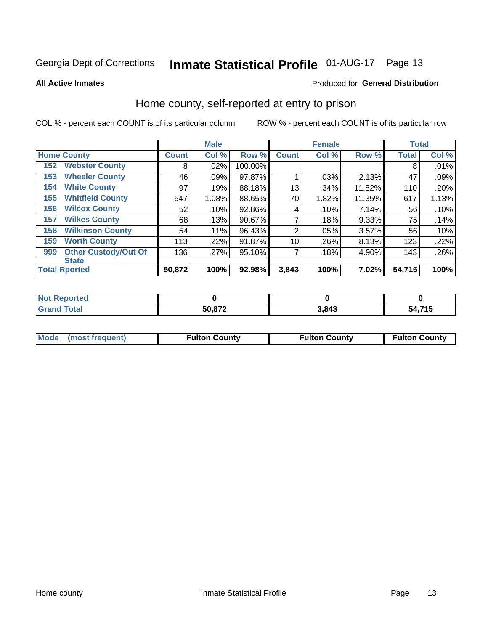# Inmate Statistical Profile 01-AUG-17 Page 13

**All Active Inmates** 

### Produced for General Distribution

### Home county, self-reported at entry to prison

COL % - percent each COUNT is of its particular column

|     |                             |              | <b>Male</b> |         |                | <b>Female</b> |        | <b>Total</b> |       |
|-----|-----------------------------|--------------|-------------|---------|----------------|---------------|--------|--------------|-------|
|     | <b>Home County</b>          | <b>Count</b> | Col %       | Row %   | <b>Count</b>   | Col %         | Row %  | <b>Total</b> | Col % |
| 152 | <b>Webster County</b>       | 8            | .02%        | 100.00% |                |               |        | 8            | .01%  |
| 153 | <b>Wheeler County</b>       | 46           | .09%        | 97.87%  |                | .03%          | 2.13%  | 47           | .09%  |
| 154 | <b>White County</b>         | 97           | .19%        | 88.18%  | 13             | .34%          | 11.82% | 110          | .20%  |
| 155 | <b>Whitfield County</b>     | 547          | 1.08%       | 88.65%  | 70             | 1.82%         | 11.35% | 617          | 1.13% |
| 156 | <b>Wilcox County</b>        | 52           | .10%        | 92.86%  | 4              | .10%          | 7.14%  | 56           | .10%  |
| 157 | <b>Wilkes County</b>        | 68           | .13%        | 90.67%  | 7              | .18%          | 9.33%  | 75           | .14%  |
| 158 | <b>Wilkinson County</b>     | 54           | $.11\%$     | 96.43%  | $\overline{2}$ | .05%          | 3.57%  | 56           | .10%  |
| 159 | <b>Worth County</b>         | 113          | .22%        | 91.87%  | 10             | .26%          | 8.13%  | 123          | .22%  |
| 999 | <b>Other Custody/Out Of</b> | 136          | .27%        | 95.10%  | 7              | .18%          | 4.90%  | 143          | .26%  |
|     | <b>State</b>                |              |             |         |                |               |        |              |       |
|     | <b>Total Rported</b>        | 50,872       | 100%        | 92.98%  | 3,843          | 100%          | 7.02%  | 54,715       | 100%  |

| <b>Not</b><br>Reported       |        |       |                              |
|------------------------------|--------|-------|------------------------------|
| <b>Total</b><br><b>Grand</b> | 50,872 | 3,843 | <b>A 745</b><br>ാ4<br>7. I J |

|  | Mode (most frequent) | <b>Fulton County</b> | <b>Fulton County</b> | <b>Fulton County</b> |
|--|----------------------|----------------------|----------------------|----------------------|
|--|----------------------|----------------------|----------------------|----------------------|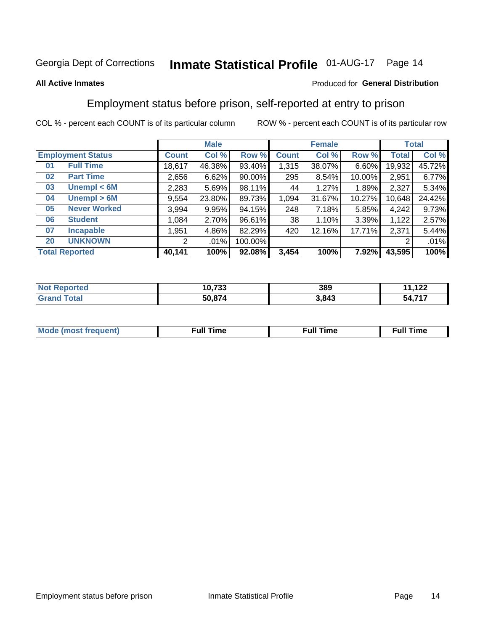#### **Inmate Statistical Profile 01-AUG-17** Page 14

#### **All Active Inmates**

#### Produced for General Distribution

### Employment status before prison, self-reported at entry to prison

COL % - percent each COUNT is of its particular column

|                                    | <b>Male</b>  |        |         |                 | <b>Female</b> |        |        | <b>Total</b> |  |
|------------------------------------|--------------|--------|---------|-----------------|---------------|--------|--------|--------------|--|
| <b>Employment Status</b>           | <b>Count</b> | Col %  | Row %   | <b>Count</b>    | Col %         | Row %  | Total  | Col %        |  |
| <b>Full Time</b><br>0 <sub>1</sub> | 18,617       | 46.38% | 93.40%  | 1,315           | 38.07%        | 6.60%  | 19,932 | 45.72%       |  |
| <b>Part Time</b><br>02             | 2,656        | 6.62%  | 90.00%  | 295             | 8.54%         | 10.00% | 2,951  | 6.77%        |  |
| Unempl $<$ 6M<br>03                | 2,283        | 5.69%  | 98.11%  | 44              | 1.27%         | 1.89%  | 2,327  | 5.34%        |  |
| Unempl > 6M<br>04                  | 9,554        | 23.80% | 89.73%  | 1,094           | 31.67%        | 10.27% | 10,648 | 24.42%       |  |
| <b>Never Worked</b><br>05          | 3,994        | 9.95%  | 94.15%  | 248             | 7.18%         | 5.85%  | 4,242  | 9.73%        |  |
| <b>Student</b><br>06               | 1,084        | 2.70%  | 96.61%  | 38 <sup>1</sup> | 1.10%         | 3.39%  | 1,122  | 2.57%        |  |
| <b>Incapable</b><br>07             | 1,951        | 4.86%  | 82.29%  | 420             | 12.16%        | 17.71% | 2,371  | 5.44%        |  |
| <b>UNKNOWN</b><br>20               | 2            | .01%   | 100.00% |                 |               |        | 2      | .01%         |  |
| <b>Total Reported</b>              | 40,141       | 100%   | 92.08%  | 3,454           | 100%          | 7.92%  | 43,595 | 100%         |  |

| <b>Not Reported</b>   | 10,733 | 389   | $-4.22$<br>44     |
|-----------------------|--------|-------|-------------------|
| Total<br><b>Grand</b> | 50,874 | 3,843 | $A$ 747<br>54.7 . |

| <b>Mode (most frequent)</b> | Full Time | <b>Full Time</b> | Time |
|-----------------------------|-----------|------------------|------|
|                             |           |                  |      |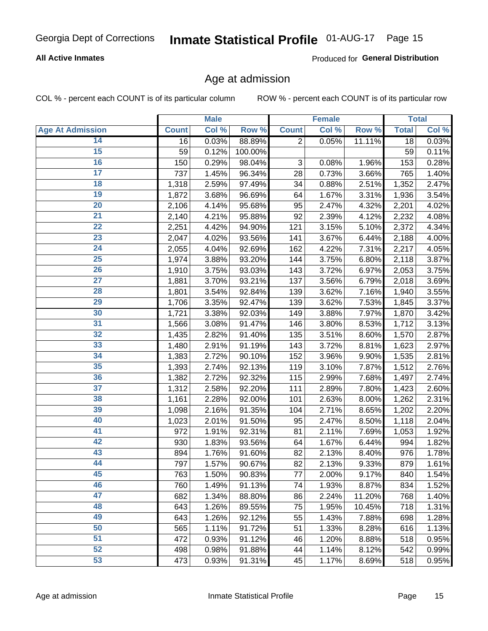### **All Active Inmates**

Produced for General Distribution

### Age at admission

COL % - percent each COUNT is of its particular column

|                         |              | <b>Male</b> |         |                           | <b>Female</b> |        |              | <b>Total</b> |
|-------------------------|--------------|-------------|---------|---------------------------|---------------|--------|--------------|--------------|
| <b>Age At Admission</b> | <b>Count</b> | Col %       | Row %   | <b>Count</b>              | Col %         | Row %  | <b>Total</b> | Col %        |
| 14                      | 16           | 0.03%       | 88.89%  | $\overline{2}$            | 0.05%         | 11.11% | 18           | 0.03%        |
| $\overline{15}$         | 59           | 0.12%       | 100.00% |                           |               |        | 59           | $0.11\%$     |
| 16                      | 150          | 0.29%       | 98.04%  | $\ensuremath{\mathsf{3}}$ | 0.08%         | 1.96%  | 153          | 0.28%        |
| $\overline{17}$         | 737          | 1.45%       | 96.34%  | 28                        | 0.73%         | 3.66%  | 765          | 1.40%        |
| $\overline{18}$         | 1,318        | 2.59%       | 97.49%  | 34                        | 0.88%         | 2.51%  | 1,352        | 2.47%        |
| 19                      | 1,872        | 3.68%       | 96.69%  | 64                        | 1.67%         | 3.31%  | 1,936        | 3.54%        |
| 20                      | 2,106        | 4.14%       | 95.68%  | 95                        | 2.47%         | 4.32%  | 2,201        | 4.02%        |
| $\overline{21}$         | 2,140        | 4.21%       | 95.88%  | 92                        | 2.39%         | 4.12%  | 2,232        | 4.08%        |
| $\overline{22}$         | 2,251        | 4.42%       | 94.90%  | 121                       | 3.15%         | 5.10%  | 2,372        | 4.34%        |
| $\overline{23}$         | 2,047        | 4.02%       | 93.56%  | 141                       | 3.67%         | 6.44%  | 2,188        | 4.00%        |
| 24                      | 2,055        | 4.04%       | 92.69%  | 162                       | 4.22%         | 7.31%  | 2,217        | 4.05%        |
| $\overline{25}$         | 1,974        | 3.88%       | 93.20%  | 144                       | 3.75%         | 6.80%  | 2,118        | 3.87%        |
| $\overline{26}$         | 1,910        | 3.75%       | 93.03%  | 143                       | 3.72%         | 6.97%  | 2,053        | 3.75%        |
| $\overline{27}$         | 1,881        | 3.70%       | 93.21%  | 137                       | 3.56%         | 6.79%  | 2,018        | 3.69%        |
| 28                      | 1,801        | 3.54%       | 92.84%  | 139                       | 3.62%         | 7.16%  | 1,940        | 3.55%        |
| 29                      | 1,706        | 3.35%       | 92.47%  | 139                       | 3.62%         | 7.53%  | 1,845        | 3.37%        |
| 30                      | 1,721        | 3.38%       | 92.03%  | 149                       | 3.88%         | 7.97%  | 1,870        | 3.42%        |
| 31                      | 1,566        | 3.08%       | 91.47%  | 146                       | 3.80%         | 8.53%  | 1,712        | 3.13%        |
| 32                      | 1,435        | 2.82%       | 91.40%  | 135                       | 3.51%         | 8.60%  | 1,570        | 2.87%        |
| 33                      | 1,480        | 2.91%       | 91.19%  | 143                       | 3.72%         | 8.81%  | 1,623        | 2.97%        |
| 34                      | 1,383        | 2.72%       | 90.10%  | 152                       | 3.96%         | 9.90%  | 1,535        | 2.81%        |
| 35                      | 1,393        | 2.74%       | 92.13%  | 119                       | 3.10%         | 7.87%  | 1,512        | 2.76%        |
| 36                      | 1,382        | 2.72%       | 92.32%  | 115                       | 2.99%         | 7.68%  | 1,497        | 2.74%        |
| 37                      | 1,312        | 2.58%       | 92.20%  | 111                       | 2.89%         | 7.80%  | 1,423        | 2.60%        |
| 38                      | 1,161        | 2.28%       | 92.00%  | 101                       | 2.63%         | 8.00%  | 1,262        | 2.31%        |
| 39                      | 1,098        | 2.16%       | 91.35%  | 104                       | 2.71%         | 8.65%  | 1,202        | 2.20%        |
| 40                      | 1,023        | 2.01%       | 91.50%  | 95                        | 2.47%         | 8.50%  | 1,118        | 2.04%        |
| 41                      | 972          | 1.91%       | 92.31%  | 81                        | 2.11%         | 7.69%  | 1,053        | 1.92%        |
| 42                      | 930          | 1.83%       | 93.56%  | 64                        | 1.67%         | 6.44%  | 994          | 1.82%        |
| 43                      | 894          | 1.76%       | 91.60%  | 82                        | 2.13%         | 8.40%  | 976          | 1.78%        |
| 44                      | 797          | 1.57%       | 90.67%  | 82                        | 2.13%         | 9.33%  | 879          | 1.61%        |
| 45                      | 763          | 1.50%       | 90.83%  | 77                        | 2.00%         | 9.17%  | 840          | 1.54%        |
| 46                      | 760          | 1.49%       | 91.13%  | 74                        | 1.93%         | 8.87%  | 834          | 1.52%        |
| 47                      | 682          | 1.34%       | 88.80%  | 86                        | 2.24%         | 11.20% | 768          | 1.40%        |
| 48                      | 643          | 1.26%       | 89.55%  | 75                        | 1.95%         | 10.45% | 718          | 1.31%        |
| 49                      | 643          | 1.26%       | 92.12%  | 55                        | 1.43%         | 7.88%  | 698          | 1.28%        |
| 50                      | 565          | 1.11%       | 91.72%  | 51                        | 1.33%         | 8.28%  | 616          | 1.13%        |
| 51                      | 472          | 0.93%       | 91.12%  | 46                        | 1.20%         | 8.88%  | 518          | 0.95%        |
| 52                      | 498          | 0.98%       | 91.88%  | 44                        | 1.14%         | 8.12%  | 542          | 0.99%        |
| 53                      | 473          | 0.93%       | 91.31%  | 45                        | 1.17%         | 8.69%  | 518          | 0.95%        |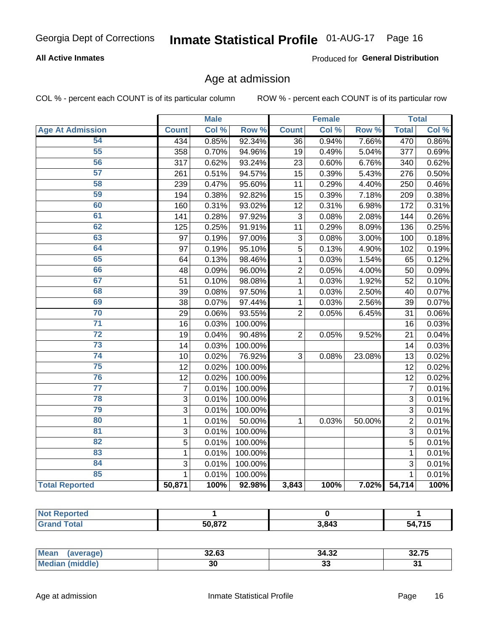### **All Active Inmates**

Produced for General Distribution

### Age at admission

COL % - percent each COUNT is of its particular column

|                         |                | <b>Male</b> |                  |                 | <b>Female</b> |        |                | <b>Total</b>        |
|-------------------------|----------------|-------------|------------------|-----------------|---------------|--------|----------------|---------------------|
| <b>Age At Admission</b> | <b>Count</b>   | Col %       | Row <sup>%</sup> | <b>Count</b>    | Col %         | Row %  | <b>Total</b>   | Col %               |
| 54                      | 434            | 0.85%       | 92.34%           | 36              | 0.94%         | 7.66%  | 470            | 0.86%               |
| 55                      | 358            | 0.70%       | 94.96%           | 19              | 0.49%         | 5.04%  | 377            | 0.69%               |
| 56                      | 317            | 0.62%       | 93.24%           | 23              | 0.60%         | 6.76%  | 340            | 0.62%               |
| $\overline{57}$         | 261            | 0.51%       | 94.57%           | $\overline{15}$ | 0.39%         | 5.43%  | 276            | 0.50%               |
| 58                      | 239            | 0.47%       | 95.60%           | 11              | 0.29%         | 4.40%  | 250            | 0.46%               |
| 59                      | 194            | 0.38%       | 92.82%           | 15              | 0.39%         | 7.18%  | 209            | 0.38%               |
| 60                      | 160            | 0.31%       | 93.02%           | 12              | 0.31%         | 6.98%  | 172            | 0.31%               |
| 61                      | 141            | 0.28%       | 97.92%           | 3               | 0.08%         | 2.08%  | 144            | 0.26%               |
| 62                      | 125            | 0.25%       | 91.91%           | 11              | 0.29%         | 8.09%  | 136            | 0.25%               |
| 63                      | 97             | 0.19%       | 97.00%           | 3               | 0.08%         | 3.00%  | 100            | 0.18%               |
| 64                      | 97             | 0.19%       | 95.10%           | 5               | 0.13%         | 4.90%  | 102            | 0.19%               |
| 65                      | 64             | 0.13%       | 98.46%           | $\mathbf{1}$    | 0.03%         | 1.54%  | 65             | 0.12%               |
| 66                      | 48             | 0.09%       | 96.00%           | $\overline{c}$  | 0.05%         | 4.00%  | 50             | 0.09%               |
| 67                      | 51             | 0.10%       | 98.08%           | $\mathbf{1}$    | 0.03%         | 1.92%  | 52             | 0.10%               |
| 68                      | 39             | 0.08%       | 97.50%           | 1               | 0.03%         | 2.50%  | 40             | 0.07%               |
| 69                      | 38             | 0.07%       | 97.44%           | 1               | 0.03%         | 2.56%  | 39             | 0.07%               |
| 70                      | 29             | 0.06%       | 93.55%           | $\overline{2}$  | 0.05%         | 6.45%  | 31             | 0.06%               |
| $\overline{71}$         | 16             | 0.03%       | 100.00%          |                 |               |        | 16             | 0.03%               |
| $\overline{72}$         | 19             | 0.04%       | 90.48%           | $\overline{2}$  | 0.05%         | 9.52%  | 21             | 0.04%               |
| $\overline{73}$         | 14             | 0.03%       | 100.00%          |                 |               |        | 14             | 0.03%               |
| 74                      | 10             | 0.02%       | 76.92%           | 3               | 0.08%         | 23.08% | 13             | 0.02%               |
| $\overline{75}$         | 12             | 0.02%       | 100.00%          |                 |               |        | 12             | 0.02%               |
| 76                      | 12             | 0.02%       | 100.00%          |                 |               |        | 12             | 0.02%               |
| $\overline{77}$         | $\overline{7}$ | 0.01%       | 100.00%          |                 |               |        | $\overline{7}$ | 0.01%               |
| 78                      | 3              | 0.01%       | 100.00%          |                 |               |        | $\overline{3}$ | 0.01%               |
| 79                      | 3              | 0.01%       | 100.00%          |                 |               |        | $\overline{3}$ | 0.01%               |
| 80                      | $\mathbf{1}$   | 0.01%       | 50.00%           | $\mathbf{1}$    | 0.03%         | 50.00% | $\overline{2}$ | 0.01%               |
| 81                      | $\overline{3}$ | 0.01%       | 100.00%          |                 |               |        | $\overline{3}$ | 0.01%               |
| $\overline{82}$         | $\overline{5}$ | 0.01%       | 100.00%          |                 |               |        | $\overline{5}$ | 0.01%               |
| 83                      | $\mathbf 1$    | 0.01%       | 100.00%          |                 |               |        | $\mathbf{1}$   | 0.01%               |
| 84                      | 3              | 0.01%       | 100.00%          |                 |               |        | 3              | 0.01%               |
| 85                      | $\mathbf{1}$   | 0.01%       | 100.00%          |                 |               |        | 1              | $\overline{0.01\%}$ |
| <b>Total Reported</b>   | 50,871         | 100%        | 92.98%           | 3,843           | 100%          | 7.02%  | 54,714         | 100%                |

| Reported<br><b>NOT</b> |               |       |                 |
|------------------------|---------------|-------|-----------------|
|                        | <b>EN 070</b> | 3,843 | 74E<br>nД<br>., |

| <b>Mean</b>   | 0000  | .         | $-$   |
|---------------|-------|-----------|-------|
| — auer        | 34.OJ | ے≿.34     | 32.IJ |
| dle.<br>' Me. | 30    | . .<br>JJ | ູ     |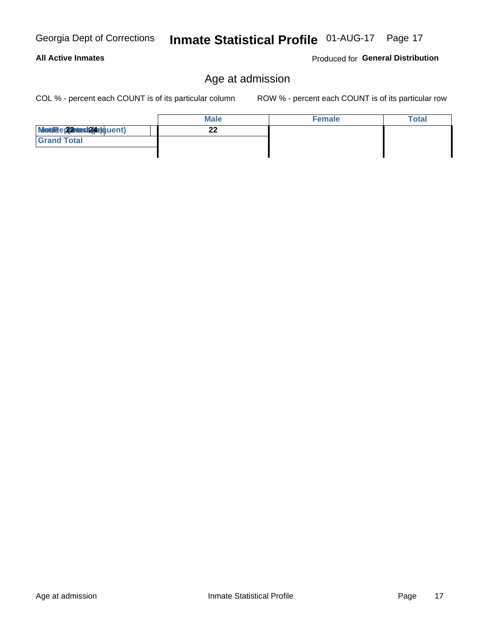### Age at admission

COL % - percent each COUNT is of its particular column

ROW % - percent each COUNT is of its particular row

Produced for General Distribution

|                           | <b>Male</b> | <b>Female</b> | <b>Total</b> |
|---------------------------|-------------|---------------|--------------|
| Modiae 22 Mast24e) quent) | nn<br>-4    |               |              |
| <b>Grand Total</b>        |             |               |              |
|                           |             |               |              |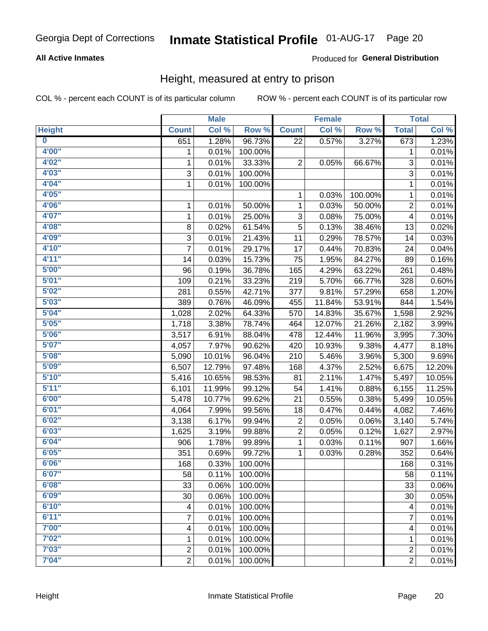### **All Active Inmates**

### Produced for General Distribution

### Height, measured at entry to prison

COL % - percent each COUNT is of its particular column

|                         |                | <b>Male</b> |         |                | <b>Female</b> |         |                | <b>Total</b> |
|-------------------------|----------------|-------------|---------|----------------|---------------|---------|----------------|--------------|
| <b>Height</b>           | <b>Count</b>   | Col %       | Row %   | <b>Count</b>   | Col %         | Row %   | <b>Total</b>   | Col %        |
| $\overline{\mathbf{0}}$ | 651            | 1.28%       | 96.73%  | 22             | 0.57%         | 3.27%   | 673            | 1.23%        |
| 4'00"                   | 1              | 0.01%       | 100.00% |                |               |         | 1              | 0.01%        |
| 4'02''                  | 1              | 0.01%       | 33.33%  | $\overline{c}$ | 0.05%         | 66.67%  | 3              | 0.01%        |
| 4'03''                  | 3              | 0.01%       | 100.00% |                |               |         | 3              | 0.01%        |
| 4'04"                   | $\mathbf{1}$   | 0.01%       | 100.00% |                |               |         | 1              | 0.01%        |
| 4'05"                   |                |             |         | 1              | 0.03%         | 100.00% | 1              | 0.01%        |
| 4'06"                   | 1              | 0.01%       | 50.00%  | 1              | 0.03%         | 50.00%  | $\overline{c}$ | 0.01%        |
| 4'07"                   | 1              | 0.01%       | 25.00%  | 3              | 0.08%         | 75.00%  | 4              | 0.01%        |
| 4'08"                   | 8              | 0.02%       | 61.54%  | 5              | 0.13%         | 38.46%  | 13             | 0.02%        |
| 4'09"                   | 3              | 0.01%       | 21.43%  | 11             | 0.29%         | 78.57%  | 14             | 0.03%        |
| 4'10"                   | $\overline{7}$ | 0.01%       | 29.17%  | 17             | 0.44%         | 70.83%  | 24             | 0.04%        |
| 4'11''                  | 14             | 0.03%       | 15.73%  | 75             | 1.95%         | 84.27%  | 89             | 0.16%        |
| 5'00''                  | 96             | 0.19%       | 36.78%  | 165            | 4.29%         | 63.22%  | 261            | 0.48%        |
| 5'01"                   | 109            | 0.21%       | 33.23%  | 219            | 5.70%         | 66.77%  | 328            | 0.60%        |
| 5'02"                   | 281            | 0.55%       | 42.71%  | 377            | 9.81%         | 57.29%  | 658            | 1.20%        |
| 5'03''                  | 389            | 0.76%       | 46.09%  | 455            | 11.84%        | 53.91%  | 844            | 1.54%        |
| 5'04"                   | 1,028          | 2.02%       | 64.33%  | 570            | 14.83%        | 35.67%  | 1,598          | 2.92%        |
| 5'05"                   | 1,718          | 3.38%       | 78.74%  | 464            | 12.07%        | 21.26%  | 2,182          | 3.99%        |
| 5'06''                  | 3,517          | 6.91%       | 88.04%  | 478            | 12.44%        | 11.96%  | 3,995          | 7.30%        |
| 5'07''                  | 4,057          | 7.97%       | 90.62%  | 420            | 10.93%        | 9.38%   | 4,477          | 8.18%        |
| 5'08''                  | 5,090          | 10.01%      | 96.04%  | 210            | 5.46%         | 3.96%   | 5,300          | 9.69%        |
| 5'09''                  | 6,507          | 12.79%      | 97.48%  | 168            | 4.37%         | 2.52%   | 6,675          | 12.20%       |
| 5'10''                  | 5,416          | 10.65%      | 98.53%  | 81             | 2.11%         | 1.47%   | 5,497          | 10.05%       |
| 5'11"                   | 6,101          | 11.99%      | 99.12%  | 54             | 1.41%         | 0.88%   | 6,155          | 11.25%       |
| 6'00''                  | 5,478          | 10.77%      | 99.62%  | 21             | 0.55%         | 0.38%   | 5,499          | 10.05%       |
| 6'01''                  | 4,064          | 7.99%       | 99.56%  | 18             | 0.47%         | 0.44%   | 4,082          | 7.46%        |
| 6'02"                   | 3,138          | 6.17%       | 99.94%  | 2              | 0.05%         | 0.06%   | 3,140          | 5.74%        |
| 6'03''                  | 1,625          | 3.19%       | 99.88%  | $\overline{c}$ | 0.05%         | 0.12%   | 1,627          | 2.97%        |
| 6'04"                   | 906            | 1.78%       | 99.89%  | $\mathbf{1}$   | 0.03%         | 0.11%   | 907            | 1.66%        |
| 6'05"                   | 351            | 0.69%       | 99.72%  | 1              | 0.03%         | 0.28%   | 352            | 0.64%        |
| 6'06"                   | 168            | 0.33%       | 100.00% |                |               |         | 168            | 0.31%        |
| 6'07"                   | 58             | 0.11%       | 100.00% |                |               |         | 58             | 0.11%        |
| 6'08''                  | 33             | 0.06%       | 100.00% |                |               |         | 33             | 0.06%        |
| 6'09''                  | 30             | 0.06%       | 100.00% |                |               |         | 30             | 0.05%        |
| 6'10''                  | 4              | 0.01%       | 100.00% |                |               |         | 4              | 0.01%        |
| 6'11''                  | 7              | 0.01%       | 100.00% |                |               |         | 7              | 0.01%        |
| 7'00"                   | 4              | 0.01%       | 100.00% |                |               |         | 4              | 0.01%        |
| 7'02"                   | 1              | 0.01%       | 100.00% |                |               |         | 1              | 0.01%        |
| 7'03''                  | $\overline{c}$ | 0.01%       | 100.00% |                |               |         | $\overline{c}$ | 0.01%        |
| 7'04"                   | $\overline{2}$ | 0.01%       | 100.00% |                |               |         | $\overline{2}$ | 0.01%        |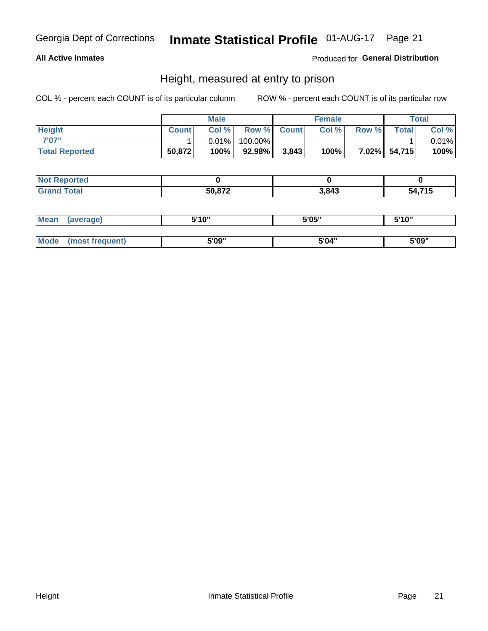### **All Active Inmates**

### Produced for General Distribution

### Height, measured at entry to prison

COL % - percent each COUNT is of its particular column

|                       |              | <b>Male</b> |         |             | <b>Female</b> |       |              | Total |
|-----------------------|--------------|-------------|---------|-------------|---------------|-------|--------------|-------|
| <b>Height</b>         | <b>Count</b> | Col %       |         | Row % Count | Col %         | Row % | <b>Total</b> | Col % |
| 7'07"                 |              | $0.01\%$    | 100.00% |             |               |       |              | 0.01% |
| <b>Total Reported</b> | 50,872       | 100%        | 92.98%  | 3,843       | 100%          |       | 7.02% 54,715 | 100%  |

| <b>Not Reported</b> |        |       |                        |
|---------------------|--------|-------|------------------------|
| <b>Grand Total</b>  | 50,872 | 3,843 | 71 5<br>54.<br>- 1 - 4 |

| <b>Mean</b> | (average)       | 5'10" | 5'05" | 5'10" |
|-------------|-----------------|-------|-------|-------|
|             |                 |       |       |       |
| Mode        | (most frequent) | 5'09" | 5'04" | 5'09" |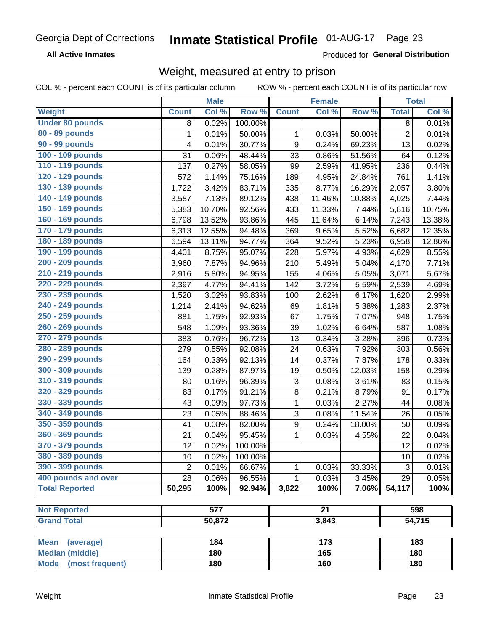**All Active Inmates** 

Produced for General Distribution

### Weight, measured at entry to prison

COL % - percent each COUNT is of its particular column

|                          |                | <b>Male</b> |         |                           | <b>Female</b>   |        |                | <b>Total</b> |
|--------------------------|----------------|-------------|---------|---------------------------|-----------------|--------|----------------|--------------|
| Weight                   | <b>Count</b>   | Col %       | Row %   | <b>Count</b>              | Col %           | Row %  | <b>Total</b>   | Col %        |
| <b>Under 80 pounds</b>   | 8              | 0.02%       | 100.00% |                           |                 |        | 8              | 0.01%        |
| 80 - 89 pounds           | 1              | 0.01%       | 50.00%  | 1                         | 0.03%           | 50.00% | $\overline{c}$ | 0.01%        |
| 90 - 99 pounds           | 4              | 0.01%       | 30.77%  | 9                         | 0.24%           | 69.23% | 13             | 0.02%        |
| 100 - 109 pounds         | 31             | 0.06%       | 48.44%  | 33                        | 0.86%           | 51.56% | 64             | 0.12%        |
| 110 - 119 pounds         | 137            | 0.27%       | 58.05%  | 99                        | 2.59%           | 41.95% | 236            | 0.44%        |
| 120 - 129 pounds         | 572            | 1.14%       | 75.16%  | 189                       | 4.95%           | 24.84% | 761            | 1.41%        |
| 130 - 139 pounds         | 1,722          | 3.42%       | 83.71%  | 335                       | 8.77%           | 16.29% | 2,057          | 3.80%        |
| 140 - 149 pounds         | 3,587          | 7.13%       | 89.12%  | 438                       | 11.46%          | 10.88% | 4,025          | 7.44%        |
| 150 - 159 pounds         | 5,383          | 10.70%      | 92.56%  | 433                       | 11.33%          | 7.44%  | 5,816          | 10.75%       |
| 160 - 169 pounds         | 6,798          | 13.52%      | 93.86%  | 445                       | 11.64%          | 6.14%  | 7,243          | 13.38%       |
| 170 - 179 pounds         | 6,313          | 12.55%      | 94.48%  | 369                       | 9.65%           | 5.52%  | 6,682          | 12.35%       |
| 180 - 189 pounds         | 6,594          | 13.11%      | 94.77%  | 364                       | 9.52%           | 5.23%  | 6,958          | 12.86%       |
| 190 - 199 pounds         | 4,401          | 8.75%       | 95.07%  | 228                       | 5.97%           | 4.93%  | 4,629          | 8.55%        |
| 200 - 209 pounds         | 3,960          | 7.87%       | 94.96%  | 210                       | 5.49%           | 5.04%  | 4,170          | 7.71%        |
| 210 - 219 pounds         | 2,916          | 5.80%       | 94.95%  | 155                       | 4.06%           | 5.05%  | 3,071          | 5.67%        |
| 220 - 229 pounds         | 2,397          | 4.77%       | 94.41%  | 142                       | 3.72%           | 5.59%  | 2,539          | 4.69%        |
| 230 - 239 pounds         | 1,520          | 3.02%       | 93.83%  | 100                       | 2.62%           | 6.17%  | 1,620          | 2.99%        |
| 240 - 249 pounds         | 1,214          | 2.41%       | 94.62%  | 69                        | 1.81%           | 5.38%  | 1,283          | 2.37%        |
| 250 - 259 pounds         | 881            | 1.75%       | 92.93%  | 67                        | 1.75%           | 7.07%  | 948            | 1.75%        |
| 260 - 269 pounds         | 548            | 1.09%       | 93.36%  | 39                        | 1.02%           | 6.64%  | 587            | 1.08%        |
| 270 - 279 pounds         | 383            | 0.76%       | 96.72%  | 13                        | 0.34%           | 3.28%  | 396            | 0.73%        |
| 280 - 289 pounds         | 279            | 0.55%       | 92.08%  | 24                        | 0.63%           | 7.92%  | 303            | 0.56%        |
| 290 - 299 pounds         | 164            | 0.33%       | 92.13%  | 14                        | 0.37%           | 7.87%  | 178            | 0.33%        |
| 300 - 309 pounds         | 139            | 0.28%       | 87.97%  | 19                        | 0.50%           | 12.03% | 158            | 0.29%        |
| 310 - 319 pounds         | 80             | 0.16%       | 96.39%  | $\ensuremath{\mathsf{3}}$ | 0.08%           | 3.61%  | 83             | 0.15%        |
| 320 - 329 pounds         | 83             | 0.17%       | 91.21%  | 8                         | 0.21%           | 8.79%  | 91             | 0.17%        |
| 330 - 339 pounds         | 43             | 0.09%       | 97.73%  | 1                         | 0.03%           | 2.27%  | 44             | 0.08%        |
| 340 - 349 pounds         | 23             | 0.05%       | 88.46%  | 3                         | 0.08%           | 11.54% | 26             | 0.05%        |
| 350 - 359 pounds         | 41             | 0.08%       | 82.00%  | $\boldsymbol{9}$          | 0.24%           | 18.00% | 50             | 0.09%        |
| 360 - 369 pounds         | 21             | 0.04%       | 95.45%  | 1                         | 0.03%           | 4.55%  | 22             | 0.04%        |
| 370 - 379 pounds         | 12             | 0.02%       | 100.00% |                           |                 |        | 12             | 0.02%        |
| 380 - 389 pounds         | 10             | 0.02%       | 100.00% |                           |                 |        | 10             | 0.02%        |
| 390 - 399 pounds         | $\overline{2}$ | 0.01%       | 66.67%  | 1                         | 0.03%           | 33.33% | 3              | 0.01%        |
| 400 pounds and over      | 28             | 0.06%       | 96.55%  | 1                         | 0.03%           | 3.45%  | 29             | 0.05%        |
| <b>Total Reported</b>    | 50,295         | 100%        | 92.94%  | 3,822                     | 100%            | 7.06%  | 54,117         | 100%         |
|                          |                |             |         |                           |                 |        |                |              |
| <b>Not Reported</b>      |                | 577         |         |                           | $\overline{21}$ |        |                | 598          |
| <b>Grand Total</b>       |                | 50,872      |         |                           | 3,843           |        |                | 54,715       |
| <b>Mean</b><br>(average) |                | 184         |         |                           | 173             |        |                | 183          |
| <b>Median (middle)</b>   |                | 180         |         |                           | 165             |        |                | 180          |
| Mode (most frequent)     |                | 180         |         |                           | 160             |        |                | 180          |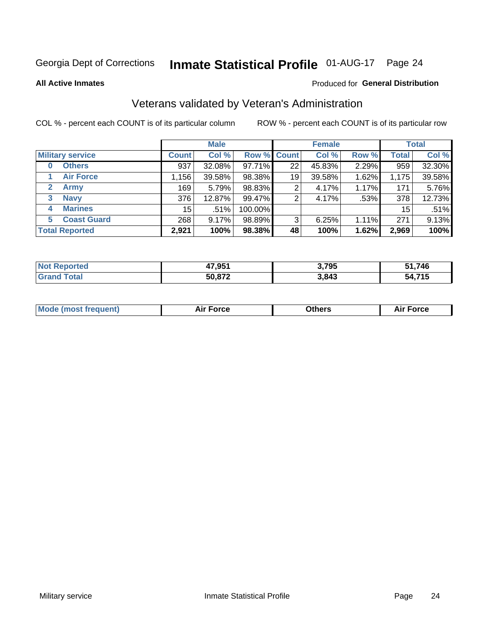# Inmate Statistical Profile 01-AUG-17 Page 24

**All Active Inmates** 

#### Produced for General Distribution

### Veterans validated by Veteran's Administration

COL % - percent each COUNT is of its particular column

|                             |              | <b>Male</b> |         |                    | <b>Female</b> |       |              | <b>Total</b> |
|-----------------------------|--------------|-------------|---------|--------------------|---------------|-------|--------------|--------------|
| <b>Military service</b>     | <b>Count</b> | Col %       |         | <b>Row % Count</b> | Col %         | Row % | <b>Total</b> | Col %        |
| <b>Others</b><br>0          | 937          | 32.08%      | 97.71%  | 22                 | 45.83%        | 2.29% | 959          | 32.30%       |
| <b>Air Force</b>            | ,156         | 39.58%      | 98.38%  | 19                 | 39.58%        | 1.62% | 1,175        | 39.58%       |
| <b>Army</b><br>$\mathbf{2}$ | 169          | 5.79%       | 98.83%  | 2                  | 4.17%         | 1.17% | 171          | 5.76%        |
| <b>Navy</b><br>3            | 376          | 12.87%      | 99.47%  | 2                  | 4.17%         | .53%  | 378          | 12.73%       |
| <b>Marines</b><br>4         | 15           | .51%        | 100.00% |                    |               |       | 15           | .51%         |
| <b>Coast Guard</b><br>5.    | 268          | 9.17%       | 98.89%  | 3                  | 6.25%         | 1.11% | 271          | 9.13%        |
| <b>Total Reported</b>       | 2,921        | 100%        | 98.38%  | 48                 | 100%          | 1.62% | 2,969        | 100%         |

| rted | 47,951 | 2.70E<br>ა, / აა | ,746<br>CA.                |
|------|--------|------------------|----------------------------|
|      | 50,872 | 3,843            | <b>715</b><br>-БΔ<br>. I J |

|  |  | <b>Mode (most frequent)</b> | <b>Force</b><br>Aır | วthers | orce |
|--|--|-----------------------------|---------------------|--------|------|
|--|--|-----------------------------|---------------------|--------|------|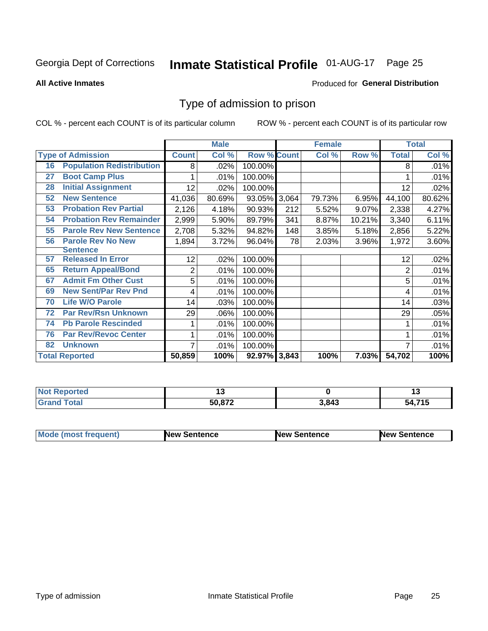# Inmate Statistical Profile 01-AUG-17 Page 25

#### **All Active Inmates**

#### Produced for General Distribution

### Type of admission to prison

COL % - percent each COUNT is of its particular column

|    |                                  |              | <b>Male</b> |                    |     | <b>Female</b> |          |              | <b>Total</b> |
|----|----------------------------------|--------------|-------------|--------------------|-----|---------------|----------|--------------|--------------|
|    | <b>Type of Admission</b>         | <b>Count</b> | Col %       | <b>Row % Count</b> |     | Col %         | Row %    | <b>Total</b> | Col %        |
| 16 | <b>Population Redistribution</b> | 8            | .02%        | 100.00%            |     |               |          | 8            | .01%         |
| 27 | <b>Boot Camp Plus</b>            |              | .01%        | 100.00%            |     |               |          |              | .01%         |
| 28 | <b>Initial Assignment</b>        | 12           | .02%        | 100.00%            |     |               |          | 12           | .02%         |
| 52 | <b>New Sentence</b>              | 41,036       | 80.69%      | 93.05% 3,064       |     | 79.73%        | 6.95%    | 44,100       | 80.62%       |
| 53 | <b>Probation Rev Partial</b>     | 2,126        | 4.18%       | 90.93%             | 212 | 5.52%         | 9.07%    | 2,338        | 4.27%        |
| 54 | <b>Probation Rev Remainder</b>   | 2,999        | 5.90%       | 89.79%             | 341 | 8.87%         | 10.21%   | 3,340        | 6.11%        |
| 55 | <b>Parole Rev New Sentence</b>   | 2,708        | 5.32%       | 94.82%             | 148 | 3.85%         | 5.18%    | 2,856        | 5.22%        |
| 56 | <b>Parole Rev No New</b>         | 1,894        | 3.72%       | 96.04%             | 78  | 2.03%         | 3.96%    | 1,972        | 3.60%        |
|    | <b>Sentence</b>                  |              |             |                    |     |               |          |              |              |
| 57 | <b>Released In Error</b>         | 12           | .02%        | 100.00%            |     |               |          | 12           | .02%         |
| 65 | <b>Return Appeal/Bond</b>        | 2            | .01%        | 100.00%            |     |               |          | 2            | .01%         |
| 67 | <b>Admit Fm Other Cust</b>       | 5            | .01%        | 100.00%            |     |               |          | 5            | .01%         |
| 69 | <b>New Sent/Par Rev Pnd</b>      | 4            | .01%        | 100.00%            |     |               |          | 4            | .01%         |
| 70 | <b>Life W/O Parole</b>           | 14           | .03%        | 100.00%            |     |               |          | 14           | .03%         |
| 72 | <b>Par Rev/Rsn Unknown</b>       | 29           | .06%        | 100.00%            |     |               |          | 29           | .05%         |
| 74 | <b>Pb Parole Rescinded</b>       |              | .01%        | 100.00%            |     |               |          |              | .01%         |
| 76 | <b>Par Rev/Revoc Center</b>      |              | .01%        | 100.00%            |     |               |          |              | .01%         |
| 82 | <b>Unknown</b>                   | 7            | .01%        | 100.00%            |     |               |          |              | .01%         |
|    | <b>Total Reported</b>            | 50,859       | 100%        | 92.97% 3,843       |     | 100%          | $7.03\%$ | 54,702       | 100%         |

| <b>Not</b><br>rted | $\sim$                  |       |                         |
|--------------------|-------------------------|-------|-------------------------|
| $\sim$<br>_____    | 50.872<br>$\sim$ $\sim$ | 3,843 | <b>745</b><br>מי<br>. . |

| <b>Mode (most frequent)</b> | New Sentence | <b>New Sentence</b> | <b>New Sentence</b> |
|-----------------------------|--------------|---------------------|---------------------|
|                             |              |                     |                     |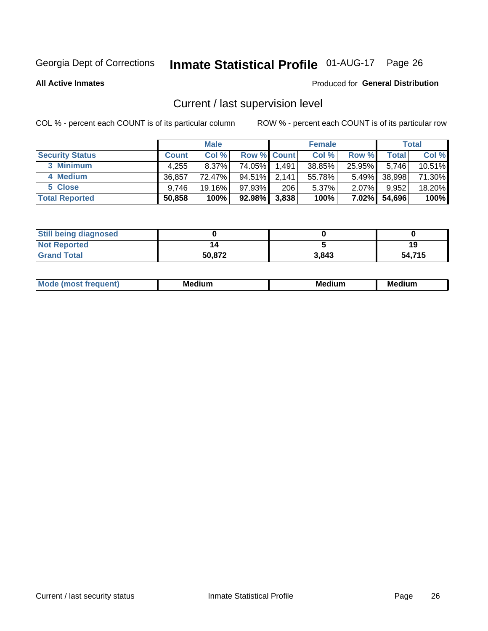# Inmate Statistical Profile 01-AUG-17 Page 26

**All Active Inmates** 

#### Produced for General Distribution

### Current / last supervision level

COL % - percent each COUNT is of its particular column

|                        |              | <b>Male</b> |                    |       | <b>Female</b> |          |        | <b>Total</b> |
|------------------------|--------------|-------------|--------------------|-------|---------------|----------|--------|--------------|
| <b>Security Status</b> | <b>Count</b> | Col %       | <b>Row % Count</b> |       | Col %         | Row %    | Total  | Col %        |
| 3 Minimum              | 4,255        | $8.37\%$    | 74.05%             | 1,491 | 38.85%        | 25.95%   | 5.746  | 10.51%       |
| 4 Medium               | 36.857       | 72.47%      | 94.51%             | 2.141 | 55.78%        | $5.49\%$ | 38,998 | 71.30%       |
| 5 Close                | 9.746        | 19.16%      | $97.93\%$          | 206   | 5.37%         | $2.07\%$ | 9,952  | 18.20%       |
| <b>Total Reported</b>  | 50,858       | 100%        | $92.98\%$          | 3,838 | 100%          | $7.02\%$ | 54,696 | 100%         |

| <b>Still being diagnosed</b> |        |       |        |
|------------------------------|--------|-------|--------|
| <b>Not Reported</b>          |        |       | 19     |
| <b>Grand Total</b>           | 50,872 | 3.843 | 54,715 |

| $M_{\Omega}$ | Me<br>edium<br>____ | Мє<br>dium<br>_____ | Medium<br> |
|--------------|---------------------|---------------------|------------|
|              |                     |                     |            |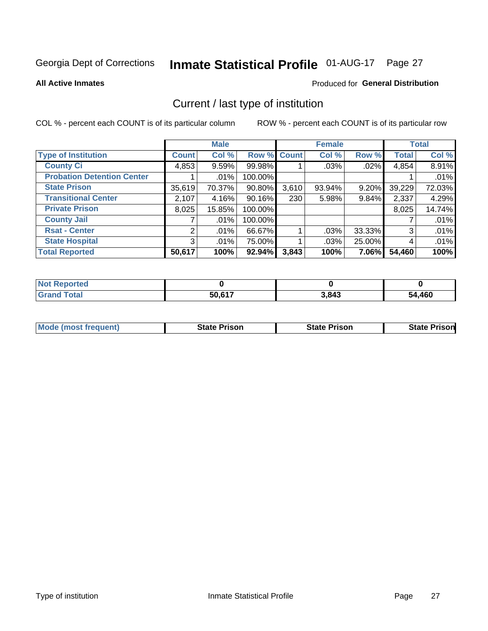# Inmate Statistical Profile 01-AUG-17 Page 27

**All Active Inmates** 

#### Produced for General Distribution

### Current / last type of institution

COL % - percent each COUNT is of its particular column

|                                   |                | <b>Male</b> |             |       | <b>Female</b> |        |              | <b>Total</b> |
|-----------------------------------|----------------|-------------|-------------|-------|---------------|--------|--------------|--------------|
| <b>Type of Institution</b>        | <b>Count</b>   | Col %       | Row % Count |       | Col %         | Row %  | <b>Total</b> | Col %        |
| <b>County Ci</b>                  | 4,853          | 9.59%       | 99.98%      |       | .03%          | .02%   | 4,854        | 8.91%        |
| <b>Probation Detention Center</b> |                | .01%        | 100.00%     |       |               |        |              | .01%         |
| <b>State Prison</b>               | 35,619         | 70.37%      | $90.80\%$   | 3,610 | 93.94%        | 9.20%  | 39,229       | 72.03%       |
| <b>Transitional Center</b>        | 2,107          | 4.16%       | $90.16\%$   | 230   | 5.98%         | 9.84%  | 2,337        | 4.29%        |
| <b>Private Prison</b>             | 8,025          | 15.85%      | 100.00%     |       |               |        | 8,025        | 14.74%       |
| <b>County Jail</b>                |                | .01%        | 100.00%     |       |               |        |              | .01%         |
| <b>Rsat - Center</b>              | $\overline{2}$ | .01%        | 66.67%      |       | .03%          | 33.33% | 3            | .01%         |
| <b>State Hospital</b>             | 3 <sup>1</sup> | $.01\%$     | 75.00%      |       | .03%          | 25.00% | 4            | .01%         |
| <b>Total Reported</b>             | 50,617         | 100%        | $92.94\%$   | 3,843 | 100%          | 7.06%  | 54,460       | 100%         |

| <b>Not</b><br>Reported |        |       |        |
|------------------------|--------|-------|--------|
| Total                  | 50.617 | 3,843 | 54,460 |

| <b>Mode (most frequent)</b> | <b>State Prison</b> | <b>State Prison</b> | <b>State Prisonl</b> |
|-----------------------------|---------------------|---------------------|----------------------|
|                             |                     |                     |                      |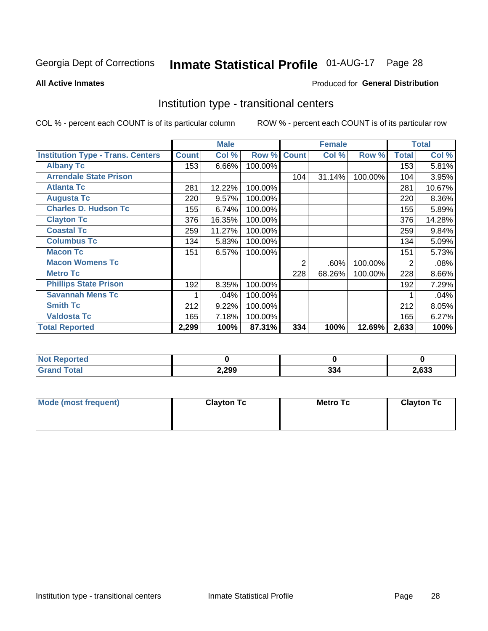# Inmate Statistical Profile 01-AUG-17 Page 28

#### **All Active Inmates**

### Produced for General Distribution

### Institution type - transitional centers

COL % - percent each COUNT is of its particular column

|                                          |              | <b>Male</b> |         |              | <b>Female</b> |         |                | <b>Total</b> |
|------------------------------------------|--------------|-------------|---------|--------------|---------------|---------|----------------|--------------|
| <b>Institution Type - Trans. Centers</b> | <b>Count</b> | Col %       | Row %   | <b>Count</b> | Col %         | Row %   | <b>Total</b>   | Col %        |
| <b>Albany Tc</b>                         | 153          | 6.66%       | 100.00% |              |               |         | 153            | 5.81%        |
| <b>Arrendale State Prison</b>            |              |             |         | 104          | 31.14%        | 100.00% | 104            | 3.95%        |
| <b>Atlanta Tc</b>                        | 281          | 12.22%      | 100.00% |              |               |         | 281            | 10.67%       |
| <b>Augusta Tc</b>                        | 220          | 9.57%       | 100.00% |              |               |         | 220            | 8.36%        |
| <b>Charles D. Hudson Tc</b>              | 155          | 6.74%       | 100.00% |              |               |         | 155            | 5.89%        |
| <b>Clayton Tc</b>                        | 376          | 16.35%      | 100.00% |              |               |         | 376            | 14.28%       |
| <b>Coastal Tc</b>                        | 259          | 11.27%      | 100.00% |              |               |         | 259            | 9.84%        |
| <b>Columbus Tc</b>                       | 134          | 5.83%       | 100.00% |              |               |         | 134            | 5.09%        |
| <b>Macon Tc</b>                          | 151          | 6.57%       | 100.00% |              |               |         | 151            | 5.73%        |
| <b>Macon Womens Tc</b>                   |              |             |         | 2            | .60%          | 100.00% | $\overline{2}$ | .08%         |
| <b>Metro Tc</b>                          |              |             |         | 228          | 68.26%        | 100.00% | 228            | 8.66%        |
| <b>Phillips State Prison</b>             | 192          | 8.35%       | 100.00% |              |               |         | 192            | 7.29%        |
| <b>Savannah Mens Tc</b>                  |              | .04%        | 100.00% |              |               |         |                | .04%         |
| <b>Smith Tc</b>                          | 212          | 9.22%       | 100.00% |              |               |         | 212            | 8.05%        |
| <b>Valdosta Tc</b>                       | 165          | 7.18%       | 100.00% |              |               |         | 165            | 6.27%        |
| <b>Total Reported</b>                    | 2,299        | 100%        | 87.31%  | 334          | 100%          | 12.69%  | 2,633          | 100%         |

| τeα |       |                      |       |
|-----|-------|----------------------|-------|
|     | 2,299 | $\sim$<br><b>JJ4</b> | 2,633 |

| Mode (most frequent) | <b>Clayton Tc</b> | Metro Tc | <b>Clayton Tc</b> |
|----------------------|-------------------|----------|-------------------|
|                      |                   |          |                   |
|                      |                   |          |                   |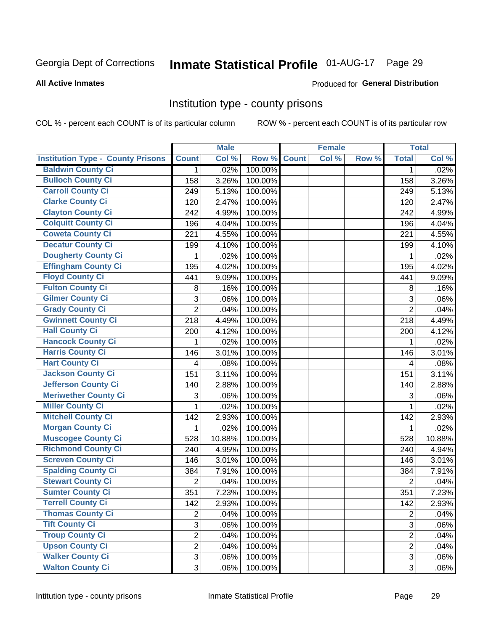# Inmate Statistical Profile 01-AUG-17 Page 29

#### **All Active Inmates**

### **Produced for General Distribution**

### Institution type - county prisons

COL % - percent each COUNT is of its particular column

|                                          |                | <b>Male</b> |         |              | <b>Female</b> |       |                | <b>Total</b> |
|------------------------------------------|----------------|-------------|---------|--------------|---------------|-------|----------------|--------------|
| <b>Institution Type - County Prisons</b> | <b>Count</b>   | Col %       | Row %   | <b>Count</b> | Col %         | Row % | <b>Total</b>   | Col %        |
| <b>Baldwin County Ci</b>                 | $\mathbf{1}$   | .02%        | 100.00% |              |               |       | $\mathbf{1}$   | .02%         |
| <b>Bulloch County Ci</b>                 | 158            | 3.26%       | 100.00% |              |               |       | 158            | 3.26%        |
| <b>Carroll County Ci</b>                 | 249            | 5.13%       | 100.00% |              |               |       | 249            | 5.13%        |
| <b>Clarke County Ci</b>                  | 120            | 2.47%       | 100.00% |              |               |       | 120            | 2.47%        |
| <b>Clayton County Ci</b>                 | 242            | 4.99%       | 100.00% |              |               |       | 242            | 4.99%        |
| <b>Colquitt County Ci</b>                | 196            | 4.04%       | 100.00% |              |               |       | 196            | 4.04%        |
| <b>Coweta County Ci</b>                  | 221            | 4.55%       | 100.00% |              |               |       | 221            | 4.55%        |
| <b>Decatur County Ci</b>                 | 199            | 4.10%       | 100.00% |              |               |       | 199            | 4.10%        |
| <b>Dougherty County Ci</b>               | 1              | .02%        | 100.00% |              |               |       | 1              | .02%         |
| <b>Effingham County Ci</b>               | 195            | 4.02%       | 100.00% |              |               |       | 195            | 4.02%        |
| <b>Floyd County Ci</b>                   | 441            | 9.09%       | 100.00% |              |               |       | 441            | 9.09%        |
| <b>Fulton County Ci</b>                  | 8              | .16%        | 100.00% |              |               |       | 8              | .16%         |
| <b>Gilmer County Ci</b>                  | 3              | .06%        | 100.00% |              |               |       | 3              | .06%         |
| <b>Grady County Ci</b>                   | $\overline{2}$ | .04%        | 100.00% |              |               |       | $\overline{2}$ | .04%         |
| <b>Gwinnett County Ci</b>                | 218            | 4.49%       | 100.00% |              |               |       | 218            | 4.49%        |
| <b>Hall County Ci</b>                    | 200            | 4.12%       | 100.00% |              |               |       | 200            | 4.12%        |
| <b>Hancock County Ci</b>                 | 1              | .02%        | 100.00% |              |               |       | 1              | .02%         |
| <b>Harris County Ci</b>                  | 146            | 3.01%       | 100.00% |              |               |       | 146            | 3.01%        |
| <b>Hart County Ci</b>                    | 4              | .08%        | 100.00% |              |               |       | 4              | .08%         |
| <b>Jackson County Ci</b>                 | 151            | 3.11%       | 100.00% |              |               |       | 151            | 3.11%        |
| <b>Jefferson County Ci</b>               | 140            | 2.88%       | 100.00% |              |               |       | 140            | 2.88%        |
| <b>Meriwether County Ci</b>              | 3              | .06%        | 100.00% |              |               |       | 3              | .06%         |
| <b>Miller County Ci</b>                  | 1              | .02%        | 100.00% |              |               |       | 1              | .02%         |
| <b>Mitchell County Ci</b>                | 142            | 2.93%       | 100.00% |              |               |       | 142            | 2.93%        |
| <b>Morgan County Ci</b>                  | 1              | .02%        | 100.00% |              |               |       | $\mathbf{1}$   | .02%         |
| <b>Muscogee County Ci</b>                | 528            | 10.88%      | 100.00% |              |               |       | 528            | 10.88%       |
| <b>Richmond County Ci</b>                | 240            | 4.95%       | 100.00% |              |               |       | 240            | 4.94%        |
| <b>Screven County Ci</b>                 | 146            | 3.01%       | 100.00% |              |               |       | 146            | 3.01%        |
| <b>Spalding County Ci</b>                | 384            | 7.91%       | 100.00% |              |               |       | 384            | 7.91%        |
| <b>Stewart County Ci</b>                 | $\overline{2}$ | .04%        | 100.00% |              |               |       | $\overline{2}$ | .04%         |
| <b>Sumter County Ci</b>                  | 351            | 7.23%       | 100.00% |              |               |       | 351            | 7.23%        |
| <b>Terrell County Ci</b>                 | 142            | 2.93%       | 100.00% |              |               |       | 142            | 2.93%        |
| <b>Thomas County Ci</b>                  | $\overline{2}$ | .04%        | 100.00% |              |               |       | $\overline{2}$ | .04%         |
| <b>Tift County Ci</b>                    | 3              | .06%        | 100.00% |              |               |       | 3              | .06%         |
| <b>Troup County Ci</b>                   | $\overline{2}$ | .04%        | 100.00% |              |               |       | $\overline{2}$ | .04%         |
| <b>Upson County Ci</b>                   | $\overline{2}$ | .04%        | 100.00% |              |               |       | $\overline{2}$ | .04%         |
| <b>Walker County Ci</b>                  | 3              | .06%        | 100.00% |              |               |       | 3              | .06%         |
| <b>Walton County Ci</b>                  | 3              | .06%        | 100.00% |              |               |       | 3 <sup>1</sup> | .06%         |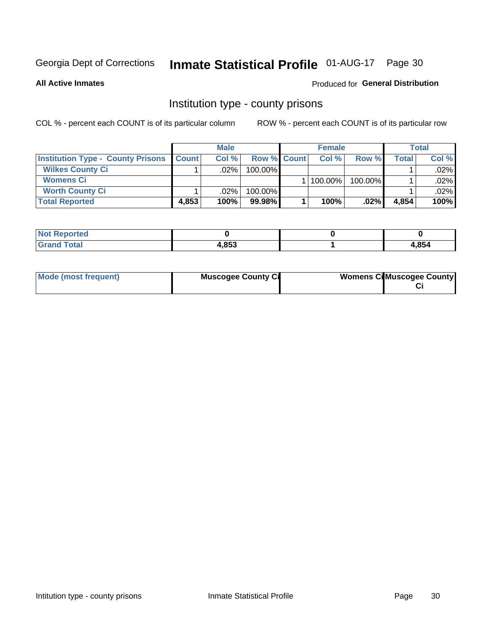# Inmate Statistical Profile 01-AUG-17 Page 30

**All Active Inmates** 

#### Produced for General Distribution

### Institution type - county prisons

COL % - percent each COUNT is of its particular column

|                                          |              | <b>Male</b> |                    | <b>Female</b> |         |         | <b>Total</b> |
|------------------------------------------|--------------|-------------|--------------------|---------------|---------|---------|--------------|
| <b>Institution Type - County Prisons</b> | <b>Count</b> | Col%        | <b>Row % Count</b> | Col%          | Row %   | Total i | Col %        |
| <b>Wilkes County Ci</b>                  |              | .02%        | $100.00\%$         |               |         |         | .02%         |
| <b>Womens Ci</b>                         |              |             |                    | 100.00%       | 100.00% |         | .02%         |
| <b>Worth County Ci</b>                   |              | $.02\%$     | 100.00%            |               |         |         | .02%         |
| <b>Total Reported</b>                    | 4,853        | $100\%$     | 99.98%             | 100%          | $.02\%$ | 4,854   | 100%         |

| <b>NI</b><br>τeα            |                      |      |
|-----------------------------|----------------------|------|
| $\sim$ $\sim$ $\sim$ $\sim$ | <b>CAQ</b> ו<br>,იაა | .854 |

| Mode (most frequent) | <b>Muscogee County Ci</b> | <b>Womens Cil Muscogee County</b> |
|----------------------|---------------------------|-----------------------------------|
|                      |                           |                                   |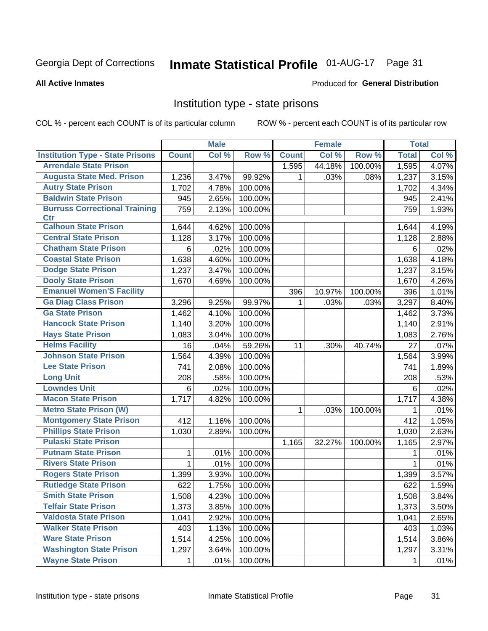# Inmate Statistical Profile 01-AUG-17 Page 31

#### **All Active Inmates**

### **Produced for General Distribution**

### Institution type - state prisons

COL % - percent each COUNT is of its particular column

|                                         |              | <b>Male</b> |         |              | <b>Female</b> |         | <b>Total</b> |       |
|-----------------------------------------|--------------|-------------|---------|--------------|---------------|---------|--------------|-------|
| <b>Institution Type - State Prisons</b> | <b>Count</b> | Col %       | Row %   | <b>Count</b> | Col %         | Row %   | <b>Total</b> | Col % |
| <b>Arrendale State Prison</b>           |              |             |         | 1,595        | 44.18%        | 100.00% | 1,595        | 4.07% |
| <b>Augusta State Med. Prison</b>        | 1,236        | 3.47%       | 99.92%  | 1            | .03%          | .08%    | 1,237        | 3.15% |
| <b>Autry State Prison</b>               | 1,702        | 4.78%       | 100.00% |              |               |         | 1,702        | 4.34% |
| <b>Baldwin State Prison</b>             | 945          | 2.65%       | 100.00% |              |               |         | 945          | 2.41% |
| <b>Burruss Correctional Training</b>    | 759          | 2.13%       | 100.00% |              |               |         | 759          | 1.93% |
| <b>Ctr</b>                              |              |             |         |              |               |         |              |       |
| <b>Calhoun State Prison</b>             | 1,644        | 4.62%       | 100.00% |              |               |         | 1,644        | 4.19% |
| <b>Central State Prison</b>             | 1,128        | 3.17%       | 100.00% |              |               |         | 1,128        | 2.88% |
| <b>Chatham State Prison</b>             | 6            | .02%        | 100.00% |              |               |         | 6            | .02%  |
| <b>Coastal State Prison</b>             | 1,638        | 4.60%       | 100.00% |              |               |         | 1,638        | 4.18% |
| <b>Dodge State Prison</b>               | 1,237        | 3.47%       | 100.00% |              |               |         | 1,237        | 3.15% |
| <b>Dooly State Prison</b>               | 1,670        | 4.69%       | 100.00% |              |               |         | 1,670        | 4.26% |
| <b>Emanuel Women'S Facility</b>         |              |             |         | 396          | 10.97%        | 100.00% | 396          | 1.01% |
| <b>Ga Diag Class Prison</b>             | 3,296        | 9.25%       | 99.97%  | $\mathbf 1$  | .03%          | .03%    | 3,297        | 8.40% |
| <b>Ga State Prison</b>                  | 1,462        | 4.10%       | 100.00% |              |               |         | 1,462        | 3.73% |
| <b>Hancock State Prison</b>             | 1,140        | 3.20%       | 100.00% |              |               |         | 1,140        | 2.91% |
| <b>Hays State Prison</b>                | 1,083        | 3.04%       | 100.00% |              |               |         | 1,083        | 2.76% |
| <b>Helms Facility</b>                   | 16           | .04%        | 59.26%  | 11           | .30%          | 40.74%  | 27           | .07%  |
| <b>Johnson State Prison</b>             | 1,564        | 4.39%       | 100.00% |              |               |         | 1,564        | 3.99% |
| <b>Lee State Prison</b>                 | 741          | 2.08%       | 100.00% |              |               |         | 741          | 1.89% |
| <b>Long Unit</b>                        | 208          | .58%        | 100.00% |              |               |         | 208          | .53%  |
| <b>Lowndes Unit</b>                     | $\,6$        | .02%        | 100.00% |              |               |         | 6            | .02%  |
| <b>Macon State Prison</b>               | 1,717        | 4.82%       | 100.00% |              |               |         | 1,717        | 4.38% |
| <b>Metro State Prison (W)</b>           |              |             |         | 1            | .03%          | 100.00% | 1            | .01%  |
| <b>Montgomery State Prison</b>          | 412          | 1.16%       | 100.00% |              |               |         | 412          | 1.05% |
| <b>Phillips State Prison</b>            | 1,030        | 2.89%       | 100.00% |              |               |         | 1,030        | 2.63% |
| <b>Pulaski State Prison</b>             |              |             |         | 1,165        | 32.27%        | 100.00% | 1,165        | 2.97% |
| <b>Putnam State Prison</b>              | 1            | .01%        | 100.00% |              |               |         | 1            | .01%  |
| <b>Rivers State Prison</b>              | 1            | .01%        | 100.00% |              |               |         | 1            | .01%  |
| <b>Rogers State Prison</b>              | 1,399        | 3.93%       | 100.00% |              |               |         | 1,399        | 3.57% |
| <b>Rutledge State Prison</b>            | 622          | 1.75%       | 100.00% |              |               |         | 622          | 1.59% |
| <b>Smith State Prison</b>               | 1,508        | 4.23%       | 100.00% |              |               |         | 1,508        | 3.84% |
| <b>Telfair State Prison</b>             | 1,373        | 3.85%       | 100.00% |              |               |         | 1,373        | 3.50% |
| <b>Valdosta State Prison</b>            | 1,041        | 2.92%       | 100.00% |              |               |         | 1,041        | 2.65% |
| <b>Walker State Prison</b>              | 403          | 1.13%       | 100.00% |              |               |         | 403          | 1.03% |
| <b>Ware State Prison</b>                | 1,514        | 4.25%       | 100.00% |              |               |         | 1,514        | 3.86% |
| <b>Washington State Prison</b>          | 1,297        | 3.64%       | 100.00% |              |               |         | 1,297        | 3.31% |
| <b>Wayne State Prison</b>               | 1            | .01%        | 100.00% |              |               |         | 1            | .01%  |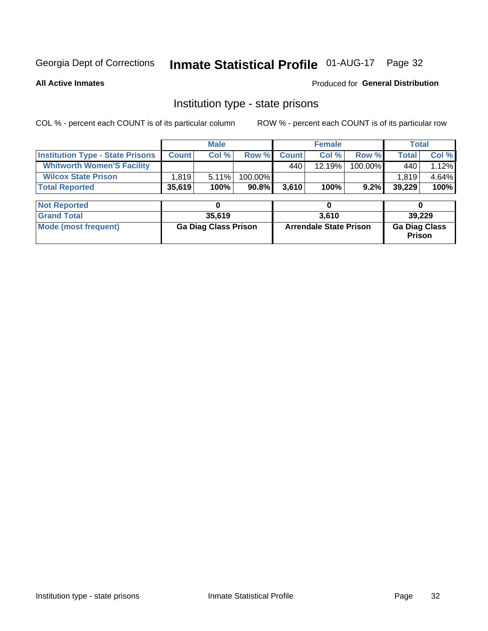# Inmate Statistical Profile 01-AUG-17 Page 32

**All Active Inmates** 

Produced for General Distribution

### Institution type - state prisons

COL % - percent each COUNT is of its particular column

|                                         |              | <b>Male</b>                 |         |              | <b>Female</b>                 |         | <b>Total</b>                   |        |
|-----------------------------------------|--------------|-----------------------------|---------|--------------|-------------------------------|---------|--------------------------------|--------|
| <b>Institution Type - State Prisons</b> | <b>Count</b> | Col %                       | Row %   | <b>Count</b> | Col %                         | Row %   | <b>Total</b>                   | Col %  |
| <b>Whitworth Women'S Facility</b>       |              |                             |         | 440          | 12.19%                        | 100.00% | 440                            | 1.12%  |
| <b>Wilcox State Prison</b>              | 1,819        | 5.11%                       | 100.00% |              |                               |         | 1,819                          | 4.64%  |
| <b>Total Reported</b>                   | 35,619       | 100%                        | 90.8%   | 3,610        | 100%                          | 9.2%    | 39,229                         | 100%   |
|                                         |              |                             |         |              |                               |         |                                |        |
| <b>Not Reported</b>                     |              | 0                           |         |              | 0                             |         | 0                              |        |
| <b>Grand Total</b>                      |              | 35,619                      |         |              | 3,610                         |         |                                | 39,229 |
| <b>Mode (most frequent)</b>             |              | <b>Ga Diag Class Prison</b> |         |              | <b>Arrendale State Prison</b> |         | <b>Ga Diag Class</b><br>Prison |        |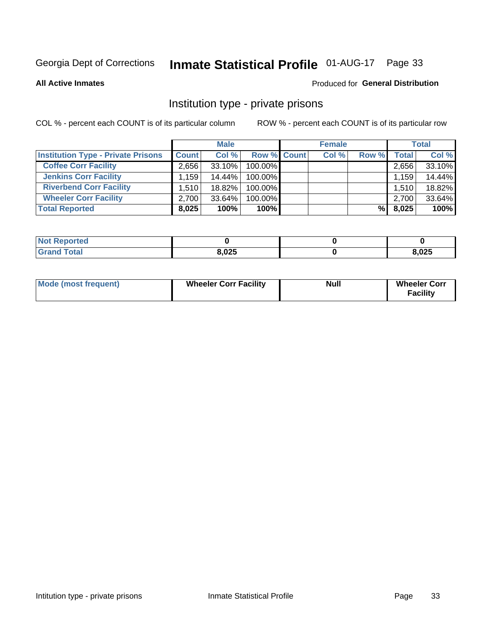# Inmate Statistical Profile 01-AUG-17 Page 33

**All Active Inmates** 

#### Produced for General Distribution

### Institution type - private prisons

COL % - percent each COUNT is of its particular column

|                                           |              | <b>Male</b> |                    | <b>Female</b> |       |       | <b>Total</b> |
|-------------------------------------------|--------------|-------------|--------------------|---------------|-------|-------|--------------|
| <b>Institution Type - Private Prisons</b> | <b>Count</b> | Col %       | <b>Row % Count</b> | Col %         | Row % | Total | Col %        |
| <b>Coffee Corr Facility</b>               | 2.656        | $33.10\%$   | 100.00%            |               |       | 2,656 | 33.10%       |
| <b>Jenkins Corr Facility</b>              | .159'        | 14.44%      | 100.00%            |               |       | 1,159 | 14.44%       |
| <b>Riverbend Corr Facility</b>            | 1.510        | 18.82%      | 100.00%            |               |       | 1,510 | 18.82%       |
| <b>Wheeler Corr Facility</b>              | 2,700        | $33.64\%$   | 100.00%            |               |       | 2,700 | 33.64%       |
| <b>Total Reported</b>                     | 8,025        | 100%        | $100\%$            |               | %     | 8,025 | 100%         |

| <b>Not Reported</b> |       |       |
|---------------------|-------|-------|
| <b>Total</b>        | 8,025 | 8,025 |

| <b>Mode (most frequent)</b> | <b>Wheeler Corr Facility</b> | <b>Null</b> | <b>Wheeler Corr</b><br><b>Facility</b> |
|-----------------------------|------------------------------|-------------|----------------------------------------|
|-----------------------------|------------------------------|-------------|----------------------------------------|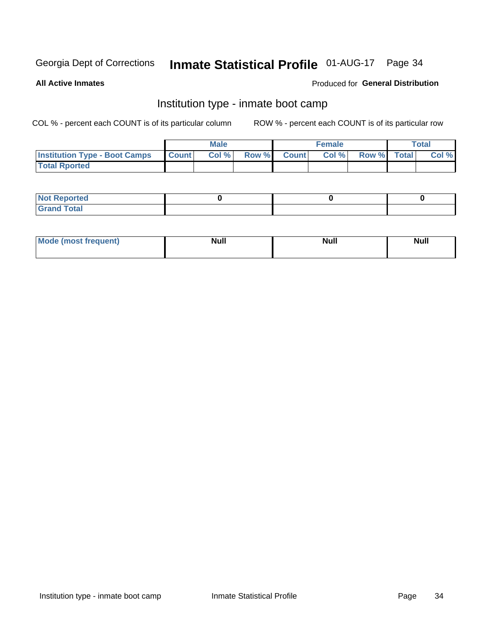# Inmate Statistical Profile 01-AUG-17 Page 34

**All Active Inmates** 

### Produced for General Distribution

### Institution type - inmate boot camp

COL % - percent each COUNT is of its particular column

|                                      |              | <b>Male</b> |             | <b>Female</b> |                   | <b>Total</b> |
|--------------------------------------|--------------|-------------|-------------|---------------|-------------------|--------------|
| <b>Institution Type - Boot Camps</b> | <b>Count</b> | Col %       | Row % Count |               | Col % Row % Total | Col %        |
| <b>Total Rported</b>                 |              |             |             |               |                   |              |

| <b>Not Reported</b>            |  |  |
|--------------------------------|--|--|
| <b>Total</b><br>C <sub>r</sub> |  |  |

| Mod<br>uamo | Nul.<br>$- - - - - -$ | <b>Null</b> | <br>uu.<br>------ |
|-------------|-----------------------|-------------|-------------------|
|             |                       |             |                   |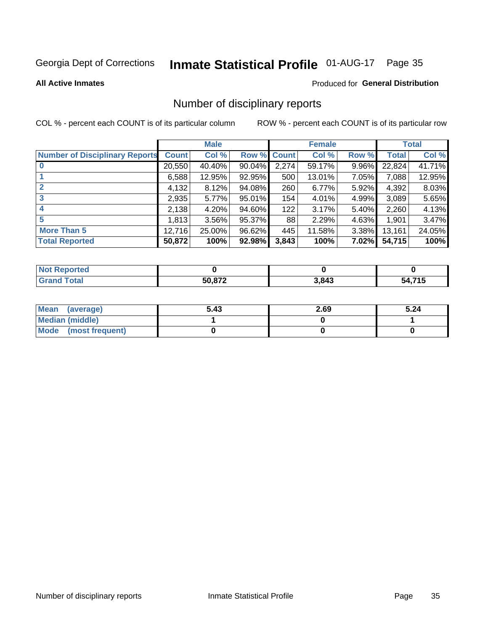# Inmate Statistical Profile 01-AUG-17 Page 35

#### **All Active Inmates**

#### Produced for General Distribution

### Number of disciplinary reports

COL % - percent each COUNT is of its particular column

|                                       |              | <b>Male</b> |                    |       | <b>Female</b> |       |              | <b>Total</b> |
|---------------------------------------|--------------|-------------|--------------------|-------|---------------|-------|--------------|--------------|
| <b>Number of Disciplinary Reports</b> | <b>Count</b> | Col %       | <b>Row % Count</b> |       | Col %         | Row % | <b>Total</b> | Col %        |
|                                       | 20,550       | 40.40%      | $90.04\%$          | 2,274 | 59.17%        | 9.96% | 22,824       | 41.71%       |
|                                       | 6,588        | 12.95%      | 92.95%             | 500   | 13.01%        | 7.05% | 7,088        | 12.95%       |
|                                       | 4,132        | 8.12%       | 94.08%             | 260   | 6.77%         | 5.92% | 4,392        | 8.03%        |
| 3                                     | 2,935        | 5.77%       | 95.01%             | 154   | 4.01%         | 4.99% | 3,089        | 5.65%        |
|                                       | 2,138        | 4.20%       | 94.60%             | 122   | 3.17%         | 5.40% | 2,260        | 4.13%        |
| 5                                     | 1.813        | 3.56%       | 95.37%             | 88    | 2.29%         | 4.63% | 1,901        | 3.47%        |
| <b>More Than 5</b>                    | 12,716       | 25.00%      | 96.62%             | 445   | 11.58%        | 3.38% | 13,161       | 24.05%       |
| <b>Total Reported</b>                 | 50,872       | 100%        | 92.98%             | 3,843 | 100%          | 7.02% | 54,715       | 100%         |

| <b>Reported</b><br>וחש |               |       |         |
|------------------------|---------------|-------|---------|
| <b>Total</b>           | <b>EO 072</b> | 3,843 | 74E<br> |

| Mean (average)         | 5.43 | 2.69 | 5.24 |
|------------------------|------|------|------|
| <b>Median (middle)</b> |      |      |      |
| Mode (most frequent)   |      |      |      |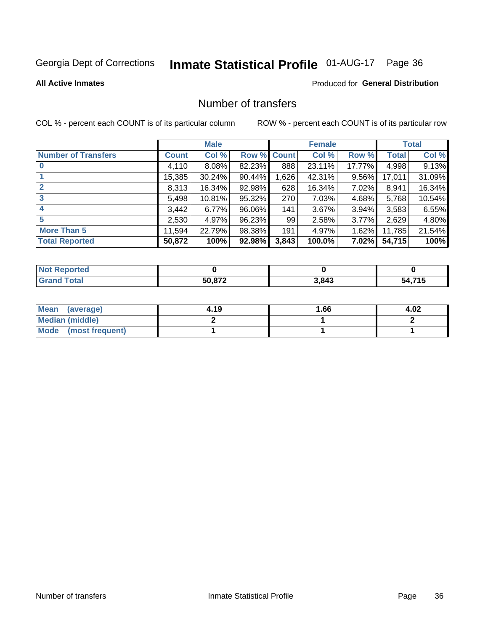# Inmate Statistical Profile 01-AUG-17 Page 36

#### **All Active Inmates**

### **Produced for General Distribution**

### Number of transfers

COL % - percent each COUNT is of its particular column

|                            |         | <b>Male</b> |             |       | <b>Female</b> |          |        | <b>Total</b> |
|----------------------------|---------|-------------|-------------|-------|---------------|----------|--------|--------------|
| <b>Number of Transfers</b> | Count l | Col %       | Row % Count |       | Col %         | Row %    | Total  | Col %        |
|                            | 4,110   | $8.08\%$    | 82.23%      | 888   | 23.11%        | 17.77%   | 4,998  | 9.13%        |
|                            | 15,385  | 30.24%      | 90.44%      | ,626  | 42.31%        | 9.56%    | 17,011 | 31.09%       |
| $\mathbf{2}$               | 8,313   | 16.34%      | 92.98%      | 628   | 16.34%        | 7.02%    | 8,941  | 16.34%       |
| 3                          | 5,498   | 10.81%      | 95.32%      | 270   | 7.03%         | 4.68%    | 5,768  | 10.54%       |
|                            | 3,442   | 6.77%       | 96.06%      | 141   | 3.67%         | $3.94\%$ | 3,583  | 6.55%        |
| 5                          | 2,530   | 4.97%       | 96.23%      | 99    | 2.58%         | 3.77%    | 2,629  | 4.80%        |
| <b>More Than 5</b>         | 11,594  | 22.79%      | 98.38%      | 191   | 4.97%         | 1.62%    | 11,785 | 21.54%       |
| <b>Total Reported</b>      | 50,872  | 100%        | 92.98%      | 3,843 | 100.0%        | 7.02%    | 54,715 | 100%         |

| orted<br>NOI |        |       |                             |
|--------------|--------|-------|-----------------------------|
| <b>Total</b> | 50.872 | 3,843 | <b>74 E</b><br>- גר<br>.ו ו |

| Mean (average)       | 4.19 | 1.66 | 4.02 |
|----------------------|------|------|------|
| Median (middle)      |      |      |      |
| Mode (most frequent) |      |      |      |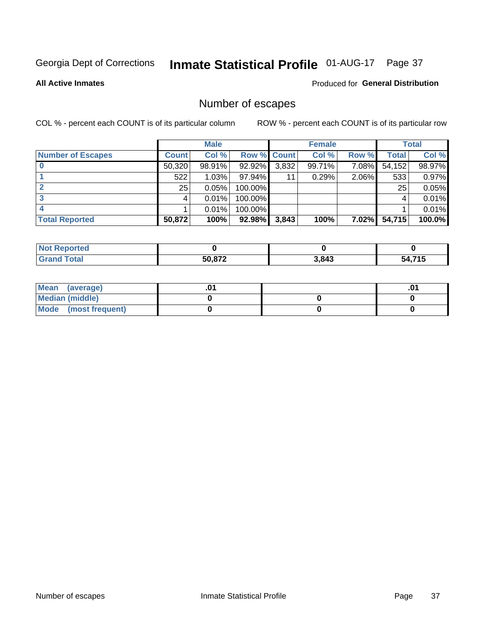# Inmate Statistical Profile 01-AUG-17 Page 37

**All Active Inmates** 

#### **Produced for General Distribution**

### Number of escapes

COL % - percent each COUNT is of its particular column

|                          |              | <b>Male</b> |             |       | <b>Female</b> |          |        | <b>Total</b> |
|--------------------------|--------------|-------------|-------------|-------|---------------|----------|--------|--------------|
| <b>Number of Escapes</b> | <b>Count</b> | Col %       | Row % Count |       | Col %         | Row %    | Total  | Col %        |
|                          | 50,320       | 98.91%      | 92.92%      | 3,832 | 99.71%        | 7.08%    | 54,152 | 98.97%       |
|                          | 522          | 1.03%       | 97.94%      | 11    | 0.29%         | 2.06%    | 533    | 0.97%        |
|                          | 25           | 0.05%       | 100.00%     |       |               |          | 25     | 0.05%        |
|                          |              | 0.01%       | 100.00%     |       |               |          |        | 0.01%        |
|                          |              | 0.01%       | 100.00%     |       |               |          |        | 0.01%        |
| <b>Total Reported</b>    | 50,872       | 100%        | 92.98%      | 3,843 | 100%          | $7.02\%$ | 54,715 | 100.0%       |

| Reported<br>Not F |               |       |             |
|-------------------|---------------|-------|-------------|
| <b>Total</b>      | <b>EN 072</b> | 3,843 | .715<br>54. |

| Mean (average)       |  |  |
|----------------------|--|--|
| Median (middle)      |  |  |
| Mode (most frequent) |  |  |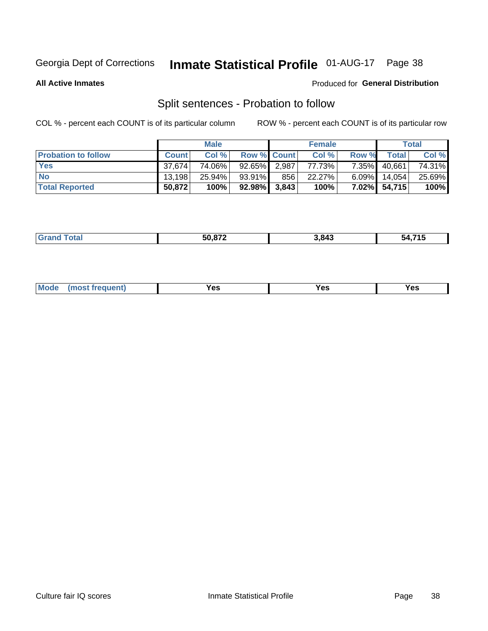# Inmate Statistical Profile 01-AUG-17 Page 38

**All Active Inmates** 

#### Produced for General Distribution

### Split sentences - Probation to follow

COL % - percent each COUNT is of its particular column

|                            |              | <b>Male</b> |                    |     | <b>Female</b> |          |        | <b>Total</b> |
|----------------------------|--------------|-------------|--------------------|-----|---------------|----------|--------|--------------|
| <b>Probation to follow</b> | <b>Count</b> | Col%        | <b>Row % Count</b> |     | Col %         | Row %    | Total  | Col %        |
| <b>Yes</b>                 | 37.674       | 74.06%      | 92.65% 2.987       |     | 77.73%        | $7.35\%$ | 40,661 | 74.31%       |
| <b>No</b>                  | 13.198       | 25.94%      | 93.91%             | 856 | 22.27%        | $6.09\%$ | 14.054 | 25.69%       |
| <b>Total Reported</b>      | 50,872       | 100%        | $92.98\%$ 3,843    |     | 100%          | 7.02%    | 54,715 | 100%         |

| ________ | <u>-0.070</u><br>__ | .843<br>᠇୰ | _ _ _<br>״<br>__ |
|----------|---------------------|------------|------------------|
|          |                     |            |                  |

| $Moo$<br>requent<br>′es<br>Yes<br><b>YAC</b><br>. |
|---------------------------------------------------|
|---------------------------------------------------|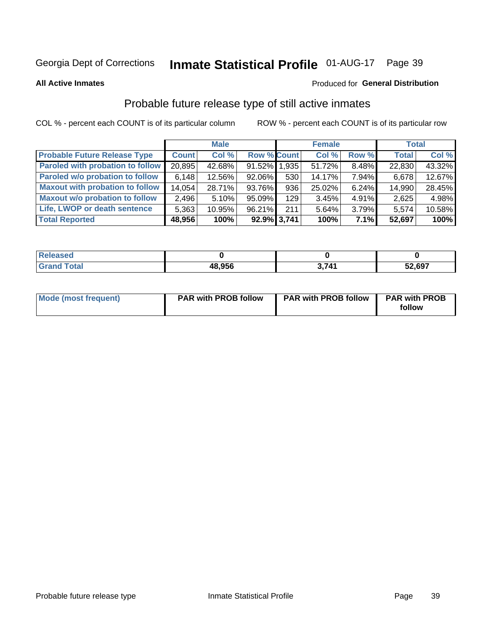# Inmate Statistical Profile 01-AUG-17 Page 39

**All Active Inmates** 

#### Produced for General Distribution

### Probable future release type of still active inmates

COL % - percent each COUNT is of its particular column

|                                         |              | <b>Male</b> |                    |     | <b>Female</b> |          | <b>Total</b> |        |
|-----------------------------------------|--------------|-------------|--------------------|-----|---------------|----------|--------------|--------|
| <b>Probable Future Release Type</b>     | <b>Count</b> | Col %       | <b>Row % Count</b> |     | Col %         | Row %    | <b>Total</b> | Col %  |
| <b>Paroled with probation to follow</b> | 20,895       | 42.68%      | 91.52% 1.935       |     | 51.72%        | 8.48%    | 22,830       | 43.32% |
| Paroled w/o probation to follow         | 6,148        | 12.56%      | 92.06%             | 530 | 14.17%        | 7.94%    | 6,678        | 12.67% |
| <b>Maxout with probation to follow</b>  | 14,054       | 28.71%      | 93.76%             | 936 | 25.02%        | 6.24%    | 14,990       | 28.45% |
| <b>Maxout w/o probation to follow</b>   | 2,496        | 5.10%       | 95.09%             | 129 | 3.45%         | $4.91\%$ | 2,625        | 4.98%  |
| Life, LWOP or death sentence            | 5,363        | 10.95%      | 96.21%             | 211 | 5.64%         | 3.79%    | 5,574        | 10.58% |
| <b>Total Reported</b>                   | 48,956       | 100%        | 92.9% 3,741        |     | 100%          | 7.1%     | 52,697       | 100%   |

| aseo |               |     |        |
|------|---------------|-----|--------|
| otal | 48,956<br>,,, | 711 | 52,697 |

| <b>Mode (most frequent)</b> | <b>PAR with PROB follow</b> | <b>PAR with PROB follow</b> | <b>PAR with PROB</b> |
|-----------------------------|-----------------------------|-----------------------------|----------------------|
|                             |                             |                             | follow               |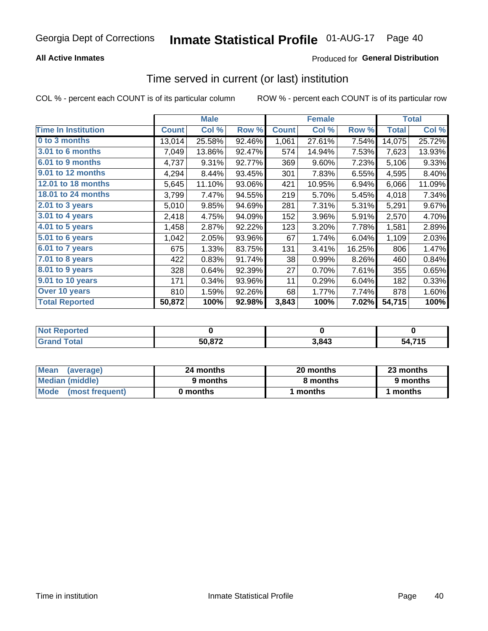### **All Active Inmates**

### **Produced for General Distribution**

### Time served in current (or last) institution

COL % - percent each COUNT is of its particular column

|                              | <b>Male</b>  |        |        | <b>Female</b> |        |        | <b>Total</b> |        |
|------------------------------|--------------|--------|--------|---------------|--------|--------|--------------|--------|
| <b>Time In Institution</b>   | <b>Count</b> | Col%   | Row %  | <b>Count</b>  | Col %  | Row %  | <b>Total</b> | Col %  |
| 0 to 3 months                | 13,014       | 25.58% | 92.46% | 1,061         | 27.61% | 7.54%  | 14,075       | 25.72% |
| <b>3.01 to 6 months</b>      | 7,049        | 13.86% | 92.47% | 574           | 14.94% | 7.53%  | 7,623        | 13.93% |
| 6.01 to 9 months             | 4,737        | 9.31%  | 92.77% | 369           | 9.60%  | 7.23%  | 5,106        | 9.33%  |
| 9.01 to 12 months            | 4,294        | 8.44%  | 93.45% | 301           | 7.83%  | 6.55%  | 4,595        | 8.40%  |
| 12.01 to 18 months           | 5,645        | 11.10% | 93.06% | 421           | 10.95% | 6.94%  | 6,066        | 11.09% |
| <b>18.01 to 24 months</b>    | 3,799        | 7.47%  | 94.55% | 219           | 5.70%  | 5.45%  | 4,018        | 7.34%  |
| 2.01 to 3 years              | 5,010        | 9.85%  | 94.69% | 281           | 7.31%  | 5.31%  | 5,291        | 9.67%  |
| $3.01$ to 4 years            | 2,418        | 4.75%  | 94.09% | 152           | 3.96%  | 5.91%  | 2,570        | 4.70%  |
| 4.01 to 5 years              | 1,458        | 2.87%  | 92.22% | 123           | 3.20%  | 7.78%  | 1,581        | 2.89%  |
| $\overline{5.01}$ to 6 years | 1,042        | 2.05%  | 93.96% | 67            | 1.74%  | 6.04%  | 1,109        | 2.03%  |
| 6.01 to 7 years              | 675          | 1.33%  | 83.75% | 131           | 3.41%  | 16.25% | 806          | 1.47%  |
| 7.01 to 8 years              | 422          | 0.83%  | 91.74% | 38            | 0.99%  | 8.26%  | 460          | 0.84%  |
| 8.01 to 9 years              | 328          | 0.64%  | 92.39% | 27            | 0.70%  | 7.61%  | 355          | 0.65%  |
| 9.01 to 10 years             | 171          | 0.34%  | 93.96% | 11            | 0.29%  | 6.04%  | 182          | 0.33%  |
| Over 10 years                | 810          | 1.59%  | 92.26% | 68            | 1.77%  | 7.74%  | 878          | 1.60%  |
| <b>Total Reported</b>        | 50,872       | 100%   | 92.98% | 3,843         | 100%   | 7.02%  | 54,715       | 100%   |

| orted<br><b>Not</b> |        |      |                      |
|---------------------|--------|------|----------------------|
| <b>ntal</b>         | 50,872 | ,843 | <b>715</b><br>٠л<br> |

| <b>Mean</b><br>(average) | 24 months | 20 months | 23 months |
|--------------------------|-----------|-----------|-----------|
| Median (middle)          | 9 months  | 8 months  | 9 months  |
| Mode (most frequent)     | 0 months  | months    | 1 months  |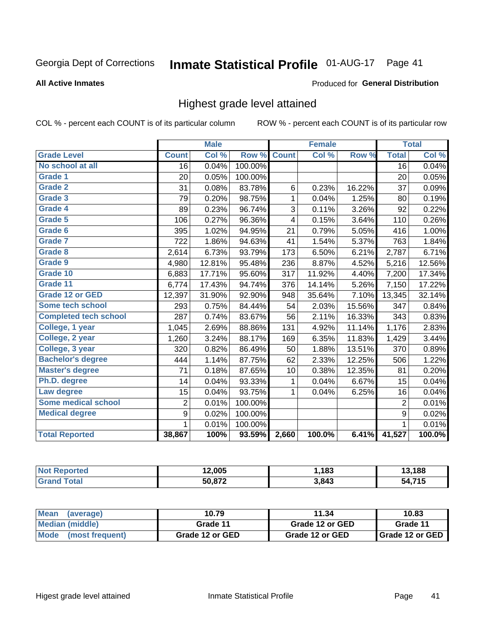#### Inmate Statistical Profile 01-AUG-17 Page 41

Produced for General Distribution

#### **All Active Inmates**

## Highest grade level attained

COL % - percent each COUNT is of its particular column

|                              |                  | <b>Male</b> |         |              | <b>Female</b> |        |                 | <b>Total</b> |
|------------------------------|------------------|-------------|---------|--------------|---------------|--------|-----------------|--------------|
| <b>Grade Level</b>           | <b>Count</b>     | Col %       | Row %   | <b>Count</b> | Col %         | Row %  | <b>Total</b>    | Col %        |
| No school at all             | $\overline{16}$  | 0.04%       | 100.00% |              |               |        | $\overline{16}$ | 0.04%        |
| <b>Grade 1</b>               | 20               | 0.05%       | 100.00% |              |               |        | 20              | 0.05%        |
| <b>Grade 2</b>               | 31               | 0.08%       | 83.78%  | 6            | 0.23%         | 16.22% | 37              | 0.09%        |
| Grade 3                      | 79               | 0.20%       | 98.75%  | $\mathbf 1$  | 0.04%         | 1.25%  | 80              | 0.19%        |
| <b>Grade 4</b>               | 89               | 0.23%       | 96.74%  | 3            | 0.11%         | 3.26%  | 92              | 0.22%        |
| Grade 5                      | 106              | 0.27%       | 96.36%  | 4            | 0.15%         | 3.64%  | 110             | 0.26%        |
| Grade 6                      | 395              | 1.02%       | 94.95%  | 21           | 0.79%         | 5.05%  | 416             | 1.00%        |
| <b>Grade 7</b>               | 722              | 1.86%       | 94.63%  | 41           | 1.54%         | 5.37%  | 763             | 1.84%        |
| Grade 8                      | 2,614            | 6.73%       | 93.79%  | 173          | 6.50%         | 6.21%  | 2,787           | 6.71%        |
| Grade 9                      | 4,980            | 12.81%      | 95.48%  | 236          | 8.87%         | 4.52%  | 5,216           | 12.56%       |
| Grade 10                     | 6,883            | 17.71%      | 95.60%  | 317          | 11.92%        | 4.40%  | 7,200           | 17.34%       |
| Grade 11                     | 6,774            | 17.43%      | 94.74%  | 376          | 14.14%        | 5.26%  | 7,150           | 17.22%       |
| <b>Grade 12 or GED</b>       | 12,397           | 31.90%      | 92.90%  | 948          | 35.64%        | 7.10%  | 13,345          | 32.14%       |
| <b>Some tech school</b>      | 293              | 0.75%       | 84.44%  | 54           | 2.03%         | 15.56% | 347             | 0.84%        |
| <b>Completed tech school</b> | 287              | 0.74%       | 83.67%  | 56           | 2.11%         | 16.33% | 343             | 0.83%        |
| College, 1 year              | 1,045            | 2.69%       | 88.86%  | 131          | 4.92%         | 11.14% | 1,176           | 2.83%        |
| College, 2 year              | 1,260            | 3.24%       | 88.17%  | 169          | 6.35%         | 11.83% | 1,429           | 3.44%        |
| College, 3 year              | 320              | 0.82%       | 86.49%  | 50           | 1.88%         | 13.51% | 370             | 0.89%        |
| <b>Bachelor's degree</b>     | 444              | 1.14%       | 87.75%  | 62           | 2.33%         | 12.25% | 506             | 1.22%        |
| <b>Master's degree</b>       | 71               | 0.18%       | 87.65%  | 10           | 0.38%         | 12.35% | 81              | 0.20%        |
| Ph.D. degree                 | 14               | 0.04%       | 93.33%  | 1            | 0.04%         | 6.67%  | 15              | 0.04%        |
| Law degree                   | 15               | 0.04%       | 93.75%  | 1            | 0.04%         | 6.25%  | 16              | 0.04%        |
| <b>Some medical school</b>   | $\overline{2}$   | 0.01%       | 100.00% |              |               |        | 2               | 0.01%        |
| <b>Medical degree</b>        | $\boldsymbol{9}$ | 0.02%       | 100.00% |              |               |        | 9               | 0.02%        |
|                              | 1                | 0.01%       | 100.00% |              |               |        | 1               | 0.01%        |
| <b>Total Reported</b>        | 38,867           | 100%        | 93.59%  | 2,660        | 100.0%        | 6.41%  | 41,527          | 100.0%       |

| 12.005 | .183  | 400  |
|--------|-------|------|
| 50.872 | 3,843 | 74 C |

| <b>Mean</b><br>(average) | 10.79           | 11.34           | 10.83           |
|--------------------------|-----------------|-----------------|-----------------|
| Median (middle)          | Grade 11        | Grade 12 or GED | Grade 11        |
| Mode<br>(most frequent)  | Grade 12 or GED | Grade 12 or GED | Grade 12 or GED |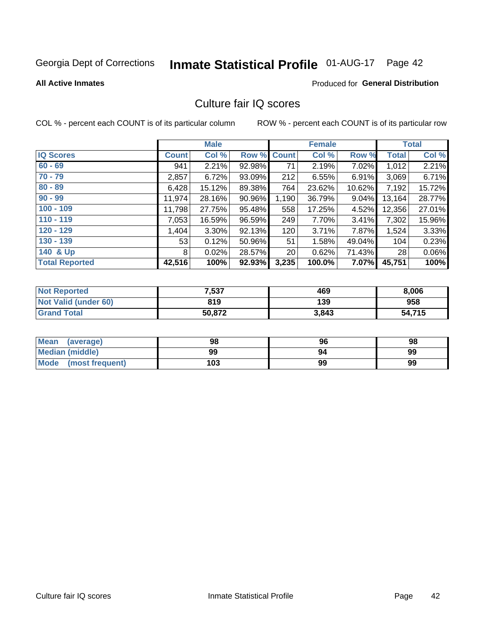# Inmate Statistical Profile 01-AUG-17 Page 42

#### **All Active Inmates**

### **Produced for General Distribution**

## Culture fair IQ scores

COL % - percent each COUNT is of its particular column

|                       |              | <b>Male</b> |             |       | <b>Female</b> |        |              | <b>Total</b> |
|-----------------------|--------------|-------------|-------------|-------|---------------|--------|--------------|--------------|
| <b>IQ Scores</b>      | <b>Count</b> | Col %       | Row % Count |       | Col %         | Row %  | <b>Total</b> | Col %        |
| $60 - 69$             | 941          | 2.21%       | 92.98%      | 71    | 2.19%         | 7.02%  | 1,012        | 2.21%        |
| $70 - 79$             | 2,857        | 6.72%       | 93.09%      | 212   | 6.55%         | 6.91%  | 3,069        | 6.71%        |
| $80 - 89$             | 6,428        | 15.12%      | 89.38%      | 764   | 23.62%        | 10.62% | 7,192        | 15.72%       |
| $90 - 99$             | 11,974       | 28.16%      | 90.96%      | 1,190 | 36.79%        | 9.04%  | 13,164       | 28.77%       |
| $100 - 109$           | 11,798       | 27.75%      | 95.48%      | 558   | 17.25%        | 4.52%  | 12,356       | 27.01%       |
| $110 - 119$           | 7,053        | 16.59%      | 96.59%      | 249   | 7.70%         | 3.41%  | 7,302        | 15.96%       |
| $120 - 129$           | 1,404        | 3.30%       | 92.13%      | 120   | 3.71%         | 7.87%  | 1,524        | 3.33%        |
| $130 - 139$           | 53           | 0.12%       | 50.96%      | 51    | 1.58%         | 49.04% | 104          | 0.23%        |
| 140 & Up              | 8            | 0.02%       | 28.57%      | 20    | 0.62%         | 71.43% | 28           | 0.06%        |
| <b>Total Reported</b> | 42,516       | 100%        | 92.93%      | 3,235 | 100.0%        | 7.07%  | 45,751       | 100%         |

| <b>Not Reported</b>         | 7,537  | 469   | 8,006  |
|-----------------------------|--------|-------|--------|
| <b>Not Valid (under 60)</b> | 819    | 139   | 958    |
| <b>Grand Total</b>          | 50,872 | 3,843 | 54,715 |

| <b>Mean</b><br>(average) | 98  | 96 | 98 |
|--------------------------|-----|----|----|
| Median (middle)          | 99  | 94 | 99 |
| Mode<br>(most frequent)  | 103 | 99 | 99 |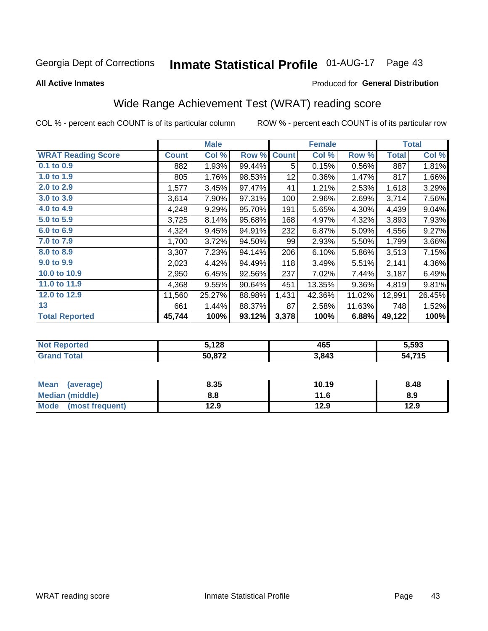#### **Inmate Statistical Profile 01-AUG-17** Page 43

#### **All Active Inmates**

#### Produced for General Distribution

# Wide Range Achievement Test (WRAT) reading score

COL % - percent each COUNT is of its particular column

|                           |              | <b>Male</b> |        |              | <b>Female</b> |        |              | <b>Total</b> |
|---------------------------|--------------|-------------|--------|--------------|---------------|--------|--------------|--------------|
| <b>WRAT Reading Score</b> | <b>Count</b> | Col %       | Row %  | <b>Count</b> | Col %         | Row %  | <b>Total</b> | Col %        |
| 0.1 to 0.9                | 882          | 1.93%       | 99.44% | 5            | 0.15%         | 0.56%  | 887          | 1.81%        |
| 1.0 to 1.9                | 805          | 1.76%       | 98.53% | 12           | 0.36%         | 1.47%  | 817          | 1.66%        |
| 2.0 to 2.9                | 1,577        | 3.45%       | 97.47% | 41           | 1.21%         | 2.53%  | 1,618        | 3.29%        |
| 3.0 to 3.9                | 3,614        | 7.90%       | 97.31% | 100          | 2.96%         | 2.69%  | 3,714        | 7.56%        |
| 4.0 to 4.9                | 4,248        | 9.29%       | 95.70% | 191          | 5.65%         | 4.30%  | 4,439        | 9.04%        |
| 5.0 to 5.9                | 3,725        | 8.14%       | 95.68% | 168          | 4.97%         | 4.32%  | 3,893        | 7.93%        |
| 6.0 to 6.9                | 4,324        | 9.45%       | 94.91% | 232          | 6.87%         | 5.09%  | 4,556        | 9.27%        |
| 7.0 to 7.9                | 1,700        | 3.72%       | 94.50% | 99           | 2.93%         | 5.50%  | 1,799        | 3.66%        |
| 8.0 to 8.9                | 3,307        | 7.23%       | 94.14% | 206          | 6.10%         | 5.86%  | 3,513        | 7.15%        |
| 9.0 to 9.9                | 2,023        | 4.42%       | 94.49% | 118          | 3.49%         | 5.51%  | 2,141        | 4.36%        |
| 10.0 to 10.9              | 2,950        | 6.45%       | 92.56% | 237          | 7.02%         | 7.44%  | 3,187        | 6.49%        |
| 11.0 to 11.9              | 4,368        | 9.55%       | 90.64% | 451          | 13.35%        | 9.36%  | 4,819        | 9.81%        |
| 12.0 to 12.9              | 11,560       | 25.27%      | 88.98% | 1,431        | 42.36%        | 11.02% | 12,991       | 26.45%       |
| 13                        | 661          | 1.44%       | 88.37% | 87           | 2.58%         | 11.63% | 748          | 1.52%        |
| <b>Total Reported</b>     | 45,744       | 100%        | 93.12% | 3,378        | 100%          | 6.88%  | 49,122       | 100%         |

| Teu.<br>NO | 5,128  | 465   | 5,593                |
|------------|--------|-------|----------------------|
| int        | 50.872 | 3,843 | <b>74 E</b><br>. . U |

| Mean (average)       | 8.35 | 10.19 | 8.48 |
|----------------------|------|-------|------|
| Median (middle)      | 8.8  | 11.6  | 8.9  |
| Mode (most frequent) | 12.9 | 12.9  | 12.9 |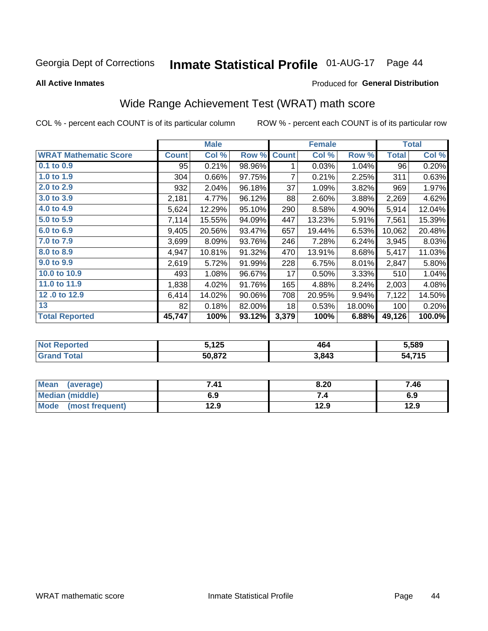#### **Inmate Statistical Profile 01-AUG-17** Page 44

**All Active Inmates** 

#### Produced for General Distribution

# Wide Range Achievement Test (WRAT) math score

COL % - percent each COUNT is of its particular column

|                              |              | <b>Male</b> |        |              | <b>Female</b> |        |              | <b>Total</b> |
|------------------------------|--------------|-------------|--------|--------------|---------------|--------|--------------|--------------|
| <b>WRAT Mathematic Score</b> | <b>Count</b> | Col %       | Row %  | <b>Count</b> | Col %         | Row %  | <b>Total</b> | Col %        |
| $0.1$ to $0.9$               | 95           | 0.21%       | 98.96% | 1            | 0.03%         | 1.04%  | 96           | 0.20%        |
| 1.0 to 1.9                   | 304          | 0.66%       | 97.75% | 7            | 0.21%         | 2.25%  | 311          | 0.63%        |
| 2.0 to 2.9                   | 932          | 2.04%       | 96.18% | 37           | 1.09%         | 3.82%  | 969          | 1.97%        |
| 3.0 to 3.9                   | 2,181        | 4.77%       | 96.12% | 88           | 2.60%         | 3.88%  | 2,269        | 4.62%        |
| 4.0 to 4.9                   | 5,624        | 12.29%      | 95.10% | 290          | 8.58%         | 4.90%  | 5,914        | 12.04%       |
| 5.0 to 5.9                   | 7,114        | 15.55%      | 94.09% | 447          | 13.23%        | 5.91%  | 7,561        | 15.39%       |
| 6.0 to 6.9                   | 9,405        | 20.56%      | 93.47% | 657          | 19.44%        | 6.53%  | 10,062       | 20.48%       |
| 7.0 to 7.9                   | 3,699        | 8.09%       | 93.76% | 246          | 7.28%         | 6.24%  | 3,945        | 8.03%        |
| 8.0 to 8.9                   | 4,947        | 10.81%      | 91.32% | 470          | 13.91%        | 8.68%  | 5,417        | 11.03%       |
| 9.0 to 9.9                   | 2,619        | 5.72%       | 91.99% | 228          | 6.75%         | 8.01%  | 2,847        | 5.80%        |
| 10.0 to 10.9                 | 493          | 1.08%       | 96.67% | 17           | 0.50%         | 3.33%  | 510          | 1.04%        |
| 11.0 to 11.9                 | 1,838        | 4.02%       | 91.76% | 165          | 4.88%         | 8.24%  | 2,003        | 4.08%        |
| 12.0 to 12.9                 | 6,414        | 14.02%      | 90.06% | 708          | 20.95%        | 9.94%  | 7,122        | 14.50%       |
| 13                           | 82           | 0.18%       | 82.00% | 18           | 0.53%         | 18.00% | 100          | 0.20%        |
| <b>Total Reported</b>        | 45,747       | 100%        | 93.12% | 3,379        | 100%          | 6.88%  | 49,126       | 100.0%       |

| <b>orted</b><br><b>NOT</b><br>₹ем | 5,125  | 464   | 5,589  |
|-----------------------------------|--------|-------|--------|
| Total<br>'Grano                   | 50,872 | 3,843 | 4,715د |

| <b>Mean</b><br>(average) | 7.41 | 8.20 | 7.46 |
|--------------------------|------|------|------|
| Median (middle)          | 6.9  | ۰.,  | 6.9  |
| Mode<br>(most frequent)  | 12.9 | 12.9 | 12.9 |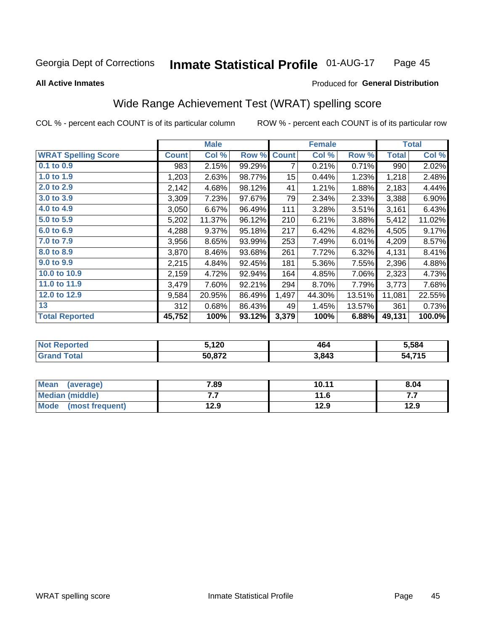#### **Inmate Statistical Profile 01-AUG-17** Page 45

**All Active Inmates** 

#### Produced for General Distribution

## Wide Range Achievement Test (WRAT) spelling score

COL % - percent each COUNT is of its particular column

|                            |              | <b>Male</b> |        |              | <b>Female</b> |        |              | <b>Total</b> |
|----------------------------|--------------|-------------|--------|--------------|---------------|--------|--------------|--------------|
| <b>WRAT Spelling Score</b> | <b>Count</b> | Col %       | Row %  | <b>Count</b> | Col %         | Row %  | <b>Total</b> | Col %        |
| $0.1$ to $0.9$             | 983          | 2.15%       | 99.29% | 7            | 0.21%         | 0.71%  | 990          | 2.02%        |
| 1.0 to 1.9                 | 1,203        | 2.63%       | 98.77% | 15           | 0.44%         | 1.23%  | 1,218        | 2.48%        |
| 2.0 to 2.9                 | 2,142        | 4.68%       | 98.12% | 41           | 1.21%         | 1.88%  | 2,183        | 4.44%        |
| 3.0 to 3.9                 | 3,309        | 7.23%       | 97.67% | 79           | 2.34%         | 2.33%  | 3,388        | 6.90%        |
| 4.0 to 4.9                 | 3,050        | 6.67%       | 96.49% | 111          | 3.28%         | 3.51%  | 3,161        | 6.43%        |
| 5.0 to 5.9                 | 5,202        | 11.37%      | 96.12% | 210          | 6.21%         | 3.88%  | 5,412        | 11.02%       |
| 6.0 to 6.9                 | 4,288        | 9.37%       | 95.18% | 217          | 6.42%         | 4.82%  | 4,505        | 9.17%        |
| 7.0 to 7.9                 | 3,956        | 8.65%       | 93.99% | 253          | 7.49%         | 6.01%  | 4,209        | 8.57%        |
| 8.0 to 8.9                 | 3,870        | 8.46%       | 93.68% | 261          | 7.72%         | 6.32%  | 4,131        | 8.41%        |
| 9.0 to 9.9                 | 2,215        | 4.84%       | 92.45% | 181          | 5.36%         | 7.55%  | 2,396        | 4.88%        |
| 10.0 to 10.9               | 2,159        | 4.72%       | 92.94% | 164          | 4.85%         | 7.06%  | 2,323        | 4.73%        |
| 11.0 to 11.9               | 3,479        | 7.60%       | 92.21% | 294          | 8.70%         | 7.79%  | 3,773        | 7.68%        |
| 12.0 to 12.9               | 9,584        | 20.95%      | 86.49% | 1,497        | 44.30%        | 13.51% | 11,081       | 22.55%       |
| 13                         | 312          | 0.68%       | 86.43% | 49           | 1.45%         | 13.57% | 361          | 0.73%        |
| <b>Total Reported</b>      | 45,752       | 100%        | 93.12% | 3,379        | 100%          | 6.88%  | 49,131       | 100.0%       |

| rtea<br>NO | ោ20    | 464   | 5,584                   |
|------------|--------|-------|-------------------------|
| $\sim$     | 50,872 | 3,843 | $A$ $74E$<br>-54<br>. . |

| Mean<br>(average)    | 7.89 | 10.11 | 8.04 |
|----------------------|------|-------|------|
| Median (middle)      | .    | 11.6  | .    |
| Mode (most frequent) | 12.9 | 12.9  | 12.9 |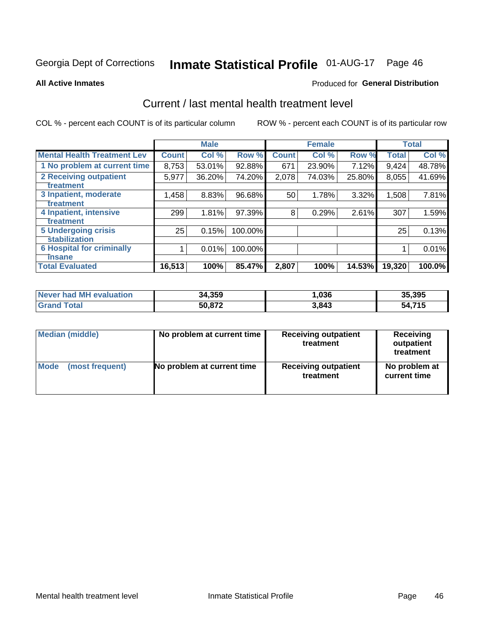# Inmate Statistical Profile 01-AUG-17 Page 46

#### **All Active Inmates**

#### Produced for General Distribution

## Current / last mental health treatment level

COL % - percent each COUNT is of its particular column

|                                    |              | <b>Male</b> |         |              | <b>Female</b> |        |              | <b>Total</b> |
|------------------------------------|--------------|-------------|---------|--------------|---------------|--------|--------------|--------------|
| <b>Mental Health Treatment Lev</b> | <b>Count</b> | Col%        | Row %   | <b>Count</b> | Col %         | Row %  | <b>Total</b> | Col %        |
| 1 No problem at current time       | 8,753        | 53.01%      | 92.88%  | 671          | 23.90%        | 7.12%  | 9,424        | 48.78%       |
| 2 Receiving outpatient             | 5,977        | 36.20%      | 74.20%  | 2,078        | 74.03%        | 25.80% | 8,055        | 41.69%       |
| <b>Treatment</b>                   |              |             |         |              |               |        |              |              |
| 3 Inpatient, moderate              | 1,458        | 8.83%       | 96.68%  | 50           | 1.78%         | 3.32%  | 1,508        | 7.81%        |
| Treatment                          |              |             |         |              |               |        |              |              |
| 4 Inpatient, intensive             | 299          | 1.81%       | 97.39%  | 8            | 0.29%         | 2.61%  | 307          | 1.59%        |
| <b>Treatment</b>                   |              |             |         |              |               |        |              |              |
| 5 Undergoing crisis                | 25           | 0.15%       | 100.00% |              |               |        | 25           | 0.13%        |
| <b>stabilization</b>               |              |             |         |              |               |        |              |              |
| <b>6 Hospital for criminally</b>   |              | 0.01%       | 100.00% |              |               |        |              | 0.01%        |
| <b>Tinsane</b>                     |              |             |         |              |               |        |              |              |
| <b>Total Evaluated</b>             | 16,513       | 100%        | 85.47%  | 2,807        | 100%          | 14.53% | 19,320       | 100.0%       |

| Never had MH evaluation | 34,359 | ,036  | 35,395 |
|-------------------------|--------|-------|--------|
| <b>Grand Total</b>      | 50,872 | 3,843 | 54,715 |

| Median (middle) | No problem at current time | <b>Receiving outpatient</b><br>treatment | <b>Receiving</b><br>outpatient<br>treatment |
|-----------------|----------------------------|------------------------------------------|---------------------------------------------|
| <b>Mode</b>     | No problem at current time | <b>Receiving outpatient</b>              | No problem at                               |
| (most frequent) |                            | treatment                                | current time                                |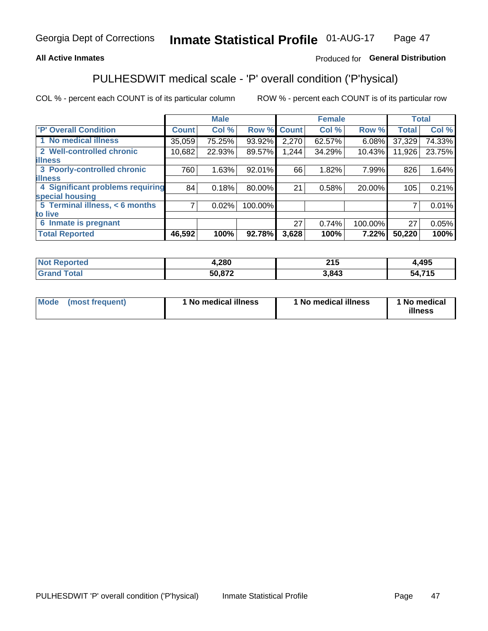### **All Active Inmates**

### Produced for General Distribution

# PULHESDWIT medical scale - 'P' overall condition ('P'hysical)

COL % - percent each COUNT is of its particular column

|                                  |                | <b>Male</b> |         |              | <b>Female</b> |         |              | <b>Total</b> |
|----------------------------------|----------------|-------------|---------|--------------|---------------|---------|--------------|--------------|
| 'P' Overall Condition            | <b>Count</b>   | Col %       | Row %   | <b>Count</b> | Col %         | Row %   | <b>Total</b> | Col %        |
| 1 No medical illness             | 35,059         | 75.25%      | 93.92%  | 2,270        | 62.57%        | 6.08%   | 37,329       | 74.33%       |
| 2 Well-controlled chronic        | 10,682         | 22.93%      | 89.57%  | 1,244        | 34.29%        | 10.43%  | 11,926       | 23.75%       |
| <b>lillness</b>                  |                |             |         |              |               |         |              |              |
| 3 Poorly-controlled chronic      | 760            | 1.63%       | 92.01%  | 66           | 1.82%         | 7.99%   | 826          | 1.64%        |
| <b>illness</b>                   |                |             |         |              |               |         |              |              |
| 4 Significant problems requiring | 84             | 0.18%       | 80.00%  | 21           | 0.58%         | 20.00%  | 105          | 0.21%        |
| special housing                  |                |             |         |              |               |         |              |              |
| 5 Terminal illness, < 6 months   | $\overline{7}$ | 0.02%       | 100.00% |              |               |         | 7            | 0.01%        |
| to live                          |                |             |         |              |               |         |              |              |
| 6 Inmate is pregnant             |                |             |         | 27           | 0.74%         | 100.00% | 27           | 0.05%        |
| <b>Total Reported</b>            | 46,592         | 100%        | 92.78%  | 3,628        | 100%          | 7.22%   | 50,220       | 100%         |

| тео | 1,280 | <b>OAL</b><br>2 I J | ,495      |
|-----|-------|---------------------|-----------|
|     | - 070 | 3 843<br>۰.         | 74E<br>מי |

| Mode | (most frequent) | 1 No medical illness | 1 No medical illness | 1 No medical<br>illness |
|------|-----------------|----------------------|----------------------|-------------------------|
|------|-----------------|----------------------|----------------------|-------------------------|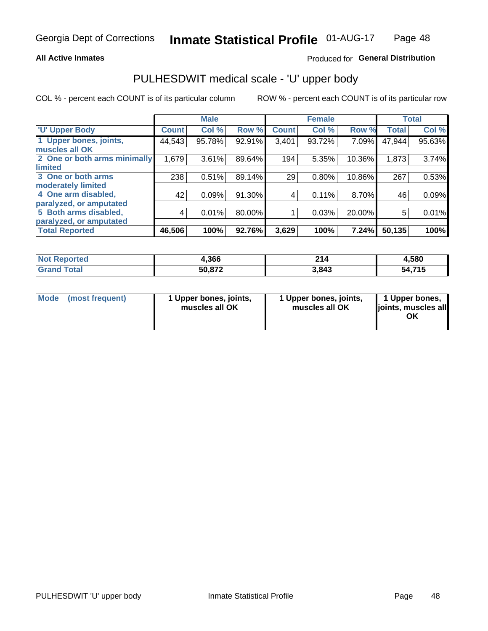#### **All Active Inmates**

### Produced for General Distribution

# PULHESDWIT medical scale - 'U' upper body

COL % - percent each COUNT is of its particular column

|                              |              | <b>Male</b> |        |              | <b>Female</b> |        |              | <b>Total</b> |
|------------------------------|--------------|-------------|--------|--------------|---------------|--------|--------------|--------------|
| <b>U' Upper Body</b>         | <b>Count</b> | Col %       | Row %  | <b>Count</b> | Col %         | Row %  | <b>Total</b> | Col %        |
| 1 Upper bones, joints,       | 44,543       | 95.78%      | 92.91% | 3,401        | 93.72%        | 7.09%  | 47,944       | 95.63%       |
| muscles all OK               |              |             |        |              |               |        |              |              |
| 2 One or both arms minimally | 1,679        | 3.61%       | 89.64% | 194          | 5.35%         | 10.36% | 1,873        | 3.74%        |
| limited                      |              |             |        |              |               |        |              |              |
| 3 One or both arms           | 238          | 0.51%       | 89.14% | 29           | 0.80%         | 10.86% | 267          | 0.53%        |
| <b>moderately limited</b>    |              |             |        |              |               |        |              |              |
| 4 One arm disabled,          | 42           | 0.09%       | 91.30% | 4            | 0.11%         | 8.70%  | 46           | 0.09%        |
| paralyzed, or amputated      |              |             |        |              |               |        |              |              |
| 5 Both arms disabled,        | 4            | 0.01%       | 80.00% |              | 0.03%         | 20.00% | 5            | 0.01%        |
| paralyzed, or amputated      |              |             |        |              |               |        |              |              |
| <b>Total Reported</b>        | 46,506       | 100%        | 92.76% | 3,629        | 100%          | 7.24%  | 50,135       | 100%         |

| <b>Not Reported</b>   | 1,366  | 214   | 4,580  |
|-----------------------|--------|-------|--------|
| <b>Total</b><br>Grand | 50,872 | 3,843 | 54,715 |

| Mode<br>(most frequent) | 1 Upper bones, joints,<br>muscles all OK | 1 Upper bones, joints,<br>muscles all OK | 1 Upper bones,<br>joints, muscles all<br>ΟK |
|-------------------------|------------------------------------------|------------------------------------------|---------------------------------------------|
|-------------------------|------------------------------------------|------------------------------------------|---------------------------------------------|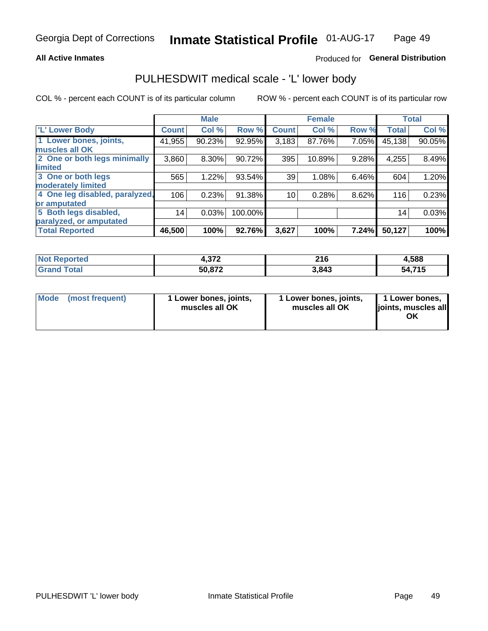#### **All Active Inmates**

### Produced for General Distribution

## PULHESDWIT medical scale - 'L' lower body

COL % - percent each COUNT is of its particular column

|                                |              | <b>Male</b> |         |              | <b>Female</b> |       |              | <b>Total</b> |
|--------------------------------|--------------|-------------|---------|--------------|---------------|-------|--------------|--------------|
| 'L' Lower Body                 | <b>Count</b> | Col %       | Row %   | <b>Count</b> | Col %         | Row % | <b>Total</b> | Col %        |
| 1 Lower bones, joints,         | 41,955       | 90.23%      | 92.95%  | 3,183        | 87.76%        | 7.05% | 45,138       | 90.05%       |
| muscles all OK                 |              |             |         |              |               |       |              |              |
| 2 One or both legs minimally   | 3,860        | 8.30%       | 90.72%  | 395          | 10.89%        | 9.28% | 4,255        | 8.49%        |
| limited                        |              |             |         |              |               |       |              |              |
| 3 One or both legs             | 565          | 1.22%       | 93.54%  | 39           | 1.08%         | 6.46% | 604          | 1.20%        |
| moderately limited             |              |             |         |              |               |       |              |              |
| 4 One leg disabled, paralyzed, | 106          | 0.23%       | 91.38%  | 10           | 0.28%         | 8.62% | 116          | 0.23%        |
| or amputated                   |              |             |         |              |               |       |              |              |
| 5 Both legs disabled,          | 14           | 0.03%       | 100.00% |              |               |       | 14           | 0.03%        |
| paralyzed, or amputated        |              |             |         |              |               |       |              |              |
| <b>Total Reported</b>          | 46,500       | 100%        | 92.76%  | 3,627        | 100%          | 7.24% | 50,127       | 100%         |

| <b>Not Reported</b>          | ヘラベ<br>1.VI L | 216   | 4,588  |
|------------------------------|---------------|-------|--------|
| <b>Total</b><br><b>Grand</b> | 50,872        | 3,843 | 54,715 |

|  | Mode (most frequent) | 1 Lower bones, joints,<br>muscles all OK | 1 Lower bones, joints,<br>muscles all OK | 1 Lower bones,<br>joints, muscles all<br>ΟK |
|--|----------------------|------------------------------------------|------------------------------------------|---------------------------------------------|
|--|----------------------|------------------------------------------|------------------------------------------|---------------------------------------------|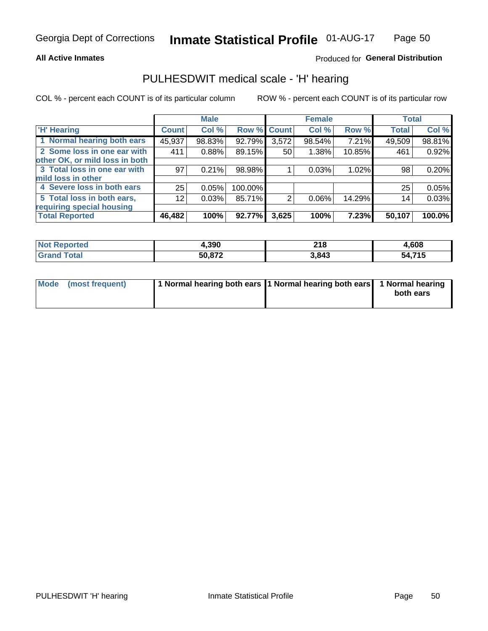#### **All Active Inmates**

### Produced for General Distribution

## PULHESDWIT medical scale - 'H' hearing

COL % - percent each COUNT is of its particular column

|                                |              | <b>Male</b> |         |             | <b>Female</b> |        | <b>Total</b> |        |
|--------------------------------|--------------|-------------|---------|-------------|---------------|--------|--------------|--------|
| <b>H'</b> Hearing              | <b>Count</b> | Col %       |         | Row % Count | Col %         | Row %  | <b>Total</b> | Col %  |
| 1 Normal hearing both ears     | 45,937       | 98.83%      | 92.79%  | 3,572       | 98.54%        | 7.21%  | 49,509       | 98.81% |
| 2 Some loss in one ear with    | 411          | 0.88%       | 89.15%  | 50          | 1.38%         | 10.85% | 461          | 0.92%  |
| other OK, or mild loss in both |              |             |         |             |               |        |              |        |
| 3 Total loss in one ear with   | 97           | 0.21%       | 98.98%  |             | 0.03%         | 1.02%  | 98           | 0.20%  |
| mild loss in other             |              |             |         |             |               |        |              |        |
| 4 Severe loss in both ears     | 25           | 0.05%       | 100.00% |             |               |        | 25           | 0.05%  |
| 5 Total loss in both ears,     | 12           | 0.03%       | 85.71%  | 2           | $0.06\%$      | 14.29% | 14           | 0.03%  |
| requiring special housing      |              |             |         |             |               |        |              |        |
| <b>Total Reported</b>          | 46,482       | 100%        | 92.77%  | 3,625       | 100%          | 7.23%  | 50,107       | 100.0% |

| N <sub>of</sub><br>prtea | .,390  | <b>040</b><br>ZIO | .608   |
|--------------------------|--------|-------------------|--------|
| $\sim$ $\sim$            | 50,872 | 3,843             | 54,715 |

| Mode (most frequent) | 1 Normal hearing both ears 1 Normal hearing both ears 1 Normal hearing |           |
|----------------------|------------------------------------------------------------------------|-----------|
|                      |                                                                        | both ears |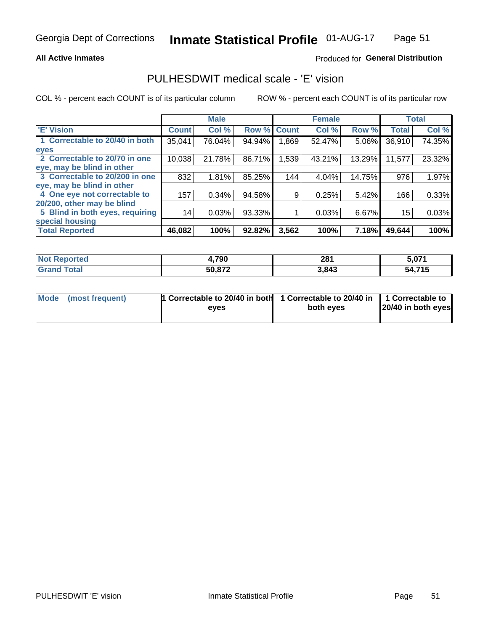#### **All Active Inmates**

### Produced for General Distribution

## PULHESDWIT medical scale - 'E' vision

COL % - percent each COUNT is of its particular column

|                                 |              | <b>Male</b> |        |              | <b>Female</b> |        |              | <b>Total</b> |
|---------------------------------|--------------|-------------|--------|--------------|---------------|--------|--------------|--------------|
| <b>E' Vision</b>                | <b>Count</b> | Col %       | Row %  | <b>Count</b> | Col %         | Row %  | <b>Total</b> | Col %        |
| 1 Correctable to 20/40 in both  | 35,041       | 76.04%      | 94.94% | ,869         | 52.47%        | 5.06%  | 36,910       | 74.35%       |
| eyes                            |              |             |        |              |               |        |              |              |
| 2 Correctable to 20/70 in one   | 10,038       | 21.78%      | 86.71% | 1,539        | 43.21%        | 13.29% | 11,577       | 23.32%       |
| eye, may be blind in other      |              |             |        |              |               |        |              |              |
| 3 Correctable to 20/200 in one  | 832          | 1.81%       | 85.25% | 144          | 4.04%         | 14.75% | 976          | 1.97%        |
| eye, may be blind in other      |              |             |        |              |               |        |              |              |
| 4 One eye not correctable to    | 157          | 0.34%       | 94.58% | 9.           | 0.25%         | 5.42%  | 166          | 0.33%        |
| 20/200, other may be blind      |              |             |        |              |               |        |              |              |
| 5 Blind in both eyes, requiring | 14           | 0.03%       | 93.33% |              | 0.03%         | 6.67%  | 15           | 0.03%        |
| special housing                 |              |             |        |              |               |        |              |              |
| <b>Total Reported</b>           | 46,082       | 100%        | 92.82% | 3,562        | 100%          | 7.18%  | 49,644       | 100%         |

| <b>Not Reported</b> | <b>700</b><br>4,7 YU | 281   | 5,071      |
|---------------------|----------------------|-------|------------|
| 「otal               | 50,872               | 3,843 | ,715<br>54 |

| Mode (most frequent) | 1 Correctable to 20/40 in both<br>eves | 1 Correctable to 20/40 in   1 Correctable to  <br>both eves | 20/40 in both eyes |
|----------------------|----------------------------------------|-------------------------------------------------------------|--------------------|
|                      |                                        |                                                             |                    |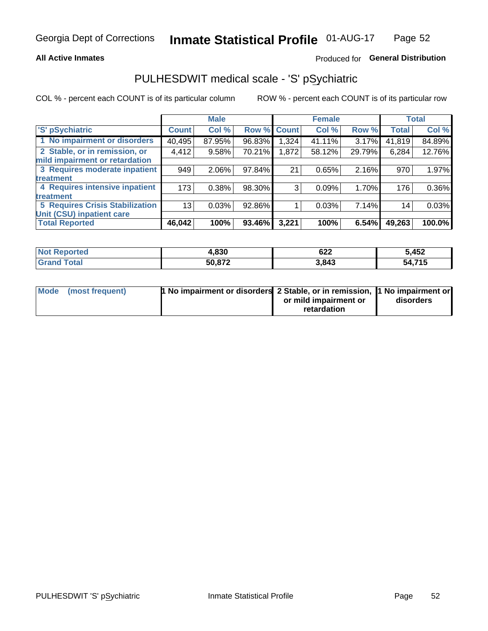#### **All Active Inmates**

### Produced for General Distribution

# PULHESDWIT medical scale - 'S' pSychiatric

COL % - percent each COUNT is of its particular column

|                                        |              | <b>Male</b> |        |              | <b>Female</b> |        |              | <b>Total</b> |
|----------------------------------------|--------------|-------------|--------|--------------|---------------|--------|--------------|--------------|
| 'S' pSychiatric                        | <b>Count</b> | Col %       | Row %  | <b>Count</b> | Col %         | Row %  | <b>Total</b> | Col %        |
| 1 No impairment or disorders           | 40,495       | 87.95%      | 96.83% | 1,324        | 41.11%        | 3.17%  | 41,819       | 84.89%       |
| 2 Stable, or in remission, or          | 4,412        | 9.58%       | 70.21% | 1,872        | 58.12%        | 29.79% | 6,284        | 12.76%       |
| mild impairment or retardation         |              |             |        |              |               |        |              |              |
| 3 Requires moderate inpatient          | 949          | 2.06%       | 97.84% | 21           | 0.65%         | 2.16%  | 970          | 1.97%        |
| treatment                              |              |             |        |              |               |        |              |              |
| 4 Requires intensive inpatient         | 173          | 0.38%       | 98.30% | 3            | 0.09%         | 1.70%  | 176          | 0.36%        |
| treatment                              |              |             |        |              |               |        |              |              |
| <b>5 Requires Crisis Stabilization</b> | 13           | 0.03%       | 92.86% |              | 0.03%         | 7.14%  | 14           | 0.03%        |
| Unit (CSU) inpatient care              |              |             |        |              |               |        |              |              |
| <b>Total Reported</b>                  | 46,042       | 100%        | 93.46% | 3,221        | 100%          | 6.54%  | 49,263       | 100.0%       |

| <b>Not Reported</b> | 4,830  | 622   | 5,452                 |
|---------------------|--------|-------|-----------------------|
| Total<br>' Grand    | 50,872 | 3,843 | <b>74 F</b><br>54.715 |

| Mode (most frequent) | <b>1 No impairment or disorders</b> 2 Stable, or in remission, 11 No impairment or |                       |           |
|----------------------|------------------------------------------------------------------------------------|-----------------------|-----------|
|                      |                                                                                    | or mild impairment or | disorders |
|                      |                                                                                    | retardation           |           |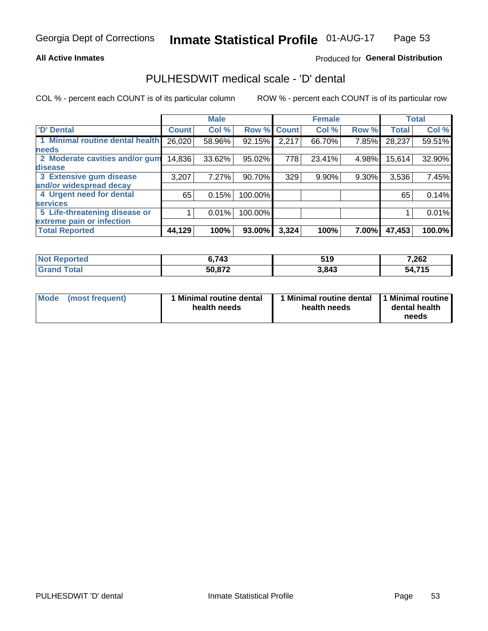#### **All Active Inmates**

### Produced for General Distribution

## PULHESDWIT medical scale - 'D' dental

COL % - percent each COUNT is of its particular column

|                                 |              | <b>Male</b> |         |              | <b>Female</b> |       |              | <b>Total</b> |
|---------------------------------|--------------|-------------|---------|--------------|---------------|-------|--------------|--------------|
| <b>D'</b> Dental                | <b>Count</b> | Col %       | Row %   | <b>Count</b> | Col %         | Row % | <b>Total</b> | Col %        |
| 1 Minimal routine dental health | 26,020       | 58.96%      | 92.15%  | 2,217        | 66.70%        | 7.85% | 28,237       | 59.51%       |
| <b>needs</b>                    |              |             |         |              |               |       |              |              |
| 2 Moderate cavities and/or gum  | 14,836       | 33.62%      | 95.02%  | 778          | 23.41%        | 4.98% | 15,614       | 32.90%       |
| disease                         |              |             |         |              |               |       |              |              |
| 3 Extensive gum disease         | 3,207        | 7.27%       | 90.70%  | 329          | 9.90%         | 9.30% | 3,536        | 7.45%        |
| and/or widespread decay         |              |             |         |              |               |       |              |              |
| 4 Urgent need for dental        | 65           | 0.15%       | 100.00% |              |               |       | 65           | 0.14%        |
| <b>services</b>                 |              |             |         |              |               |       |              |              |
| 5 Life-threatening disease or   |              | 0.01%       | 100.00% |              |               |       |              | 0.01%        |
| extreme pain or infection       |              |             |         |              |               |       |              |              |
| <b>Total Reported</b>           | 44, 129      | 100%        | 93.00%  | 3,324        | 100%          | 7.00% | 47,453       | 100.0%       |

| <b>Not Reported</b> | 6,743  | 519   | 7,262  |
|---------------------|--------|-------|--------|
| Total<br>' Grand    | 50,872 | 3,843 | 54,715 |

| Mode<br><b>Minimal routine dental</b><br>(most frequent)<br>health needs | 1 Minimal routine dental<br>health needs | 1 Minimal routine<br>dental health<br>needs |
|--------------------------------------------------------------------------|------------------------------------------|---------------------------------------------|
|--------------------------------------------------------------------------|------------------------------------------|---------------------------------------------|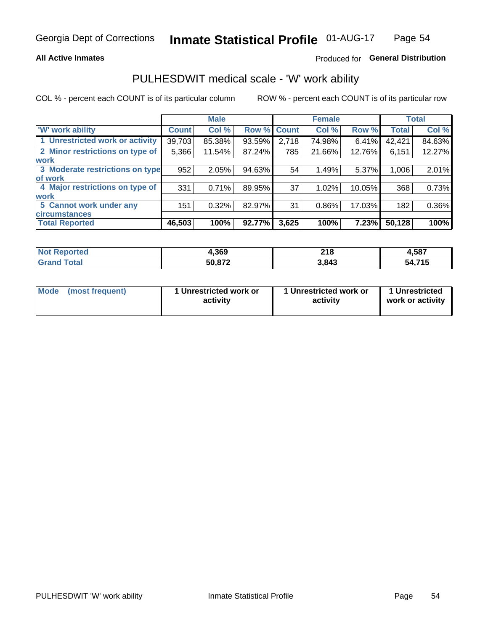#### **All Active Inmates**

### Produced for General Distribution

## PULHESDWIT medical scale - 'W' work ability

COL % - percent each COUNT is of its particular column

|                                 |              | <b>Male</b> |        |             | <b>Female</b> |        |              | <b>Total</b> |
|---------------------------------|--------------|-------------|--------|-------------|---------------|--------|--------------|--------------|
| <b>W' work ability</b>          | <b>Count</b> | Col %       |        | Row % Count | Col %         | Row %  | <b>Total</b> | Col %        |
| 1 Unrestricted work or activity | 39,703       | 85.38%      | 93.59% | 2,718       | 74.98%        | 6.41%  | 42,421       | 84.63%       |
| 2 Minor restrictions on type of | 5,366        | 11.54%      | 87.24% | 785         | 21.66%        | 12.76% | 6,151        | 12.27%       |
| <b>work</b>                     |              |             |        |             |               |        |              |              |
| 3 Moderate restrictions on type | 952          | 2.05%       | 94.63% | 54          | 1.49%         | 5.37%  | 1,006        | 2.01%        |
| lof work                        |              |             |        |             |               |        |              |              |
| 4 Major restrictions on type of | 331          | 0.71%       | 89.95% | 37          | 1.02%         | 10.05% | 368          | 0.73%        |
| <b>work</b>                     |              |             |        |             |               |        |              |              |
| 5 Cannot work under any         | 151          | 0.32%       | 82.97% | 31          | 0.86%         | 17.03% | 182          | 0.36%        |
| <b>circumstances</b>            |              |             |        |             |               |        |              |              |
| <b>Total Reported</b>           | 46,503       | 100%        | 92.77% | 3,625       | 100%          | 7.23%  | 50,128       | 100%         |

| <b>Not Reported</b>   | 4,369  | <b>040</b><br>2 I Q | 4,587  |
|-----------------------|--------|---------------------|--------|
| Total<br><b>Grand</b> | 50,872 | 3,843               | 54,715 |

| Mode (most frequent) | 1 Unrestricted work or | 1 Unrestricted work or | 1 Unrestricted   |
|----------------------|------------------------|------------------------|------------------|
|                      | activity               | activity               | work or activity |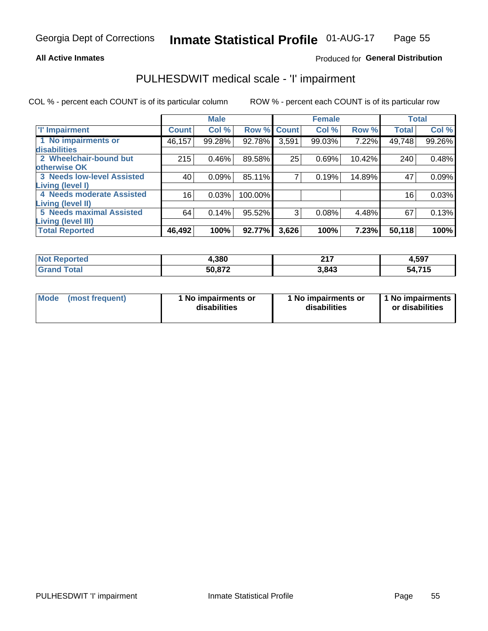#### **All Active Inmates**

### Produced for General Distribution

# PULHESDWIT medical scale - 'I' impairment

COL % - percent each COUNT is of its particular column

|                                   |              | <b>Male</b> |         |             | <b>Female</b> |        |              | <b>Total</b> |
|-----------------------------------|--------------|-------------|---------|-------------|---------------|--------|--------------|--------------|
| <b>T' Impairment</b>              | <b>Count</b> | Col %       |         | Row % Count | Col %         | Row %  | <b>Total</b> | Col %        |
| 1 No impairments or               | 46,157       | 99.28%      | 92.78%  | 3,591       | 99.03%        | 7.22%  | 49,748       | 99.26%       |
| <b>disabilities</b>               |              |             |         |             |               |        |              |              |
| 2 Wheelchair-bound but            | 215          | 0.46%       | 89.58%  | 25          | 0.69%         | 10.42% | 240          | 0.48%        |
| otherwise OK                      |              |             |         |             |               |        |              |              |
| <b>3 Needs low-level Assisted</b> | 40           | 0.09%       | 85.11%  | 7           | 0.19%         | 14.89% | 47           | 0.09%        |
| Living (level I)                  |              |             |         |             |               |        |              |              |
| 4 Needs moderate Assisted         | 16           | 0.03%       | 100.00% |             |               |        | 16           | 0.03%        |
| <b>Living (level II)</b>          |              |             |         |             |               |        |              |              |
| <b>5 Needs maximal Assisted</b>   | 64           | 0.14%       | 95.52%  | 3           | 0.08%         | 4.48%  | 67           | 0.13%        |
| Living (level III)                |              |             |         |             |               |        |              |              |
| <b>Total Reported</b>             | 46,492       | 100%        | 92.77%  | 3,626       | 100%          | 7.23%  | 50,118       | 100%         |

| <b>Not</b><br><b>Reported</b> | 4,380  | <b>047</b><br>4 I I | 4,597     |
|-------------------------------|--------|---------------------|-----------|
| 'otal                         | 50.872 | .843                | 715<br>מי |

| Mode | (most frequent) | 1 No impairments or<br>disabilities | 1 No impairments or<br>disabilities | 1 No impairments<br>or disabilities |
|------|-----------------|-------------------------------------|-------------------------------------|-------------------------------------|
|------|-----------------|-------------------------------------|-------------------------------------|-------------------------------------|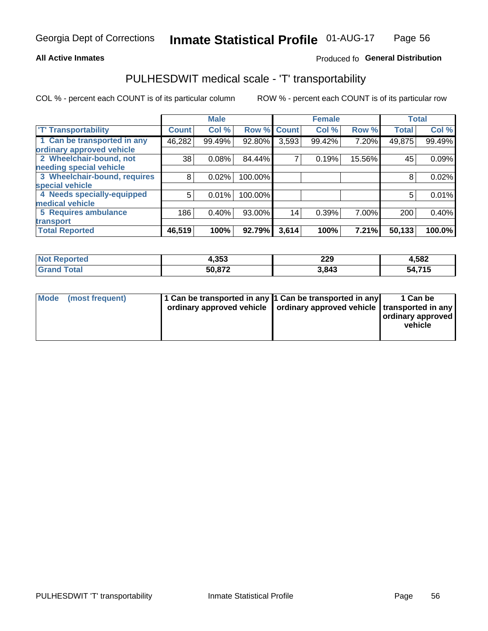#### **All Active Inmates**

### Produced fo General Distribution

## PULHESDWIT medical scale - 'T' transportability

COL % - percent each COUNT is of its particular column

|                              |                    | <b>Male</b> |         |              | <b>Female</b> |        |              | <b>Total</b> |
|------------------------------|--------------------|-------------|---------|--------------|---------------|--------|--------------|--------------|
| <b>T' Transportability</b>   | Count <sup>!</sup> | Col %       | Row %   | <b>Count</b> | Col %         | Row %  | <b>Total</b> | Col %        |
| 1 Can be transported in any  | 46,282             | 99.49%      | 92.80%  | 3,593        | 99.42%        | 7.20%  | 49,875       | 99.49%       |
| ordinary approved vehicle    |                    |             |         |              |               |        |              |              |
| 2 Wheelchair-bound, not      | 38                 | 0.08%       | 84.44%  | 7            | 0.19%         | 15.56% | 45           | 0.09%        |
| needing special vehicle      |                    |             |         |              |               |        |              |              |
| 3 Wheelchair-bound, requires | 8                  | 0.02%       | 100.00% |              |               |        | 8            | 0.02%        |
| special vehicle              |                    |             |         |              |               |        |              |              |
| 4 Needs specially-equipped   | 5                  | 0.01%       | 100.00% |              |               |        | 5            | 0.01%        |
| medical vehicle              |                    |             |         |              |               |        |              |              |
| <b>5 Requires ambulance</b>  | 186                | 0.40%       | 93.00%  | 14           | 0.39%         | 7.00%  | 200          | 0.40%        |
| transport                    |                    |             |         |              |               |        |              |              |
| <b>Total Reported</b>        | 46,519             | 100%        | 92.79%  | 3,614        | 100%          | 7.21%  | 50,133       | 100.0%       |

| <b>Not</b><br>Reported | 4,353  | 229<br>____ | 4,582      |
|------------------------|--------|-------------|------------|
| <b>Total</b><br>Grai   | 50,872 | 3.843       | .715<br>54 |

|  | Mode (most frequent) | 1 Can be transported in any 1 Can be transported in any<br>ordinary approved vehicle   ordinary approved vehicle   transported in any |  | 1 Can be<br>  ordinary approved  <br>vehicle |
|--|----------------------|---------------------------------------------------------------------------------------------------------------------------------------|--|----------------------------------------------|
|--|----------------------|---------------------------------------------------------------------------------------------------------------------------------------|--|----------------------------------------------|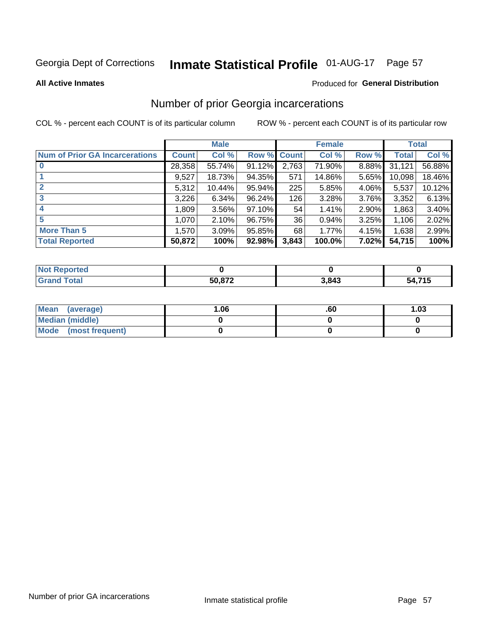# Inmate Statistical Profile 01-AUG-17 Page 57

**All Active Inmates** 

#### Produced for General Distribution

## Number of prior Georgia incarcerations

COL % - percent each COUNT is of its particular column

|                                       |              | <b>Male</b> |             |       | <b>Female</b> |       |        | <b>Total</b> |
|---------------------------------------|--------------|-------------|-------------|-------|---------------|-------|--------|--------------|
| <b>Num of Prior GA Incarcerations</b> | <b>Count</b> | Col %       | Row % Count |       | Col %         | Row % | Total  | Col %        |
| $\bf{0}$                              | 28,358       | 55.74%      | 91.12%      | 2,763 | 71.90%        | 8.88% | 31,121 | 56.88%       |
|                                       | 9,527        | 18.73%      | 94.35%      | 571   | 14.86%        | 5.65% | 10,098 | 18.46%       |
| $\mathbf{2}$                          | 5,312        | 10.44%      | $95.94\%$   | 225   | 5.85%         | 4.06% | 5,537  | 10.12%       |
| 3                                     | 3,226        | 6.34%       | $96.24\%$   | 126   | 3.28%         | 3.76% | 3,352  | 6.13%        |
| $\boldsymbol{4}$                      | 1,809        | 3.56%       | 97.10%      | 54    | 1.41%         | 2.90% | 1,863  | 3.40%        |
| 5                                     | 1,070        | 2.10%       | 96.75%      | 36    | 0.94%         | 3.25% | 1,106  | 2.02%        |
| <b>More Than 5</b>                    | 1,570        | 3.09%       | 95.85%      | 68    | 1.77%         | 4.15% | 1,638  | 2.99%        |
| <b>Total Reported</b>                 | 50,872       | 100%        | 92.98%      | 3,843 | 100.0%        | 7.02% | 54,715 | 100%         |

| 'enorted<br>NO |        |       |                             |
|----------------|--------|-------|-----------------------------|
| <b>Gr</b>      | 50.872 | 843., | <b>715</b><br>ヘД<br>,,, , , |

| Mean (average)       | .06 | .ou | 1.03 |
|----------------------|-----|-----|------|
| Median (middle)      |     |     |      |
| Mode (most frequent) |     |     |      |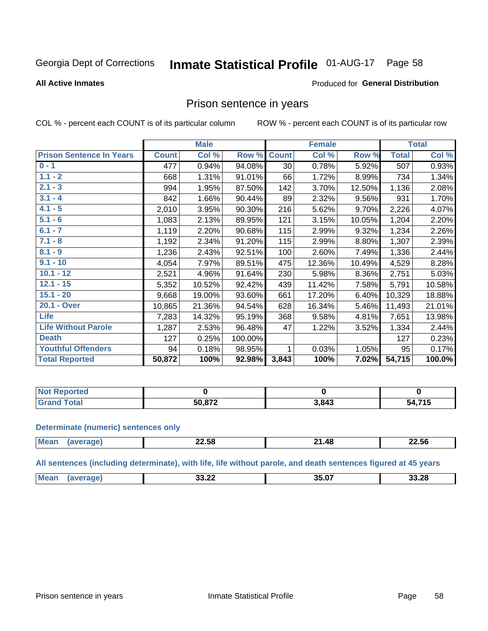#### **Inmate Statistical Profile 01-AUG-17** Page 58

#### **All Active Inmates**

### Produced for General Distribution

### Prison sentence in years

COL % - percent each COUNT is of its particular column

ROW % - percent each COUNT is of its particular row

|                                 |              | <b>Male</b> |         |                 | <b>Female</b> |        |              | <b>Total</b> |
|---------------------------------|--------------|-------------|---------|-----------------|---------------|--------|--------------|--------------|
| <b>Prison Sentence In Years</b> | <b>Count</b> | Col %       | Row %   | <b>Count</b>    | Col %         | Row %  | <b>Total</b> | Col %        |
| $0 - 1$                         | 477          | 0.94%       | 94.08%  | 30 <sup>°</sup> | 0.78%         | 5.92%  | 507          | 0.93%        |
| $1.1 - 2$                       | 668          | 1.31%       | 91.01%  | 66              | 1.72%         | 8.99%  | 734          | 1.34%        |
| $2.1 - 3$                       | 994          | 1.95%       | 87.50%  | 142             | 3.70%         | 12.50% | 1,136        | 2.08%        |
| $3.1 - 4$                       | 842          | 1.66%       | 90.44%  | 89              | 2.32%         | 9.56%  | 931          | 1.70%        |
| $4.1 - 5$                       | 2,010        | 3.95%       | 90.30%  | 216             | 5.62%         | 9.70%  | 2,226        | 4.07%        |
| $5.1 - 6$                       | 1,083        | 2.13%       | 89.95%  | 121             | 3.15%         | 10.05% | 1,204        | 2.20%        |
| $6.1 - 7$                       | 1,119        | 2.20%       | 90.68%  | 115             | 2.99%         | 9.32%  | 1,234        | 2.26%        |
| $7.1 - 8$                       | 1,192        | 2.34%       | 91.20%  | 115             | 2.99%         | 8.80%  | 1,307        | 2.39%        |
| $8.1 - 9$                       | 1,236        | 2.43%       | 92.51%  | 100             | 2.60%         | 7.49%  | 1,336        | 2.44%        |
| $9.1 - 10$                      | 4,054        | 7.97%       | 89.51%  | 475             | 12.36%        | 10.49% | 4,529        | 8.28%        |
| $10.1 - 12$                     | 2,521        | 4.96%       | 91.64%  | 230             | 5.98%         | 8.36%  | 2,751        | 5.03%        |
| $12.1 - 15$                     | 5,352        | 10.52%      | 92.42%  | 439             | 11.42%        | 7.58%  | 5,791        | 10.58%       |
| $15.1 - 20$                     | 9,668        | 19.00%      | 93.60%  | 661             | 17.20%        | 6.40%  | 10,329       | 18.88%       |
| 20.1 - Over                     | 10,865       | 21.36%      | 94.54%  | 628             | 16.34%        | 5.46%  | 11,493       | 21.01%       |
| <b>Life</b>                     | 7,283        | 14.32%      | 95.19%  | 368             | 9.58%         | 4.81%  | 7,651        | 13.98%       |
| <b>Life Without Parole</b>      | 1,287        | 2.53%       | 96.48%  | 47              | 1.22%         | 3.52%  | 1,334        | 2.44%        |
| <b>Death</b>                    | 127          | 0.25%       | 100.00% |                 |               |        | 127          | 0.23%        |
| <b>Youthful Offenders</b>       | 94           | 0.18%       | 98.95%  | 1               | 0.03%         | 1.05%  | 95           | 0.17%        |
| <b>Total Reported</b>           | 50,872       | 100%        | 92.98%  | 3,843           | 100%          | 7.02%  | 54,715       | 100.0%       |

| I NOT<br>™eportea |        |       |                |
|-------------------|--------|-------|----------------|
|                   | 50.872 | 3,843 | <b>715</b><br> |

#### **Determinate (numeric) sentences only**

| <b>Mean</b><br><br><br><b>AS</b><br>הרי<br>_∠.๖୪<br>∠∠.56<br>$\blacksquare$<br>$\cdots$<br>____<br>___ |  |  |
|--------------------------------------------------------------------------------------------------------|--|--|
|                                                                                                        |  |  |

All sentences (including determinate), with life, life without parole, and death sentences figured at 45 years

| 25 N7<br>Me:<br>nn nn<br>33.28<br>33.ZL<br>___ |  |  |  |
|------------------------------------------------|--|--|--|
|                                                |  |  |  |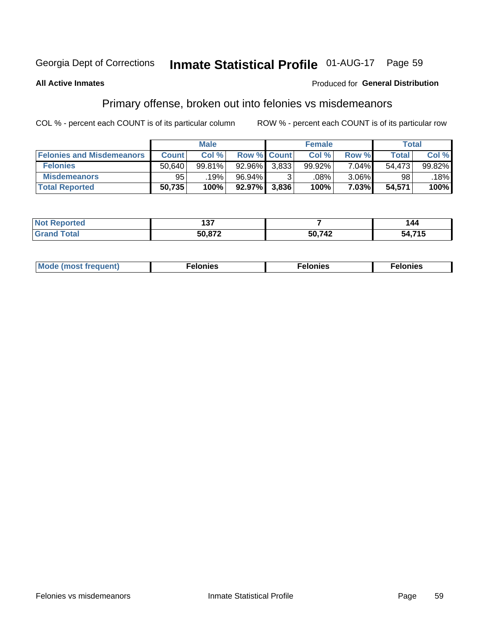# Inmate Statistical Profile 01-AUG-17 Page 59

#### **All Active Inmates**

#### Produced for General Distribution

## Primary offense, broken out into felonies vs misdemeanors

COL % - percent each COUNT is of its particular column

|                                  |              | <b>Male</b> |           |                    | <b>Female</b> |          | Total  |        |
|----------------------------------|--------------|-------------|-----------|--------------------|---------------|----------|--------|--------|
| <b>Felonies and Misdemeanors</b> | <b>Count</b> | Col %       |           | <b>Row % Count</b> | Col %         | Row %    | Total  | Col %  |
| <b>Felonies</b>                  | 50,640       | 99.81%      | $92.96\%$ | 3,833              | 99.92%        | 7.04%    | 54.473 | 99.82% |
| <b>Misdemeanors</b>              | 95           | 19%         | 96.94%    |                    | .08%          | $3.06\%$ | 98     | 18%    |
| <b>Total Reported</b>            | 50,735       | 100%        | $92.97\%$ | 3,836              | 100%          | 7.03%    | 54,571 | 100%   |

| 'ted<br><b>Not</b><br>en | $\overline{\phantom{a}}$ |               | 144                    |
|--------------------------|--------------------------|---------------|------------------------|
| ™otar<br>Gra             | EA 070                   | 5N 712<br>-74 | <b>715</b><br>54<br>19 |

| Mo | ____ | 11 C.S<br>. | onies<br>. |
|----|------|-------------|------------|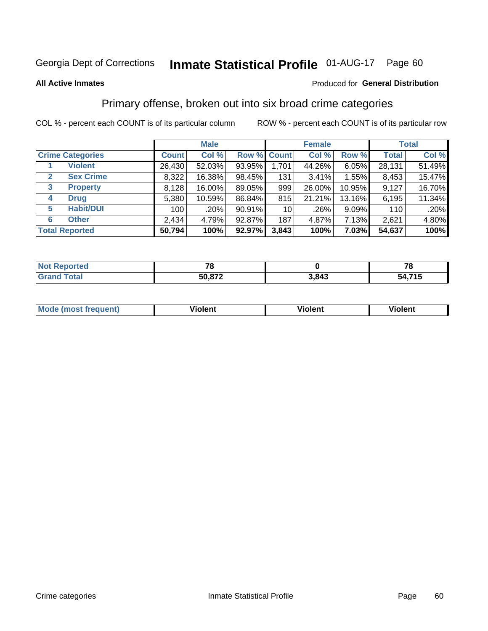#### **Inmate Statistical Profile 01-AUG-17** Page 60

#### **All Active Inmates**

#### Produced for General Distribution

## Primary offense, broken out into six broad crime categories

COL % - percent each COUNT is of its particular column

|                       |                         | <b>Male</b>  |        |        |                 | <b>Female</b> | <b>Total</b> |              |        |
|-----------------------|-------------------------|--------------|--------|--------|-----------------|---------------|--------------|--------------|--------|
|                       | <b>Crime Categories</b> | <b>Count</b> | Col %  |        | Row % Count     | Col %         | Row %        | <b>Total</b> | Col %  |
|                       | <b>Violent</b>          | 26,430       | 52.03% | 93.95% | 1,701           | 44.26%        | 6.05%        | 28,131       | 51.49% |
| $\mathbf{2}$          | <b>Sex Crime</b>        | 8,322        | 16.38% | 98.45% | 131             | $3.41\%$      | 1.55%        | 8,453        | 15.47% |
| 3                     | <b>Property</b>         | 8,128        | 16.00% | 89.05% | 999             | 26.00%        | 10.95%       | 9,127        | 16.70% |
| 4                     | <b>Drug</b>             | 5,380        | 10.59% | 86.84% | 815             | 21.21%        | 13.16%       | 6,195        | 11.34% |
| 5                     | <b>Habit/DUI</b>        | 100          | .20%   | 90.91% | 10 <sup>1</sup> | .26%          | $9.09\%$     | 110          | .20%   |
| 6                     | <b>Other</b>            | 2,434        | 4.79%  | 92.87% | 187             | 4.87%         | 7.13%        | 2,621        | 4.80%  |
| <b>Total Reported</b> |                         | 50,794       | 100%   | 92.97% | 3,843           | 100%          | 7.03%        | 54,637       | 100%   |

| enorted<br>NO1 | - -         |       | --<br>u       |
|----------------|-------------|-------|---------------|
| ™otal          | .872<br>50, | 3,843 | ,715<br>54. . |

| <b>Mode (most frequent)</b> | .<br>ïolent | 'iolent | ---<br>Violent |
|-----------------------------|-------------|---------|----------------|
|                             |             |         |                |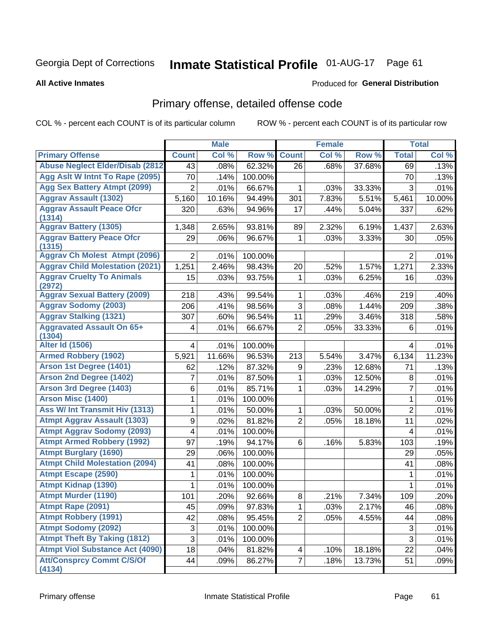# Inmate Statistical Profile 01-AUG-17 Page 61

#### **All Active Inmates**

#### Produced for General Distribution

# Primary offense, detailed offense code

COL % - percent each COUNT is of its particular column

|                                            |                | <b>Male</b> |         |                 | <b>Female</b> |                     |                | <b>Total</b> |
|--------------------------------------------|----------------|-------------|---------|-----------------|---------------|---------------------|----------------|--------------|
| <b>Primary Offense</b>                     | <b>Count</b>   | Col %       | Row %   | <b>Count</b>    | Col %         | Row %               | <b>Total</b>   | Col %        |
| <b>Abuse Neglect Elder/Disab (2812)</b>    | 43             | .08%        | 62.32%  | $\overline{26}$ | .68%          | 37.68%              | 69             | .13%         |
| Agg Aslt W Intnt To Rape (2095)            | 70             | .14%        | 100.00% |                 |               |                     | 70             | .13%         |
| <b>Agg Sex Battery Atmpt (2099)</b>        | $\overline{2}$ | .01%        | 66.67%  | 1               | .03%          | 33.33%              | $\mathfrak{S}$ | .01%         |
| <b>Aggrav Assault (1302)</b>               | 5,160          | 10.16%      | 94.49%  | 301             | 7.83%         | 5.51%               | 5,461          | 10.00%       |
| <b>Aggrav Assault Peace Ofcr</b><br>(1314) | 320            | .63%        | 94.96%  | 17              | .44%          | 5.04%               | 337            | .62%         |
| <b>Aggrav Battery (1305)</b>               | 1,348          | 2.65%       | 93.81%  | 89              | 2.32%         | 6.19%               | 1,437          | 2.63%        |
| <b>Aggrav Battery Peace Ofcr</b><br>(1315) | 29             | .06%        | 96.67%  | 1               | .03%          | 3.33%               | 30             | .05%         |
| <b>Aggrav Ch Molest Atmpt (2096)</b>       | $\overline{2}$ | .01%        | 100.00% |                 |               |                     | $\overline{2}$ | .01%         |
| <b>Aggrav Child Molestation (2021)</b>     | 1,251          | 2.46%       | 98.43%  | 20              | .52%          | 1.57%               | 1,271          | 2.33%        |
| <b>Aggrav Cruelty To Animals</b><br>(2972) | 15             | .03%        | 93.75%  | 1               | .03%          | 6.25%               | 16             | .03%         |
| <b>Aggrav Sexual Battery (2009)</b>        | 218            | .43%        | 99.54%  | 1               | .03%          | .46%                | 219            | .40%         |
| <b>Aggrav Sodomy (2003)</b>                | 206            | .41%        | 98.56%  | 3               | .08%          | 1.44%               | 209            | .38%         |
| <b>Aggrav Stalking (1321)</b>              | 307            | .60%        | 96.54%  | 11              | .29%          | 3.46%               | 318            | .58%         |
| <b>Aggravated Assault On 65+</b><br>(1304) | 4              | .01%        | 66.67%  | $\overline{2}$  | .05%          | 33.33%              | 6              | .01%         |
| <b>Alter Id (1506)</b>                     | 4              | .01%        | 100.00% |                 |               |                     | $\overline{4}$ | .01%         |
| <b>Armed Robbery (1902)</b>                | 5,921          | 11.66%      | 96.53%  | 213             | 5.54%         | 3.47%               | 6,134          | 11.23%       |
| Arson 1st Degree (1401)                    | 62             | .12%        | 87.32%  | 9               | .23%          | 12.68%              | 71             | .13%         |
| <b>Arson 2nd Degree (1402)</b>             | 7              | .01%        | 87.50%  | 1               | .03%          | 12.50%              | 8              | .01%         |
| <b>Arson 3rd Degree (1403)</b>             | 6              | .01%        | 85.71%  | 1               | .03%          | 14.29%              | 7              | .01%         |
| Arson Misc (1400)                          | 1              | .01%        | 100.00% |                 |               |                     | $\mathbf{1}$   | .01%         |
| <b>Ass W/ Int Transmit Hiv (1313)</b>      | 1              | .01%        | 50.00%  | $\mathbf{1}$    | .03%          | 50.00%              | $\overline{2}$ | .01%         |
| <b>Atmpt Aggrav Assault (1303)</b>         | 9              | .02%        | 81.82%  | $\overline{2}$  | .05%          | 18.18%              | 11             | .02%         |
| <b>Atmpt Aggrav Sodomy (2093)</b>          | 4              | .01%        | 100.00% |                 |               |                     | $\overline{4}$ | .01%         |
| <b>Atmpt Armed Robbery (1992)</b>          | 97             | .19%        | 94.17%  | 6               | .16%          | 5.83%               | 103            | .19%         |
| <b>Atmpt Burglary (1690)</b>               | 29             | .06%        | 100.00% |                 |               |                     | 29             | .05%         |
| <b>Atmpt Child Molestation (2094)</b>      | 41             | .08%        | 100.00% |                 |               |                     | 41             | .08%         |
| <b>Atmpt Escape (2590)</b>                 | 1              | .01%        | 100.00% |                 |               |                     | 1              | .01%         |
| <b>Atmpt Kidnap (1390)</b>                 | 1              | .01%        | 100.00% |                 |               |                     | 1              | .01%         |
| <b>Atmpt Murder (1190)</b>                 | 101            | .20%        | 92.66%  | $\overline{8}$  | .21%          | $7.\overline{34\%}$ | 109            | .20%         |
| Atmpt Rape (2091)                          | 45             | .09%        | 97.83%  | 1               | .03%          | 2.17%               | 46             | .08%         |
| <b>Atmpt Robbery (1991)</b>                | 42             | .08%        | 95.45%  | $\overline{2}$  | .05%          | 4.55%               | 44             | .08%         |
| <b>Atmpt Sodomy (2092)</b>                 | $\mathsf 3$    | .01%        | 100.00% |                 |               |                     | $\mathbf{3}$   | .01%         |
| <b>Atmpt Theft By Taking (1812)</b>        | 3              | .01%        | 100.00% |                 |               |                     | $\overline{3}$ | .01%         |
| <b>Atmpt Viol Substance Act (4090)</b>     | 18             | .04%        | 81.82%  | 4               | .10%          | 18.18%              | 22             | .04%         |
| <b>Att/Consprcy Commt C/S/Of</b><br>(4134) | 44             | .09%        | 86.27%  | $\overline{7}$  | .18%          | 13.73%              | 51             | .09%         |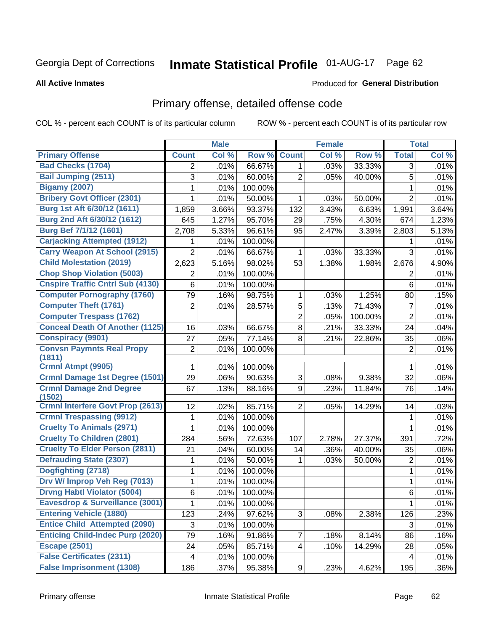# Inmate Statistical Profile 01-AUG-17 Page 62

#### **All Active Inmates**

### **Produced for General Distribution**

# Primary offense, detailed offense code

COL % - percent each COUNT is of its particular column

|                                            |                         | <b>Male</b> |         |                | <b>Female</b> |         |                | <b>Total</b> |
|--------------------------------------------|-------------------------|-------------|---------|----------------|---------------|---------|----------------|--------------|
| <b>Primary Offense</b>                     | <b>Count</b>            | Col %       | Row %   | <b>Count</b>   | Col %         | Row %   | <b>Total</b>   | Col %        |
| <b>Bad Checks (1704)</b>                   | 2                       | .01%        | 66.67%  | 1              | .03%          | 33.33%  | 3              | .01%         |
| <b>Bail Jumping (2511)</b>                 | 3                       | .01%        | 60.00%  | 2              | .05%          | 40.00%  | 5              | .01%         |
| <b>Bigamy (2007)</b>                       | 1                       | .01%        | 100.00% |                |               |         | 1              | .01%         |
| <b>Bribery Govt Officer (2301)</b>         | 1                       | .01%        | 50.00%  | 1              | .03%          | 50.00%  | $\overline{2}$ | .01%         |
| Burg 1st Aft 6/30/12 (1611)                | 1,859                   | 3.66%       | 93.37%  | 132            | 3.43%         | 6.63%   | 1,991          | 3.64%        |
| Burg 2nd Aft 6/30/12 (1612)                | 645                     | 1.27%       | 95.70%  | 29             | .75%          | 4.30%   | 674            | 1.23%        |
| Burg Bef 7/1/12 (1601)                     | 2,708                   | 5.33%       | 96.61%  | 95             | 2.47%         | 3.39%   | 2,803          | 5.13%        |
| <b>Carjacking Attempted (1912)</b>         | 1                       | .01%        | 100.00% |                |               |         | 1              | .01%         |
| <b>Carry Weapon At School (2915)</b>       | $\overline{2}$          | .01%        | 66.67%  | 1              | .03%          | 33.33%  | 3              | .01%         |
| <b>Child Molestation (2019)</b>            | 2,623                   | 5.16%       | 98.02%  | 53             | 1.38%         | 1.98%   | 2,676          | 4.90%        |
| <b>Chop Shop Violation (5003)</b>          | 2                       | .01%        | 100.00% |                |               |         | $\overline{2}$ | .01%         |
| <b>Cnspire Traffic Cntrl Sub (4130)</b>    | 6                       | .01%        | 100.00% |                |               |         | 6              | .01%         |
| <b>Computer Pornography (1760)</b>         | 79                      | .16%        | 98.75%  | 1              | .03%          | 1.25%   | 80             | .15%         |
| <b>Computer Theft (1761)</b>               | $\overline{2}$          | .01%        | 28.57%  | 5              | .13%          | 71.43%  | $\overline{7}$ | .01%         |
| <b>Computer Trespass (1762)</b>            |                         |             |         | $\overline{2}$ | .05%          | 100.00% | $\overline{2}$ | .01%         |
| <b>Conceal Death Of Another (1125)</b>     | 16                      | .03%        | 66.67%  | 8              | .21%          | 33.33%  | 24             | .04%         |
| <b>Conspiracy (9901)</b>                   | 27                      | .05%        | 77.14%  | 8              | .21%          | 22.86%  | 35             | .06%         |
| <b>Convsn Paymnts Real Propy</b><br>(1811) | $\overline{2}$          | .01%        | 100.00% |                |               |         | $\overline{2}$ | .01%         |
| Crmnl Atmpt (9905)                         | 1                       | .01%        | 100.00% |                |               |         | 1              | .01%         |
| <b>Crmnl Damage 1st Degree (1501)</b>      | 29                      | .06%        | 90.63%  | 3              | .08%          | 9.38%   | 32             | .06%         |
| <b>Crmnl Damage 2nd Degree</b><br>(1502)   | 67                      | .13%        | 88.16%  | 9              | .23%          | 11.84%  | 76             | .14%         |
| <b>Crmnl Interfere Govt Prop (2613)</b>    | 12                      | .02%        | 85.71%  | $\overline{2}$ | .05%          | 14.29%  | 14             | .03%         |
| <b>Crmnl Trespassing (9912)</b>            | 1                       | .01%        | 100.00% |                |               |         | 1              | .01%         |
| <b>Cruelty To Animals (2971)</b>           | 1                       | .01%        | 100.00% |                |               |         | 1              | .01%         |
| <b>Cruelty To Children (2801)</b>          | 284                     | .56%        | 72.63%  | 107            | 2.78%         | 27.37%  | 391            | .72%         |
| <b>Cruelty To Elder Person (2811)</b>      | 21                      | .04%        | 60.00%  | 14             | .36%          | 40.00%  | 35             | .06%         |
| <b>Defrauding State (2307)</b>             | 1                       | .01%        | 50.00%  | 1              | .03%          | 50.00%  | $\overline{2}$ | .01%         |
| Dogfighting (2718)                         | 1                       | .01%        | 100.00% |                |               |         | 1              | .01%         |
| Drv W/ Improp Veh Reg (7013)               | 1                       | .01%        | 100.00% |                |               |         | 1              | .01%         |
| <b>Drvng Habtl Violator (5004)</b>         | 6                       | .01%        | 100.00% |                |               |         | $6\phantom{a}$ | .01%         |
| <b>Eavesdrop &amp; Surveillance (3001)</b> | 1                       | .01%        | 100.00% |                |               |         | 1              | .01%         |
| <b>Entering Vehicle (1880)</b>             | 123                     | .24%        | 97.62%  | 3              | .08%          | 2.38%   | 126            | .23%         |
| <b>Entice Child Attempted (2090)</b>       | 3                       | .01%        | 100.00% |                |               |         | 3              | .01%         |
| <b>Enticing Child-Indec Purp (2020)</b>    | 79                      | .16%        | 91.86%  | 7              | .18%          | 8.14%   | 86             | .16%         |
| <b>Escape (2501)</b>                       | 24                      | .05%        | 85.71%  | 4              | .10%          | 14.29%  | 28             | .05%         |
| <b>False Certificates (2311)</b>           | $\overline{\mathbf{4}}$ | .01%        | 100.00% |                |               |         | 4              | .01%         |
| <b>False Imprisonment (1308)</b>           | 186                     | .37%        | 95.38%  | 9              | .23%          | 4.62%   | 195            | $.36\%$      |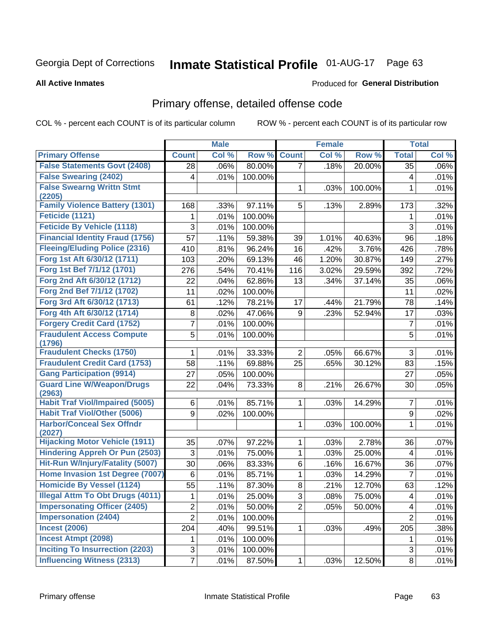# Inmate Statistical Profile 01-AUG-17 Page 63

#### **All Active Inmates**

### **Produced for General Distribution**

## Primary offense, detailed offense code

COL % - percent each COUNT is of its particular column

|                                            |                | <b>Male</b> |         |                | <b>Female</b> |         |                         | <b>Total</b> |
|--------------------------------------------|----------------|-------------|---------|----------------|---------------|---------|-------------------------|--------------|
| <b>Primary Offense</b>                     | <b>Count</b>   | Col %       | Row %   | <b>Count</b>   | Col %         | Row %   | <b>Total</b>            | Col %        |
| <b>False Statements Govt (2408)</b>        | 28             | .06%        | 80.00%  | $\overline{7}$ | .18%          | 20.00%  | 35                      | $.06\%$      |
| <b>False Swearing (2402)</b>               | 4              | .01%        | 100.00% |                |               |         | 4                       | .01%         |
| <b>False Swearng Writtn Stmt</b>           |                |             |         | 1              | .03%          | 100.00% | 1                       | .01%         |
| (2205)                                     |                |             |         |                |               |         |                         |              |
| <b>Family Violence Battery (1301)</b>      | 168            | .33%        | 97.11%  | 5              | .13%          | 2.89%   | 173                     | .32%         |
| Feticide (1121)                            | 1              | .01%        | 100.00% |                |               |         | 1                       | .01%         |
| <b>Feticide By Vehicle (1118)</b>          | 3              | .01%        | 100.00% |                |               |         | 3                       | .01%         |
| <b>Financial Identity Fraud (1756)</b>     | 57             | .11%        | 59.38%  | 39             | 1.01%         | 40.63%  | 96                      | .18%         |
| <b>Fleeing/Eluding Police (2316)</b>       | 410            | .81%        | 96.24%  | 16             | .42%          | 3.76%   | 426                     | .78%         |
| Forg 1st Aft 6/30/12 (1711)                | 103            | .20%        | 69.13%  | 46             | 1.20%         | 30.87%  | 149                     | .27%         |
| Forg 1st Bef 7/1/12 (1701)                 | 276            | .54%        | 70.41%  | 116            | 3.02%         | 29.59%  | 392                     | .72%         |
| Forg 2nd Aft 6/30/12 (1712)                | 22             | .04%        | 62.86%  | 13             | .34%          | 37.14%  | 35                      | .06%         |
| Forg 2nd Bef 7/1/12 (1702)                 | 11             | .02%        | 100.00% |                |               |         | 11                      | .02%         |
| Forg 3rd Aft 6/30/12 (1713)                | 61             | .12%        | 78.21%  | 17             | .44%          | 21.79%  | 78                      | .14%         |
| Forg 4th Aft 6/30/12 (1714)                | 8              | .02%        | 47.06%  | 9              | .23%          | 52.94%  | 17                      | .03%         |
| <b>Forgery Credit Card (1752)</b>          | 7              | .01%        | 100.00% |                |               |         | $\overline{7}$          | .01%         |
| <b>Fraudulent Access Compute</b>           | 5              | .01%        | 100.00% |                |               |         | 5                       | .01%         |
| (1796)                                     |                |             |         |                |               |         |                         |              |
| <b>Fraudulent Checks (1750)</b>            | 1              | .01%        | 33.33%  | $\overline{2}$ | .05%          | 66.67%  | 3                       | .01%         |
| <b>Fraudulent Credit Card (1753)</b>       | 58             | .11%        | 69.88%  | 25             | .65%          | 30.12%  | 83                      | .15%         |
| <b>Gang Participation (9914)</b>           | 27             | .05%        | 100.00% |                |               |         | 27                      | .05%         |
| <b>Guard Line W/Weapon/Drugs</b>           | 22             | .04%        | 73.33%  | 8              | .21%          | 26.67%  | 30                      | .05%         |
| (2963)                                     |                |             |         |                |               |         |                         |              |
| <b>Habit Traf Viol/Impaired (5005)</b>     | 6              | .01%        | 85.71%  | $\mathbf 1$    | .03%          | 14.29%  | 7                       | .01%         |
| <b>Habit Traf Viol/Other (5006)</b>        | 9              | .02%        | 100.00% |                |               |         | 9                       | .02%         |
| <b>Harbor/Conceal Sex Offndr</b><br>(2027) |                |             |         | $\mathbf 1$    | .03%          | 100.00% | 1                       | .01%         |
| <b>Hijacking Motor Vehicle (1911)</b>      | 35             | .07%        | 97.22%  | 1              | .03%          | 2.78%   | 36                      | .07%         |
| <b>Hindering Appreh Or Pun (2503)</b>      | 3              | .01%        | 75.00%  | $\mathbf{1}$   | .03%          | 25.00%  | 4                       | .01%         |
| Hit-Run W/Injury/Fatality (5007)           | 30             | .06%        | 83.33%  | 6              | .16%          | 16.67%  | 36                      | .07%         |
| Home Invasion 1st Degree (7007)            | 6              | .01%        | 85.71%  | 1              | .03%          | 14.29%  | $\overline{7}$          | .01%         |
| Homicide By Vessel (1124)                  | 55             | .11%        | 87.30%  | 8              | $.21\%$       | 12.70%  | 63                      | .12%         |
| <b>Illegal Attm To Obt Drugs (4011)</b>    | 1              | .01%        | 25.00%  | $\overline{3}$ | .08%          | 75.00%  | $\overline{\mathbf{4}}$ | .01%         |
| <b>Impersonating Officer (2405)</b>        | $\overline{2}$ | .01%        | 50.00%  | $\overline{2}$ | .05%          | 50.00%  | 4                       | .01%         |
| <b>Impersonation (2404)</b>                | $\overline{2}$ | .01%        |         |                |               |         | $\overline{2}$          |              |
| <b>Incest (2006)</b>                       |                |             | 100.00% |                |               |         |                         | .01%         |
| <b>Incest Atmpt (2098)</b>                 | 204            | .40%        | 99.51%  | 1              | .03%          | .49%    | 205                     | .38%         |
|                                            | 1              | .01%        | 100.00% |                |               |         | 1                       | .01%         |
| <b>Inciting To Insurrection (2203)</b>     | 3              | .01%        | 100.00% |                |               |         | 3                       | .01%         |
| <b>Influencing Witness (2313)</b>          | $\overline{7}$ | .01%        | 87.50%  | 1              | .03%          | 12.50%  | 8                       | .01%         |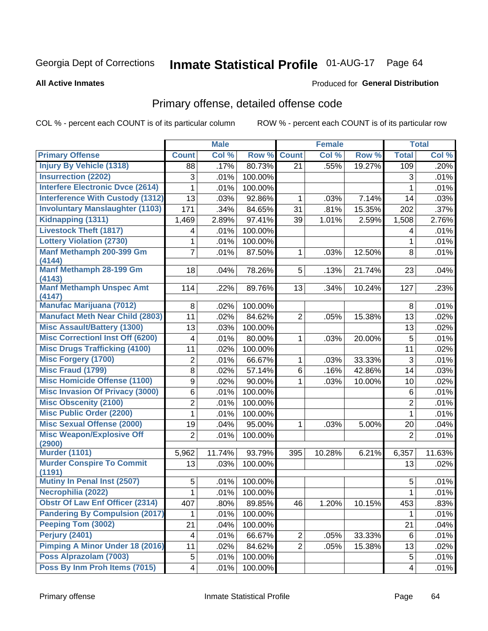# Inmate Statistical Profile 01-AUG-17 Page 64

Produced for General Distribution

#### **All Active Inmates**

# Primary offense, detailed offense code

COL % - percent each COUNT is of its particular column

|                                                             |                | <b>Male</b> |         |                | <b>Female</b> |        |                | <b>Total</b> |
|-------------------------------------------------------------|----------------|-------------|---------|----------------|---------------|--------|----------------|--------------|
| <b>Primary Offense</b>                                      | <b>Count</b>   | Col %       | Row %   | <b>Count</b>   | Col %         | Row %  | <b>Total</b>   | Col %        |
| <b>Injury By Vehicle (1318)</b>                             | 88             | .17%        | 80.73%  | 21             | .55%          | 19.27% | 109            | .20%         |
| <b>Insurrection (2202)</b>                                  | 3              | .01%        | 100.00% |                |               |        | 3              | .01%         |
| <b>Interfere Electronic Dvce (2614)</b>                     | 1              | .01%        | 100.00% |                |               |        | $\mathbf{1}$   | .01%         |
| <b>Interference With Custody (1312)</b>                     | 13             | .03%        | 92.86%  | 1              | .03%          | 7.14%  | 14             | .03%         |
| <b>Involuntary Manslaughter (1103)</b>                      | 171            | .34%        | 84.65%  | 31             | .81%          | 15.35% | 202            | .37%         |
| Kidnapping (1311)                                           | 1,469          | 2.89%       | 97.41%  | 39             | 1.01%         | 2.59%  | 1,508          | 2.76%        |
| <b>Livestock Theft (1817)</b>                               | 4              | .01%        | 100.00% |                |               |        | 4              | .01%         |
| <b>Lottery Violation (2730)</b>                             | 1              | .01%        | 100.00% |                |               |        | $\mathbf{1}$   | .01%         |
| Manf Methamph 200-399 Gm                                    | 7              | .01%        | 87.50%  | 1              | .03%          | 12.50% | 8              | .01%         |
| (4144)                                                      |                |             |         |                |               |        |                |              |
| Manf Methamph 28-199 Gm<br>(4143)                           | 18             | .04%        | 78.26%  | 5              | .13%          | 21.74% | 23             | .04%         |
| <b>Manf Methamph Unspec Amt</b><br>(4147)                   | 114            | .22%        | 89.76%  | 13             | .34%          | 10.24% | 127            | .23%         |
| <b>Manufac Marijuana (7012)</b>                             | 8              | .02%        | 100.00% |                |               |        | 8              | .01%         |
| <b>Manufact Meth Near Child (2803)</b>                      | 11             | .02%        | 84.62%  | $\overline{2}$ | .05%          | 15.38% | 13             | .02%         |
| <b>Misc Assault/Battery (1300)</b>                          | 13             | .03%        | 100.00% |                |               |        | 13             | .02%         |
| <b>Misc Correctionl Inst Off (6200)</b>                     | 4              | .01%        | 80.00%  | 1              | .03%          | 20.00% | 5              | .01%         |
| <b>Misc Drugs Trafficking (4100)</b>                        | 11             | .02%        | 100.00% |                |               |        | 11             | .02%         |
| <b>Misc Forgery (1700)</b>                                  | $\overline{2}$ | .01%        | 66.67%  | 1              | .03%          | 33.33% | $\sqrt{3}$     | .01%         |
| Misc Fraud (1799)                                           | 8              | .02%        | 57.14%  | 6              | .16%          | 42.86% | 14             | .03%         |
| <b>Misc Homicide Offense (1100)</b>                         | 9              | .02%        | 90.00%  | 1              | .03%          | 10.00% | 10             | .02%         |
| <b>Misc Invasion Of Privacy (3000)</b>                      | 6              | .01%        | 100.00% |                |               |        | 6              | .01%         |
| <b>Misc Obscenity (2100)</b>                                | 2              | .01%        | 100.00% |                |               |        | $\overline{c}$ | .01%         |
| <b>Misc Public Order (2200)</b>                             | 1              | .01%        | 100.00% |                |               |        | $\mathbf{1}$   | .01%         |
| <b>Misc Sexual Offense (2000)</b>                           | 19             | .04%        | 95.00%  | 1              | .03%          | 5.00%  | 20             | .04%         |
| <b>Misc Weapon/Explosive Off</b><br>(2900)                  | $\overline{2}$ | .01%        | 100.00% |                |               |        | $\overline{2}$ | .01%         |
| <b>Murder (1101)</b>                                        | 5,962          | 11.74%      | 93.79%  | 395            | 10.28%        | 6.21%  | 6,357          | 11.63%       |
| <b>Murder Conspire To Commit</b>                            | 13             | .03%        | 100.00% |                |               |        | 13             | .02%         |
| (1191)                                                      |                |             |         |                |               |        |                |              |
| Mutiny In Penal Inst (2507)                                 | 5              | .01%        | 100.00% |                |               |        | 5              | .01%         |
| Necrophilia (2022)                                          | $\mathbf 1$    | .01%        | 100.00% |                |               |        | $\mathbf{1}$   | .01%         |
| <b>Obstr Of Law Enf Officer (2314)</b>                      | 407            | .80%        | 89.85%  | 46             | 1.20%         | 10.15% | 453            | .83%         |
| <b>Pandering By Compulsion (2017)</b><br>Peeping Tom (3002) | 1              | .01%        | 100.00% |                |               |        | $\mathbf 1$    | .01%         |
|                                                             | 21             | .04%        | 100.00% |                |               |        | 21             | .04%         |
| <b>Perjury (2401)</b>                                       | 4              | .01%        | 66.67%  | $\overline{c}$ | .05%          | 33.33% | 6              | .01%         |
| <b>Pimping A Minor Under 18 (2016)</b>                      | 11             | .02%        | 84.62%  | $\overline{2}$ | .05%          | 15.38% | 13             | .02%         |
| Poss Alprazolam (7003)                                      | 5              | .01%        | 100.00% |                |               |        | 5              | .01%         |
| Poss By Inm Proh Items (7015)                               | 4              | .01%        | 100.00% |                |               |        | $\overline{4}$ | .01%         |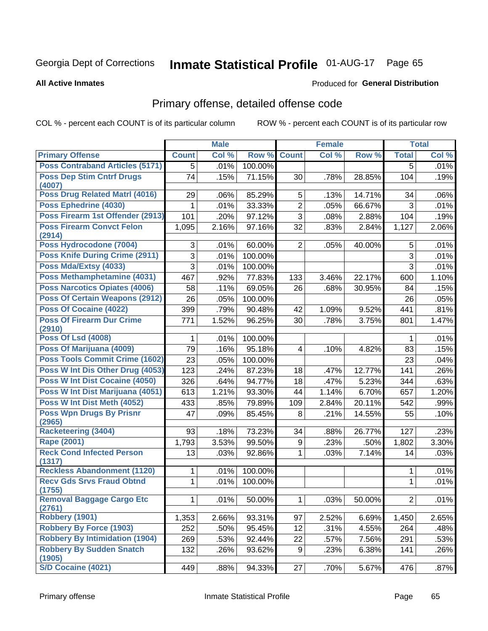# Inmate Statistical Profile 01-AUG-17 Page 65

#### **All Active Inmates**

#### Produced for General Distribution

# Primary offense, detailed offense code

COL % - percent each COUNT is of its particular column

|                                            |              | <b>Male</b> |         |                | <b>Female</b> |        |                | <b>Total</b> |
|--------------------------------------------|--------------|-------------|---------|----------------|---------------|--------|----------------|--------------|
| <b>Primary Offense</b>                     | <b>Count</b> | Col %       | Row %   | <b>Count</b>   | Col %         | Row %  | <b>Total</b>   | Col %        |
| <b>Poss Contraband Articles (5171)</b>     | 5            | .01%        | 100.00% |                |               |        | 5              | .01%         |
| <b>Poss Dep Stim Cntrf Drugs</b><br>(4007) | 74           | .15%        | 71.15%  | 30             | .78%          | 28.85% | 104            | .19%         |
| Poss Drug Related Matrl (4016)             | 29           | .06%        | 85.29%  | 5              | .13%          | 14.71% | 34             | .06%         |
| Poss Ephedrine (4030)                      | 1            | .01%        | 33.33%  | $\overline{2}$ | .05%          | 66.67% | 3              | .01%         |
| Poss Firearm 1st Offender (2913)           | 101          | .20%        | 97.12%  | 3              | .08%          | 2.88%  | 104            | .19%         |
| <b>Poss Firearm Convct Felon</b><br>(2914) | 1,095        | 2.16%       | 97.16%  | 32             | .83%          | 2.84%  | 1,127          | 2.06%        |
| Poss Hydrocodone (7004)                    | 3            | .01%        | 60.00%  | $\overline{2}$ | .05%          | 40.00% | 5              | .01%         |
| <b>Poss Knife During Crime (2911)</b>      | 3            | .01%        | 100.00% |                |               |        | 3              | .01%         |
| Poss Mda/Extsy (4033)                      | 3            | .01%        | 100.00% |                |               |        | 3              | .01%         |
| Poss Methamphetamine (4031)                | 467          | .92%        | 77.83%  | 133            | 3.46%         | 22.17% | 600            | 1.10%        |
| Poss Narcotics Opiates (4006)              | 58           | .11%        | 69.05%  | 26             | .68%          | 30.95% | 84             | .15%         |
| <b>Poss Of Certain Weapons (2912)</b>      | 26           | .05%        | 100.00% |                |               |        | 26             | .05%         |
| <b>Poss Of Cocaine (4022)</b>              | 399          | .79%        | 90.48%  | 42             | 1.09%         | 9.52%  | 441            | .81%         |
| <b>Poss Of Firearm Dur Crime</b>           | 771          | 1.52%       | 96.25%  | 30             | .78%          | 3.75%  | 801            | 1.47%        |
| (2910)                                     |              |             |         |                |               |        |                |              |
| <b>Poss Of Lsd (4008)</b>                  | 1            | .01%        | 100.00% |                |               |        | $\mathbf 1$    | .01%         |
| Poss Of Marijuana (4009)                   | 79           | .16%        | 95.18%  | $\overline{4}$ | .10%          | 4.82%  | 83             | .15%         |
| <b>Poss Tools Commit Crime (1602)</b>      | 23           | .05%        | 100.00% |                |               |        | 23             | .04%         |
| Poss W Int Dis Other Drug (4053)           | 123          | .24%        | 87.23%  | 18             | .47%          | 12.77% | 141            | .26%         |
| <b>Poss W Int Dist Cocaine (4050)</b>      | 326          | .64%        | 94.77%  | 18             | .47%          | 5.23%  | 344            | .63%         |
| Poss W Int Dist Marijuana (4051)           | 613          | 1.21%       | 93.30%  | 44             | 1.14%         | 6.70%  | 657            | 1.20%        |
| Poss W Int Dist Meth (4052)                | 433          | .85%        | 79.89%  | 109            | 2.84%         | 20.11% | 542            | .99%         |
| <b>Poss Wpn Drugs By Prisnr</b><br>(2965)  | 47           | .09%        | 85.45%  | 8              | .21%          | 14.55% | 55             | .10%         |
| <b>Racketeering (3404)</b>                 | 93           | .18%        | 73.23%  | 34             | .88%          | 26.77% | 127            | .23%         |
| <b>Rape (2001)</b>                         | 1,793        | 3.53%       | 99.50%  | 9              | .23%          | .50%   | 1,802          | 3.30%        |
| <b>Reck Cond Infected Person</b><br>(1317) | 13           | .03%        | 92.86%  | $\mathbf{1}$   | .03%          | 7.14%  | 14             | .03%         |
| <b>Reckless Abandonment (1120)</b>         | 1            | .01%        | 100.00% |                |               |        | 1              | .01%         |
| <b>Recv Gds Srvs Fraud Obtnd</b><br>(1755) | $\mathbf{1}$ | .01%        | 100.00% |                |               |        | 1              | .01%         |
| <b>Removal Baggage Cargo Etc</b><br>(2761) | $\mathbf 1$  | .01%        | 50.00%  | $\mathbf{1}$   | .03%          | 50.00% | $\overline{2}$ | .01%         |
| <b>Robbery (1901)</b>                      | 1,353        | 2.66%       | 93.31%  | 97             | 2.52%         | 6.69%  | 1,450          | 2.65%        |
| <b>Robbery By Force (1903)</b>             | 252          | .50%        | 95.45%  | 12             | .31%          | 4.55%  | 264            | .48%         |
| <b>Robbery By Intimidation (1904)</b>      | 269          | .53%        | 92.44%  | 22             | .57%          | 7.56%  | 291            | .53%         |
| <b>Robbery By Sudden Snatch</b><br>(1905)  | 132          | .26%        | 93.62%  | 9              | .23%          | 6.38%  | 141            | .26%         |
| S/D Cocaine (4021)                         | 449          | .88%        | 94.33%  | 27             | .70%          | 5.67%  | 476            | .87%         |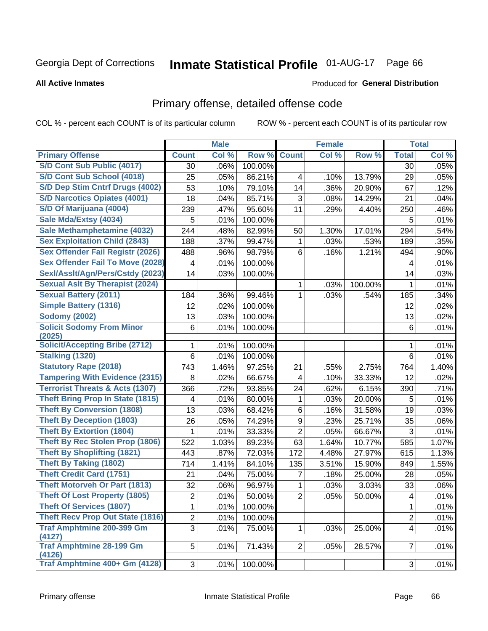# Inmate Statistical Profile 01-AUG-17 Page 66

Produced for General Distribution

#### **All Active Inmates**

# Primary offense, detailed offense code

COL % - percent each COUNT is of its particular column

|                                            |                         | <b>Male</b> |         |                | <b>Female</b> |         |                         | <b>Total</b> |
|--------------------------------------------|-------------------------|-------------|---------|----------------|---------------|---------|-------------------------|--------------|
| <b>Primary Offense</b>                     | <b>Count</b>            | Col %       | Row %   | <b>Count</b>   | Col %         | Row %   | <b>Total</b>            | Col %        |
| <b>S/D Cont Sub Public (4017)</b>          | 30                      | .06%        | 100.00% |                |               |         | 30                      | .05%         |
| S/D Cont Sub School (4018)                 | 25                      | .05%        | 86.21%  | 4              | .10%          | 13.79%  | 29                      | .05%         |
| S/D Dep Stim Cntrf Drugs (4002)            | 53                      | .10%        | 79.10%  | 14             | .36%          | 20.90%  | 67                      | .12%         |
| <b>S/D Narcotics Opiates (4001)</b>        | 18                      | .04%        | 85.71%  | 3              | .08%          | 14.29%  | 21                      | .04%         |
| S/D Of Marijuana (4004)                    | 239                     | .47%        | 95.60%  | 11             | .29%          | 4.40%   | 250                     | .46%         |
| Sale Mda/Extsy (4034)                      | 5                       | .01%        | 100.00% |                |               |         | 5                       | .01%         |
| Sale Methamphetamine (4032)                | 244                     | .48%        | 82.99%  | 50             | 1.30%         | 17.01%  | 294                     | .54%         |
| <b>Sex Exploitation Child (2843)</b>       | 188                     | .37%        | 99.47%  | $\mathbf 1$    | .03%          | .53%    | 189                     | .35%         |
| <b>Sex Offender Fail Registr (2026)</b>    | 488                     | .96%        | 98.79%  | 6              | .16%          | 1.21%   | 494                     | .90%         |
| <b>Sex Offender Fail To Move (2028)</b>    | 4                       | .01%        | 100.00% |                |               |         | 4                       | .01%         |
| Sexl/Asslt/Agn/Pers/Cstdy (2023)           | 14                      | .03%        | 100.00% |                |               |         | 14                      | .03%         |
| <b>Sexual Aslt By Therapist (2024)</b>     |                         |             |         | $\mathbf 1$    | .03%          | 100.00% | 1                       | .01%         |
| <b>Sexual Battery (2011)</b>               | 184                     | .36%        | 99.46%  | 1              | .03%          | .54%    | 185                     | .34%         |
| <b>Simple Battery (1316)</b>               | 12                      | .02%        | 100.00% |                |               |         | 12                      | .02%         |
| <b>Sodomy (2002)</b>                       | 13                      | .03%        | 100.00% |                |               |         | 13                      | .02%         |
| <b>Solicit Sodomy From Minor</b>           | $6\phantom{1}$          | .01%        | 100.00% |                |               |         | 6                       | .01%         |
| (2025)                                     |                         |             |         |                |               |         |                         |              |
| <b>Solicit/Accepting Bribe (2712)</b>      | 1                       | .01%        | 100.00% |                |               |         | 1                       | .01%         |
| Stalking (1320)                            | 6                       | .01%        | 100.00% |                |               |         | 6                       | .01%         |
| <b>Statutory Rape (2018)</b>               | 743                     | 1.46%       | 97.25%  | 21             | .55%          | 2.75%   | 764                     | 1.40%        |
| <b>Tampering With Evidence (2315)</b>      | 8                       | .02%        | 66.67%  | 4              | .10%          | 33.33%  | 12                      | .02%         |
| <b>Terrorist Threats &amp; Acts (1307)</b> | 366                     | .72%        | 93.85%  | 24             | .62%          | 6.15%   | 390                     | .71%         |
| <b>Theft Bring Prop In State (1815)</b>    | 4                       | .01%        | 80.00%  | 1              | .03%          | 20.00%  | 5                       | .01%         |
| <b>Theft By Conversion (1808)</b>          | 13                      | .03%        | 68.42%  | 6              | .16%          | 31.58%  | 19                      | .03%         |
| <b>Theft By Deception (1803)</b>           | 26                      | .05%        | 74.29%  | 9              | .23%          | 25.71%  | 35                      | .06%         |
| <b>Theft By Extortion (1804)</b>           | 1                       | .01%        | 33.33%  | $\overline{2}$ | .05%          | 66.67%  | 3                       | .01%         |
| <b>Theft By Rec Stolen Prop (1806)</b>     | 522                     | 1.03%       | 89.23%  | 63             | 1.64%         | 10.77%  | 585                     | 1.07%        |
| <b>Theft By Shoplifting (1821)</b>         | 443                     | .87%        | 72.03%  | 172            | 4.48%         | 27.97%  | 615                     | 1.13%        |
| <b>Theft By Taking (1802)</b>              | 714                     | 1.41%       | 84.10%  | 135            | 3.51%         | 15.90%  | 849                     | 1.55%        |
| <b>Theft Credit Card (1751)</b>            | 21                      | .04%        | 75.00%  | 7              | .18%          | 25.00%  | 28                      | .05%         |
| <b>Theft Motorveh Or Part (1813)</b>       | 32                      | .06%        | 96.97%  | 1              | .03%          | 3.03%   | 33                      | .06%         |
| <b>Theft Of Lost Property (1805)</b>       | $\overline{\mathbf{c}}$ | .01%        | 50.00%  | $\overline{2}$ | .05%          | 50.00%  | $\overline{\mathbf{4}}$ | .01%         |
| <b>Theft Of Services (1807)</b>            | 1                       | .01%        | 100.00% |                |               |         | 1                       | .01%         |
| <b>Theft Recv Prop Out State (1816)</b>    | $\overline{2}$          | .01%        | 100.00% |                |               |         | $\overline{c}$          | .01%         |
| <b>Traf Amphtmine 200-399 Gm</b><br>(4127) | $\overline{3}$          | .01%        | 75.00%  | $\mathbf{1}$   | .03%          | 25.00%  | 4                       | .01%         |
| <b>Traf Amphtmine 28-199 Gm</b><br>(4126)  | 5 <sup>1</sup>          | .01%        | 71.43%  | 2 <sup>1</sup> | .05%          | 28.57%  | 7                       | .01%         |
| Traf Amphtmine 400+ Gm (4128)              | 3                       | .01%        | 100.00% |                |               |         | 3                       | .01%         |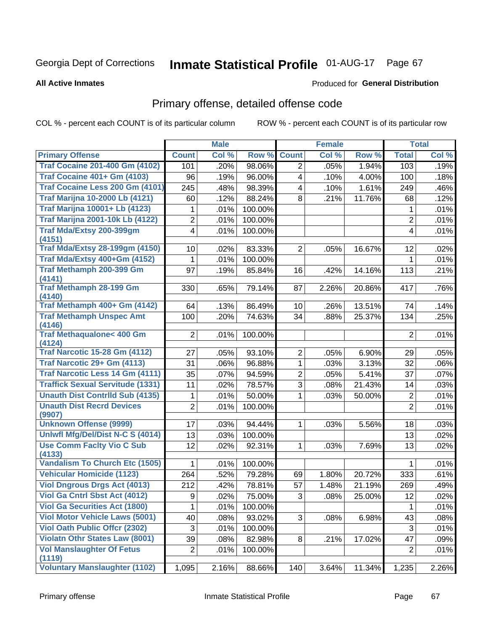# Inmate Statistical Profile 01-AUG-17 Page 67

#### **All Active Inmates**

#### Produced for General Distribution

# Primary offense, detailed offense code

COL % - percent each COUNT is of its particular column

|                                            |                | <b>Male</b> |         |                         | <b>Female</b> |        |                  | <b>Total</b> |
|--------------------------------------------|----------------|-------------|---------|-------------------------|---------------|--------|------------------|--------------|
| <b>Primary Offense</b>                     | <b>Count</b>   | Col %       | Row %   | <b>Count</b>            | Col %         | Row %  | <b>Total</b>     | Col %        |
| <b>Traf Cocaine 201-400 Gm (4102)</b>      | 101            | .20%        | 98.06%  | $\overline{2}$          | .05%          | 1.94%  | 103              | .19%         |
| <b>Traf Cocaine 401+ Gm (4103)</b>         | 96             | .19%        | 96.00%  | $\overline{\mathbf{4}}$ | .10%          | 4.00%  | 100              | .18%         |
| Traf Cocaine Less 200 Gm (4101)            | 245            | .48%        | 98.39%  | 4                       | .10%          | 1.61%  | 249              | .46%         |
| <b>Traf Marijna 10-2000 Lb (4121)</b>      | 60             | .12%        | 88.24%  | 8                       | .21%          | 11.76% | 68               | .12%         |
| <b>Traf Marijna 10001+ Lb (4123)</b>       | 1              | .01%        | 100.00% |                         |               |        | 1                | .01%         |
| <b>Traf Marijna 2001-10k Lb (4122)</b>     | 2              | .01%        | 100.00% |                         |               |        | 2                | .01%         |
| Traf Mda/Extsy 200-399gm                   | 4              | .01%        | 100.00% |                         |               |        | 4                | .01%         |
| (4151)                                     |                |             |         |                         |               |        |                  |              |
| <b>Traf Mda/Extsy 28-199gm (4150)</b>      | 10             | .02%        | 83.33%  | $\overline{2}$          | .05%          | 16.67% | 12               | .02%         |
| Traf Mda/Extsy 400+Gm (4152)               | 1              | .01%        | 100.00% |                         |               |        | 1                | .01%         |
| <b>Traf Methamph 200-399 Gm</b><br>(4141)  | 97             | .19%        | 85.84%  | 16                      | .42%          | 14.16% | 113              | .21%         |
| <b>Traf Methamph 28-199 Gm</b><br>(4140)   | 330            | .65%        | 79.14%  | 87                      | 2.26%         | 20.86% | 417              | .76%         |
| Traf Methamph 400+ Gm (4142)               | 64             | .13%        | 86.49%  | 10 <sup>1</sup>         | .26%          | 13.51% | 74               | .14%         |
| <b>Traf Methamph Unspec Amt</b>            | 100            | .20%        | 74.63%  | 34                      | .88%          | 25.37% | 134              | .25%         |
| (4146)                                     |                |             |         |                         |               |        |                  |              |
| Traf Methaqualone< 400 Gm<br>(4124)        | $\overline{2}$ | .01%        | 100.00% |                         |               |        | $\overline{2}$   | .01%         |
| <b>Traf Narcotic 15-28 Gm (4112)</b>       | 27             | .05%        | 93.10%  | $\overline{2}$          | .05%          | 6.90%  | 29               | .05%         |
| Traf Narcotic 29+ Gm (4113)                | 31             | .06%        | 96.88%  | $\mathbf 1$             | .03%          | 3.13%  | 32               | .06%         |
| Traf Narcotic Less 14 Gm (4111)            | 35             | .07%        | 94.59%  | $\overline{2}$          | .05%          | 5.41%  | 37               | .07%         |
| <b>Traffick Sexual Servitude (1331)</b>    | 11             | .02%        | 78.57%  | 3                       | .08%          | 21.43% | 14               | .03%         |
| <b>Unauth Dist Contrild Sub (4135)</b>     | 1              | .01%        | 50.00%  | 1                       | .03%          | 50.00% | $\boldsymbol{2}$ | .01%         |
| <b>Unauth Dist Recrd Devices</b>           | 2              | .01%        | 100.00% |                         |               |        | $\overline{2}$   | .01%         |
| (9907)                                     |                |             |         |                         |               |        |                  |              |
| <b>Unknown Offense (9999)</b>              | 17             | .03%        | 94.44%  | $\mathbf 1$             | .03%          | 5.56%  | 18               | .03%         |
| Uniwfl Mfg/Del/Dist N-C S (4014)           | 13             | .03%        | 100.00% |                         |               |        | 13               | .02%         |
| <b>Use Comm Facity Vio C Sub</b>           | 12             | .02%        | 92.31%  | $\mathbf{1}$            | .03%          | 7.69%  | 13               | .02%         |
| (4133)                                     |                |             |         |                         |               |        |                  |              |
| <b>Vandalism To Church Etc (1505)</b>      | 1              | .01%        | 100.00% |                         |               |        | 1                | .01%         |
| <b>Vehicular Homicide (1123)</b>           | 264            | .52%        | 79.28%  | 69                      | 1.80%         | 20.72% | 333              | .61%         |
| <b>Viol Dngrous Drgs Act (4013)</b>        | 212            | .42%        | 78.81%  | 57                      | 1.48%         | 21.19% | 269              | .49%         |
| Viol Ga Cntrl Sbst Act (4012)              | $9^{\circ}$    | .02%        | 75.00%  | 3                       | .08%          | 25.00% | $\overline{12}$  | .02%         |
| <b>Viol Ga Securities Act (1800)</b>       | 1              | .01%        | 100.00% |                         |               |        | 1                | .01%         |
| <b>Viol Motor Vehicle Laws (5001)</b>      | 40             | .08%        | 93.02%  | 3 <sup>1</sup>          | .08%          | 6.98%  | 43               | .08%         |
| Viol Oath Public Offer (2302)              | 3              | .01%        | 100.00% |                         |               |        | $\sqrt{3}$       | .01%         |
| <b>Violatn Othr States Law (8001)</b>      | 39             | .08%        | 82.98%  | 8                       | .21%          | 17.02% | 47               | .09%         |
| <b>Vol Manslaughter Of Fetus</b><br>(1119) | 2              | .01%        | 100.00% |                         |               |        | $\overline{2}$   | .01%         |
| <b>Voluntary Manslaughter (1102)</b>       | 1,095          | 2.16%       | 88.66%  | 140                     | 3.64%         | 11.34% | 1,235            | 2.26%        |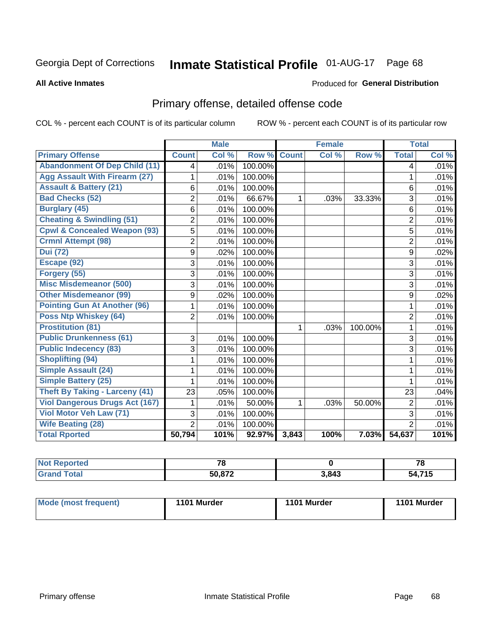# Inmate Statistical Profile 01-AUG-17 Page 68

#### **All Active Inmates**

#### Produced for General Distribution

# Primary offense, detailed offense code

COL % - percent each COUNT is of its particular column

|                                         |                | <b>Male</b> |         |              | <b>Female</b> |         |                | <b>Total</b> |
|-----------------------------------------|----------------|-------------|---------|--------------|---------------|---------|----------------|--------------|
| <b>Primary Offense</b>                  | <b>Count</b>   | Col %       | Row %   | <b>Count</b> | Col %         | Row %   | <b>Total</b>   | Col %        |
| <b>Abandonment Of Dep Child (11)</b>    | 4              | .01%        | 100.00% |              |               |         | 4              | .01%         |
| <b>Agg Assault With Firearm (27)</b>    |                | .01%        | 100.00% |              |               |         | 1              | .01%         |
| <b>Assault &amp; Battery (21)</b>       | 6              | .01%        | 100.00% |              |               |         | 6              | .01%         |
| <b>Bad Checks (52)</b>                  | $\overline{2}$ | .01%        | 66.67%  | 1            | .03%          | 33.33%  | 3              | .01%         |
| <b>Burglary (45)</b>                    | 6              | .01%        | 100.00% |              |               |         | 6              | .01%         |
| <b>Cheating &amp; Swindling (51)</b>    | $\overline{2}$ | .01%        | 100.00% |              |               |         | $\overline{2}$ | .01%         |
| <b>Cpwl &amp; Concealed Weapon (93)</b> | 5              | .01%        | 100.00% |              |               |         | 5              | .01%         |
| <b>Crmnl Attempt (98)</b>               | 2              | .01%        | 100.00% |              |               |         | $\overline{2}$ | .01%         |
| <b>Dui</b> (72)                         | 9              | .02%        | 100.00% |              |               |         | 9              | .02%         |
| Escape (92)                             | 3              | .01%        | 100.00% |              |               |         | 3              | .01%         |
| Forgery (55)                            | 3              | .01%        | 100.00% |              |               |         | 3              | .01%         |
| <b>Misc Misdemeanor (500)</b>           | 3              | .01%        | 100.00% |              |               |         | 3              | .01%         |
| <b>Other Misdemeanor (99)</b>           | 9              | .02%        | 100.00% |              |               |         | 9              | .02%         |
| <b>Pointing Gun At Another (96)</b>     | 1              | .01%        | 100.00% |              |               |         | 1              | .01%         |
| <b>Poss Ntp Whiskey (64)</b>            | $\overline{2}$ | .01%        | 100.00% |              |               |         | $\overline{2}$ | .01%         |
| <b>Prostitution (81)</b>                |                |             |         | 1            | .03%          | 100.00% | 1              | .01%         |
| <b>Public Drunkenness (61)</b>          | 3              | .01%        | 100.00% |              |               |         | 3              | .01%         |
| <b>Public Indecency (83)</b>            | 3              | .01%        | 100.00% |              |               |         | 3              | .01%         |
| <b>Shoplifting (94)</b>                 | 1              | .01%        | 100.00% |              |               |         | 1              | .01%         |
| <b>Simple Assault (24)</b>              |                | .01%        | 100.00% |              |               |         | 1              | .01%         |
| <b>Simple Battery (25)</b>              |                | .01%        | 100.00% |              |               |         | 1              | .01%         |
| <b>Theft By Taking - Larceny (41)</b>   | 23             | .05%        | 100.00% |              |               |         | 23             | .04%         |
| <b>Viol Dangerous Drugs Act (167)</b>   |                | .01%        | 50.00%  | 1            | .03%          | 50.00%  | $\overline{2}$ | .01%         |
| Viol Motor Veh Law (71)                 | 3              | .01%        | 100.00% |              |               |         | 3              | .01%         |
| <b>Wife Beating (28)</b>                | $\overline{2}$ | .01%        | 100.00% |              |               |         | $\overline{2}$ | .01%         |
| <b>Total Rported</b>                    | 50,794         | 101%        | 92.97%  | 3,843        | 100%          | 7.03%   | 54,637         | 101%         |

| τeα<br>. | 70            |            | 70               |
|----------|---------------|------------|------------------|
|          | <b>50.972</b> | 3,843<br>. | ---<br>50<br>. . |

| Mode (most frequent) | 1101 Murder | 1101 Murder | 1101 Murder |
|----------------------|-------------|-------------|-------------|
|                      |             |             |             |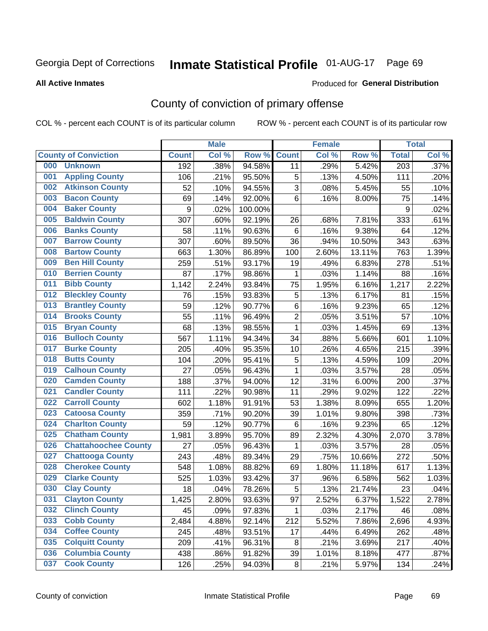# Inmate Statistical Profile 01-AUG-17 Page 69

#### **All Active Inmates**

#### Produced for General Distribution

# County of conviction of primary offense

COL % - percent each COUNT is of its particular column

|     |                             |              | <b>Male</b> |         |                | <b>Female</b> |        |                  | <b>Total</b> |
|-----|-----------------------------|--------------|-------------|---------|----------------|---------------|--------|------------------|--------------|
|     | <b>County of Conviction</b> | <b>Count</b> | Col %       | Row %   | <b>Count</b>   | Col %         | Row %  | <b>Total</b>     | Col %        |
| 000 | <b>Unknown</b>              | 192          | .38%        | 94.58%  | 11             | .29%          | 5.42%  | $\overline{203}$ | .37%         |
| 001 | <b>Appling County</b>       | 106          | .21%        | 95.50%  | 5              | .13%          | 4.50%  | 111              | .20%         |
| 002 | <b>Atkinson County</b>      | 52           | .10%        | 94.55%  | 3              | .08%          | 5.45%  | 55               | .10%         |
| 003 | <b>Bacon County</b>         | 69           | .14%        | 92.00%  | 6              | .16%          | 8.00%  | 75               | .14%         |
| 004 | <b>Baker County</b>         | 9            | .02%        | 100.00% |                |               |        | $\boldsymbol{9}$ | .02%         |
| 005 | <b>Baldwin County</b>       | 307          | .60%        | 92.19%  | 26             | .68%          | 7.81%  | 333              | .61%         |
| 006 | <b>Banks County</b>         | 58           | .11%        | 90.63%  | 6              | .16%          | 9.38%  | 64               | .12%         |
| 007 | <b>Barrow County</b>        | 307          | .60%        | 89.50%  | 36             | .94%          | 10.50% | 343              | .63%         |
| 008 | <b>Bartow County</b>        | 663          | 1.30%       | 86.89%  | 100            | 2.60%         | 13.11% | 763              | 1.39%        |
| 009 | <b>Ben Hill County</b>      | 259          | .51%        | 93.17%  | 19             | .49%          | 6.83%  | 278              | .51%         |
| 010 | <b>Berrien County</b>       | 87           | .17%        | 98.86%  | 1              | .03%          | 1.14%  | 88               | .16%         |
| 011 | <b>Bibb County</b>          | 1,142        | 2.24%       | 93.84%  | 75             | 1.95%         | 6.16%  | 1,217            | 2.22%        |
| 012 | <b>Bleckley County</b>      | 76           | .15%        | 93.83%  | 5              | .13%          | 6.17%  | 81               | .15%         |
| 013 | <b>Brantley County</b>      | 59           | .12%        | 90.77%  | 6              | .16%          | 9.23%  | 65               | .12%         |
| 014 | <b>Brooks County</b>        | 55           | .11%        | 96.49%  | $\overline{c}$ | .05%          | 3.51%  | 57               | .10%         |
| 015 | <b>Bryan County</b>         | 68           | .13%        | 98.55%  | $\mathbf{1}$   | .03%          | 1.45%  | 69               | .13%         |
| 016 | <b>Bulloch County</b>       | 567          | 1.11%       | 94.34%  | 34             | .88%          | 5.66%  | 601              | 1.10%        |
| 017 | <b>Burke County</b>         | 205          | .40%        | 95.35%  | 10             | .26%          | 4.65%  | 215              | .39%         |
| 018 | <b>Butts County</b>         | 104          | .20%        | 95.41%  | 5              | .13%          | 4.59%  | 109              | .20%         |
| 019 | <b>Calhoun County</b>       | 27           | .05%        | 96.43%  | $\mathbf{1}$   | .03%          | 3.57%  | 28               | .05%         |
| 020 | <b>Camden County</b>        | 188          | .37%        | 94.00%  | 12             | .31%          | 6.00%  | 200              | .37%         |
| 021 | <b>Candler County</b>       | 111          | .22%        | 90.98%  | 11             | .29%          | 9.02%  | 122              | .22%         |
| 022 | <b>Carroll County</b>       | 602          | 1.18%       | 91.91%  | 53             | 1.38%         | 8.09%  | 655              | 1.20%        |
| 023 | <b>Catoosa County</b>       | 359          | .71%        | 90.20%  | 39             | 1.01%         | 9.80%  | 398              | .73%         |
| 024 | <b>Charlton County</b>      | 59           | .12%        | 90.77%  | 6              | .16%          | 9.23%  | 65               | .12%         |
| 025 | <b>Chatham County</b>       | 1,981        | 3.89%       | 95.70%  | 89             | 2.32%         | 4.30%  | 2,070            | 3.78%        |
| 026 | <b>Chattahoochee County</b> | 27           | .05%        | 96.43%  | 1              | .03%          | 3.57%  | 28               | .05%         |
| 027 | <b>Chattooga County</b>     | 243          | .48%        | 89.34%  | 29             | .75%          | 10.66% | 272              | .50%         |
| 028 | <b>Cherokee County</b>      | 548          | 1.08%       | 88.82%  | 69             | 1.80%         | 11.18% | 617              | 1.13%        |
| 029 | <b>Clarke County</b>        | 525          | 1.03%       | 93.42%  | 37             | .96%          | 6.58%  | 562              | 1.03%        |
| 030 | <b>Clay County</b>          | 18           | .04%        | 78.26%  | 5              | .13%          | 21.74% | 23               | .04%         |
| 031 | <b>Clayton County</b>       | 1,425        | 2.80%       | 93.63%  | 97             | 2.52%         | 6.37%  | 1,522            | 2.78%        |
| 032 | <b>Clinch County</b>        | 45           | .09%        | 97.83%  | $\mathbf 1$    | .03%          | 2.17%  | 46               | .08%         |
| 033 | <b>Cobb County</b>          | 2,484        | 4.88%       | 92.14%  | 212            | 5.52%         | 7.86%  | 2,696            | 4.93%        |
| 034 | <b>Coffee County</b>        | 245          | .48%        | 93.51%  | 17             | .44%          | 6.49%  | 262              | .48%         |
| 035 | <b>Colquitt County</b>      | 209          | .41%        | 96.31%  | 8              | .21%          | 3.69%  | 217              | .40%         |
| 036 | <b>Columbia County</b>      | 438          | .86%        | 91.82%  | 39             | 1.01%         | 8.18%  | 477              | .87%         |
| 037 | <b>Cook County</b>          | 126          | .25%        | 94.03%  | 8              | .21%          | 5.97%  | 134              | .24%         |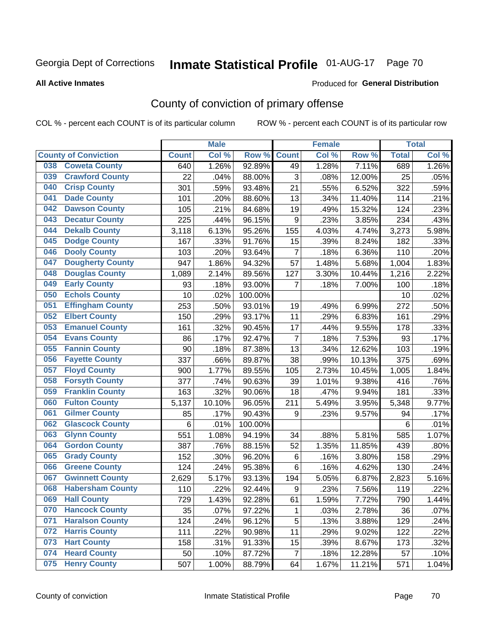# Inmate Statistical Profile 01-AUG-17 Page 70

#### **All Active Inmates**

#### Produced for General Distribution

# County of conviction of primary offense

COL % - percent each COUNT is of its particular column

|                                |              | <b>Male</b> |         |                | <b>Female</b> |        |              | <b>Total</b> |
|--------------------------------|--------------|-------------|---------|----------------|---------------|--------|--------------|--------------|
| <b>County of Conviction</b>    | <b>Count</b> | Col %       | Row %   | <b>Count</b>   | Col %         | Row %  | <b>Total</b> | Col %        |
| <b>Coweta County</b><br>038    | 640          | 1.26%       | 92.89%  | 49             | 1.28%         | 7.11%  | 689          | 1.26%        |
| <b>Crawford County</b><br>039  | 22           | .04%        | 88.00%  | 3              | .08%          | 12.00% | 25           | .05%         |
| <b>Crisp County</b><br>040     | 301          | .59%        | 93.48%  | 21             | .55%          | 6.52%  | 322          | .59%         |
| <b>Dade County</b><br>041      | 101          | .20%        | 88.60%  | 13             | .34%          | 11.40% | 114          | .21%         |
| <b>Dawson County</b><br>042    | 105          | .21%        | 84.68%  | 19             | .49%          | 15.32% | 124          | .23%         |
| <b>Decatur County</b><br>043   | 225          | .44%        | 96.15%  | 9              | .23%          | 3.85%  | 234          | .43%         |
| <b>Dekalb County</b><br>044    | 3,118        | 6.13%       | 95.26%  | 155            | 4.03%         | 4.74%  | 3,273        | 5.98%        |
| <b>Dodge County</b><br>045     | 167          | .33%        | 91.76%  | 15             | .39%          | 8.24%  | 182          | .33%         |
| <b>Dooly County</b><br>046     | 103          | .20%        | 93.64%  | $\overline{7}$ | .18%          | 6.36%  | 110          | .20%         |
| <b>Dougherty County</b><br>047 | 947          | 1.86%       | 94.32%  | 57             | 1.48%         | 5.68%  | 1,004        | 1.83%        |
| <b>Douglas County</b><br>048   | 1,089        | 2.14%       | 89.56%  | 127            | 3.30%         | 10.44% | 1,216        | 2.22%        |
| <b>Early County</b><br>049     | 93           | .18%        | 93.00%  | 7              | .18%          | 7.00%  | 100          | .18%         |
| <b>Echols County</b><br>050    | 10           | .02%        | 100.00% |                |               |        | 10           | .02%         |
| 051<br><b>Effingham County</b> | 253          | .50%        | 93.01%  | 19             | .49%          | 6.99%  | 272          | .50%         |
| <b>Elbert County</b><br>052    | 150          | .29%        | 93.17%  | 11             | .29%          | 6.83%  | 161          | .29%         |
| <b>Emanuel County</b><br>053   | 161          | .32%        | 90.45%  | 17             | .44%          | 9.55%  | 178          | .33%         |
| <b>Evans County</b><br>054     | 86           | .17%        | 92.47%  | $\overline{7}$ | .18%          | 7.53%  | 93           | .17%         |
| <b>Fannin County</b><br>055    | 90           | .18%        | 87.38%  | 13             | .34%          | 12.62% | 103          | .19%         |
| <b>Fayette County</b><br>056   | 337          | .66%        | 89.87%  | 38             | .99%          | 10.13% | 375          | .69%         |
| <b>Floyd County</b><br>057     | 900          | 1.77%       | 89.55%  | 105            | 2.73%         | 10.45% | 1,005        | 1.84%        |
| <b>Forsyth County</b><br>058   | 377          | .74%        | 90.63%  | 39             | 1.01%         | 9.38%  | 416          | .76%         |
| <b>Franklin County</b><br>059  | 163          | .32%        | 90.06%  | 18             | .47%          | 9.94%  | 181          | .33%         |
| <b>Fulton County</b><br>060    | 5,137        | 10.10%      | 96.05%  | 211            | 5.49%         | 3.95%  | 5,348        | 9.77%        |
| <b>Gilmer County</b><br>061    | 85           | .17%        | 90.43%  | 9              | .23%          | 9.57%  | 94           | .17%         |
| <b>Glascock County</b><br>062  | 6            | .01%        | 100.00% |                |               |        | 6            | .01%         |
| 063<br><b>Glynn County</b>     | 551          | 1.08%       | 94.19%  | 34             | .88%          | 5.81%  | 585          | 1.07%        |
| <b>Gordon County</b><br>064    | 387          | .76%        | 88.15%  | 52             | 1.35%         | 11.85% | 439          | .80%         |
| 065<br><b>Grady County</b>     | 152          | .30%        | 96.20%  | 6              | .16%          | 3.80%  | 158          | .29%         |
| <b>Greene County</b><br>066    | 124          | .24%        | 95.38%  | 6              | .16%          | 4.62%  | 130          | .24%         |
| <b>Gwinnett County</b><br>067  | 2,629        | 5.17%       | 93.13%  | 194            | 5.05%         | 6.87%  | 2,823        | 5.16%        |
| <b>Habersham County</b><br>068 | 110          | .22%        | 92.44%  | 9              | .23%          | 7.56%  | 119          | .22%         |
| 069<br><b>Hall County</b>      | 729          | 1.43%       | 92.28%  | 61             | 1.59%         | 7.72%  | 790          | 1.44%        |
| <b>Hancock County</b><br>070   | 35           | .07%        | 97.22%  | 1              | .03%          | 2.78%  | 36           | .07%         |
| <b>Haralson County</b><br>071  | 124          | .24%        | 96.12%  | 5              | .13%          | 3.88%  | 129          | .24%         |
| <b>Harris County</b><br>072    | 111          | .22%        | 90.98%  | 11             | .29%          | 9.02%  | 122          | .22%         |
| <b>Hart County</b><br>073      | 158          | .31%        | 91.33%  | 15             | .39%          | 8.67%  | 173          | .32%         |
| <b>Heard County</b><br>074     | 50           | .10%        | 87.72%  | $\overline{7}$ | .18%          | 12.28% | 57           | .10%         |
| <b>Henry County</b><br>075     | 507          | 1.00%       | 88.79%  | 64             | 1.67%         | 11.21% | 571          | 1.04%        |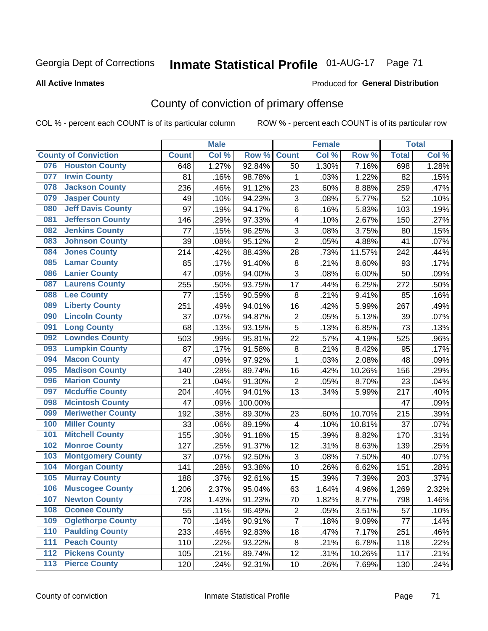# Inmate Statistical Profile 01-AUG-17 Page 71

#### **All Active Inmates**

#### Produced for General Distribution

# County of conviction of primary offense

COL % - percent each COUNT is of its particular column

|     |                             |              | <b>Male</b> |         |                           | <b>Female</b> |        |              | <b>Total</b> |
|-----|-----------------------------|--------------|-------------|---------|---------------------------|---------------|--------|--------------|--------------|
|     | <b>County of Conviction</b> | <b>Count</b> | Col %       | Row %   | <b>Count</b>              | Col %         | Row %  | <b>Total</b> | Col %        |
| 076 | <b>Houston County</b>       | 648          | 1.27%       | 92.84%  | 50                        | 1.30%         | 7.16%  | 698          | 1.28%        |
| 077 | <b>Irwin County</b>         | 81           | .16%        | 98.78%  | 1                         | .03%          | 1.22%  | 82           | .15%         |
| 078 | <b>Jackson County</b>       | 236          | .46%        | 91.12%  | 23                        | .60%          | 8.88%  | 259          | .47%         |
| 079 | <b>Jasper County</b>        | 49           | .10%        | 94.23%  | $\ensuremath{\mathsf{3}}$ | .08%          | 5.77%  | 52           | .10%         |
| 080 | <b>Jeff Davis County</b>    | 97           | .19%        | 94.17%  | 6                         | .16%          | 5.83%  | 103          | .19%         |
| 081 | <b>Jefferson County</b>     | 146          | .29%        | 97.33%  | 4                         | .10%          | 2.67%  | 150          | .27%         |
| 082 | <b>Jenkins County</b>       | 77           | .15%        | 96.25%  | $\sqrt{3}$                | .08%          | 3.75%  | 80           | .15%         |
| 083 | <b>Johnson County</b>       | 39           | .08%        | 95.12%  | $\overline{2}$            | .05%          | 4.88%  | 41           | .07%         |
| 084 | <b>Jones County</b>         | 214          | .42%        | 88.43%  | 28                        | .73%          | 11.57% | 242          | .44%         |
| 085 | <b>Lamar County</b>         | 85           | .17%        | 91.40%  | 8                         | .21%          | 8.60%  | 93           | .17%         |
| 086 | <b>Lanier County</b>        | 47           | .09%        | 94.00%  | $\sqrt{3}$                | .08%          | 6.00%  | 50           | .09%         |
| 087 | <b>Laurens County</b>       | 255          | .50%        | 93.75%  | 17                        | .44%          | 6.25%  | 272          | .50%         |
| 088 | <b>Lee County</b>           | 77           | .15%        | 90.59%  | 8                         | .21%          | 9.41%  | 85           | .16%         |
| 089 | <b>Liberty County</b>       | 251          | .49%        | 94.01%  | 16                        | .42%          | 5.99%  | 267          | .49%         |
| 090 | <b>Lincoln County</b>       | 37           | .07%        | 94.87%  | $\overline{2}$            | .05%          | 5.13%  | 39           | .07%         |
| 091 | <b>Long County</b>          | 68           | .13%        | 93.15%  | 5                         | .13%          | 6.85%  | 73           | .13%         |
| 092 | <b>Lowndes County</b>       | 503          | .99%        | 95.81%  | 22                        | .57%          | 4.19%  | 525          | .96%         |
| 093 | <b>Lumpkin County</b>       | 87           | .17%        | 91.58%  | $\bf 8$                   | .21%          | 8.42%  | 95           | .17%         |
| 094 | <b>Macon County</b>         | 47           | .09%        | 97.92%  | $\mathbf 1$               | .03%          | 2.08%  | 48           | .09%         |
| 095 | <b>Madison County</b>       | 140          | .28%        | 89.74%  | 16                        | .42%          | 10.26% | 156          | .29%         |
| 096 | <b>Marion County</b>        | 21           | .04%        | 91.30%  | $\overline{2}$            | .05%          | 8.70%  | 23           | .04%         |
| 097 | <b>Mcduffie County</b>      | 204          | .40%        | 94.01%  | 13                        | .34%          | 5.99%  | 217          | .40%         |
| 098 | <b>Mcintosh County</b>      | 47           | .09%        | 100.00% |                           |               |        | 47           | .09%         |
| 099 | <b>Meriwether County</b>    | 192          | .38%        | 89.30%  | 23                        | .60%          | 10.70% | 215          | .39%         |
| 100 | <b>Miller County</b>        | 33           | .06%        | 89.19%  | 4                         | .10%          | 10.81% | 37           | .07%         |
| 101 | <b>Mitchell County</b>      | 155          | .30%        | 91.18%  | 15                        | .39%          | 8.82%  | 170          | .31%         |
| 102 | <b>Monroe County</b>        | 127          | .25%        | 91.37%  | 12                        | .31%          | 8.63%  | 139          | .25%         |
| 103 | <b>Montgomery County</b>    | 37           | .07%        | 92.50%  | 3                         | .08%          | 7.50%  | 40           | .07%         |
| 104 | <b>Morgan County</b>        | 141          | .28%        | 93.38%  | 10                        | .26%          | 6.62%  | 151          | .28%         |
| 105 | <b>Murray County</b>        | 188          | .37%        | 92.61%  | 15                        | .39%          | 7.39%  | 203          | .37%         |
| 106 | <b>Muscogee County</b>      | 1,206        | 2.37%       | 95.04%  | 63                        | 1.64%         | 4.96%  | 1,269        | 2.32%        |
| 107 | <b>Newton County</b>        | 728          | 1.43%       | 91.23%  | 70                        | 1.82%         | 8.77%  | 798          | 1.46%        |
| 108 | <b>Oconee County</b>        | 55           | .11%        | 96.49%  | $\overline{c}$            | .05%          | 3.51%  | 57           | .10%         |
| 109 | <b>Oglethorpe County</b>    | 70           | .14%        | 90.91%  | $\overline{7}$            | .18%          | 9.09%  | 77           | .14%         |
| 110 | <b>Paulding County</b>      | 233          | .46%        | 92.83%  | 18                        | .47%          | 7.17%  | 251          | .46%         |
| 111 | <b>Peach County</b>         | 110          | .22%        | 93.22%  | 8                         | .21%          | 6.78%  | 118          | .22%         |
| 112 | <b>Pickens County</b>       | 105          | .21%        | 89.74%  | 12                        | .31%          | 10.26% | 117          | .21%         |
| 113 | <b>Pierce County</b>        | 120          | .24%        | 92.31%  | 10                        | .26%          | 7.69%  | 130          | .24%         |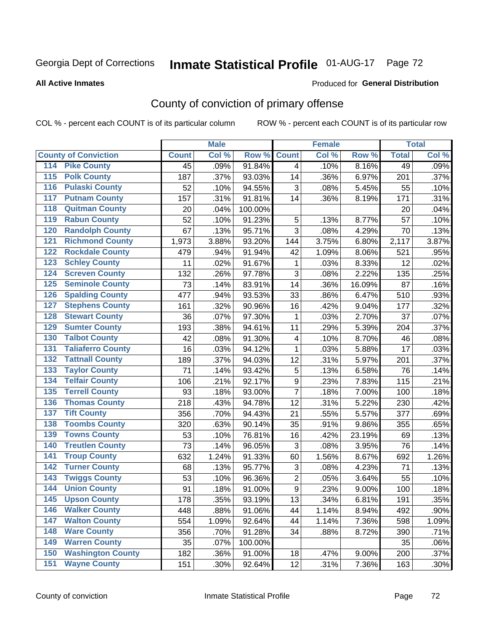# Inmate Statistical Profile 01-AUG-17 Page 72

#### **All Active Inmates**

#### Produced for General Distribution

# County of conviction of primary offense

COL % - percent each COUNT is of its particular column

|                                        |              | <b>Male</b> |         |                  | <b>Female</b> |        |              | <b>Total</b> |
|----------------------------------------|--------------|-------------|---------|------------------|---------------|--------|--------------|--------------|
| <b>County of Conviction</b>            | <b>Count</b> | Col %       | Row %   | <b>Count</b>     | Col %         | Row %  | <b>Total</b> | Col %        |
| <b>Pike County</b><br>114              | 45           | .09%        | 91.84%  | 4                | .10%          | 8.16%  | 49           | .09%         |
| <b>Polk County</b><br>$\overline{115}$ | 187          | .37%        | 93.03%  | 14               | .36%          | 6.97%  | 201          | .37%         |
| <b>Pulaski County</b><br>116           | 52           | .10%        | 94.55%  | 3                | .08%          | 5.45%  | 55           | .10%         |
| <b>Putnam County</b><br>117            | 157          | .31%        | 91.81%  | 14               | .36%          | 8.19%  | 171          | .31%         |
| 118<br><b>Quitman County</b>           | 20           | .04%        | 100.00% |                  |               |        | 20           | .04%         |
| <b>Rabun County</b><br>119             | 52           | .10%        | 91.23%  | 5                | .13%          | 8.77%  | 57           | .10%         |
| <b>Randolph County</b><br>120          | 67           | .13%        | 95.71%  | $\overline{3}$   | .08%          | 4.29%  | 70           | .13%         |
| <b>Richmond County</b><br>121          | 1,973        | 3.88%       | 93.20%  | 144              | 3.75%         | 6.80%  | 2,117        | 3.87%        |
| <b>Rockdale County</b><br>122          | 479          | .94%        | 91.94%  | 42               | 1.09%         | 8.06%  | 521          | .95%         |
| <b>Schley County</b><br>123            | 11           | .02%        | 91.67%  | 1                | .03%          | 8.33%  | 12           | .02%         |
| <b>Screven County</b><br>124           | 132          | .26%        | 97.78%  | 3                | .08%          | 2.22%  | 135          | .25%         |
| <b>Seminole County</b><br>125          | 73           | .14%        | 83.91%  | 14               | .36%          | 16.09% | 87           | .16%         |
| 126<br><b>Spalding County</b>          | 477          | .94%        | 93.53%  | 33               | .86%          | 6.47%  | 510          | .93%         |
| 127<br><b>Stephens County</b>          | 161          | .32%        | 90.96%  | 16               | .42%          | 9.04%  | 177          | .32%         |
| <b>Stewart County</b><br>128           | 36           | .07%        | 97.30%  | 1                | .03%          | 2.70%  | 37           | .07%         |
| <b>Sumter County</b><br>129            | 193          | .38%        | 94.61%  | 11               | .29%          | 5.39%  | 204          | .37%         |
| <b>Talbot County</b><br>130            | 42           | .08%        | 91.30%  | 4                | .10%          | 8.70%  | 46           | .08%         |
| <b>Taliaferro County</b><br>131        | 16           | .03%        | 94.12%  | $\mathbf{1}$     | .03%          | 5.88%  | 17           | .03%         |
| <b>Tattnall County</b><br>132          | 189          | .37%        | 94.03%  | 12               | .31%          | 5.97%  | 201          | .37%         |
| <b>Taylor County</b><br>133            | 71           | .14%        | 93.42%  | 5                | .13%          | 6.58%  | 76           | .14%         |
| <b>Telfair County</b><br>134           | 106          | .21%        | 92.17%  | $\boldsymbol{9}$ | .23%          | 7.83%  | 115          | .21%         |
| <b>Terrell County</b><br>135           | 93           | .18%        | 93.00%  | $\overline{7}$   | .18%          | 7.00%  | 100          | .18%         |
| <b>Thomas County</b><br>136            | 218          | .43%        | 94.78%  | 12               | .31%          | 5.22%  | 230          | .42%         |
| <b>Tift County</b><br>137              | 356          | .70%        | 94.43%  | 21               | .55%          | 5.57%  | 377          | .69%         |
| <b>Toombs County</b><br>138            | 320          | .63%        | 90.14%  | 35               | .91%          | 9.86%  | 355          | .65%         |
| <b>Towns County</b><br>139             | 53           | .10%        | 76.81%  | 16               | .42%          | 23.19% | 69           | .13%         |
| <b>Treutlen County</b><br>140          | 73           | .14%        | 96.05%  | 3                | .08%          | 3.95%  | 76           | .14%         |
| <b>Troup County</b><br>141             | 632          | 1.24%       | 91.33%  | 60               | 1.56%         | 8.67%  | 692          | 1.26%        |
| <b>Turner County</b><br>142            | 68           | .13%        | 95.77%  | $\mathsf 3$      | .08%          | 4.23%  | 71           | .13%         |
| <b>Twiggs County</b><br>143            | 53           | .10%        | 96.36%  | $\overline{c}$   | .05%          | 3.64%  | 55           | .10%         |
| <b>Union County</b><br>144             | 91           | .18%        | 91.00%  | $\overline{9}$   | .23%          | 9.00%  | 100          | .18%         |
| 145<br><b>Upson County</b>             | 178          | .35%        | 93.19%  | 13               | .34%          | 6.81%  | 191          | .35%         |
| <b>Walker County</b><br>146            | 448          | .88%        | 91.06%  | 44               | 1.14%         | 8.94%  | 492          | .90%         |
| <b>Walton County</b><br>147            | 554          | 1.09%       | 92.64%  | 44               | 1.14%         | 7.36%  | 598          | 1.09%        |
| <b>Ware County</b><br>148              | 356          | .70%        | 91.28%  | 34               | .88%          | 8.72%  | 390          | .71%         |
| <b>Warren County</b><br>149            | 35           | .07%        | 100.00% |                  |               |        | 35           | .06%         |
| <b>Washington County</b><br>150        | 182          | .36%        | 91.00%  | 18               | .47%          | 9.00%  | 200          | .37%         |
| <b>Wayne County</b><br>151             | 151          | .30%        | 92.64%  | 12               | .31%          | 7.36%  | 163          | .30%         |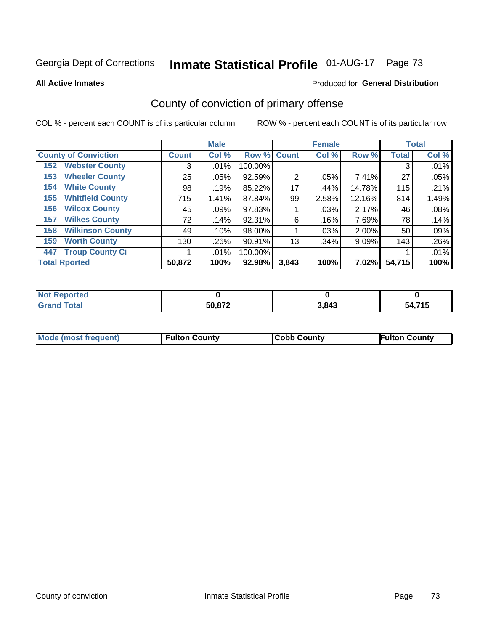# Inmate Statistical Profile 01-AUG-17 Page 73

**All Active Inmates** 

#### Produced for General Distribution

# County of conviction of primary offense

COL % - percent each COUNT is of its particular column

|                                |              | <b>Male</b> |             |       | <b>Female</b> |          |              | <b>Total</b> |
|--------------------------------|--------------|-------------|-------------|-------|---------------|----------|--------------|--------------|
| <b>County of Conviction</b>    | <b>Count</b> | Col %       | Row % Count |       | Col %         | Row %    | <b>Total</b> | Col %        |
| <b>Webster County</b><br>152   | 3            | $.01\%$     | 100.00%     |       |               |          | 3            | .01%         |
| <b>Wheeler County</b><br>153   | 25           | .05%        | 92.59%      | 2     | .05%          | 7.41%    | 27           | .05%         |
| <b>White County</b><br>154     | 98           | .19%        | 85.22%      | 17    | .44%          | 14.78%   | 115          | .21%         |
| <b>Whitfield County</b><br>155 | 715          | 1.41%       | 87.84%      | 99    | 2.58%         | 12.16%   | 814          | 1.49%        |
| <b>Wilcox County</b><br>156    | 45           | .09%        | 97.83%      |       | .03%          | 2.17%    | 46           | .08%         |
| <b>Wilkes County</b><br>157    | 72           | .14%        | 92.31%      | 6     | .16%          | 7.69%    | 78           | .14%         |
| <b>Wilkinson County</b><br>158 | 49           | $.10\%$     | 98.00%      |       | .03%          | 2.00%    | 50           | .09%         |
| <b>Worth County</b><br>159     | 130          | .26%        | 90.91%      | 13    | .34%          | $9.09\%$ | 143          | $.26\%$      |
| <b>Troup County Ci</b><br>447  |              | $.01\%$     | 100.00%     |       |               |          |              | .01%         |
| <b>Total Rported</b>           | 50,872       | 100%        | 92.98%      | 3,843 | 100%          | $7.02\%$ | 54,715       | 100%         |

| <b>Not Reported</b> |        |       |        |
|---------------------|--------|-------|--------|
| <b>Grand Total</b>  | 50,872 | 3,843 | 54,715 |

|  | <b>Mode (most frequent)</b> | <b>Fulton County</b> | <b>Cobb County</b> | <b>Fulton County</b> |
|--|-----------------------------|----------------------|--------------------|----------------------|
|--|-----------------------------|----------------------|--------------------|----------------------|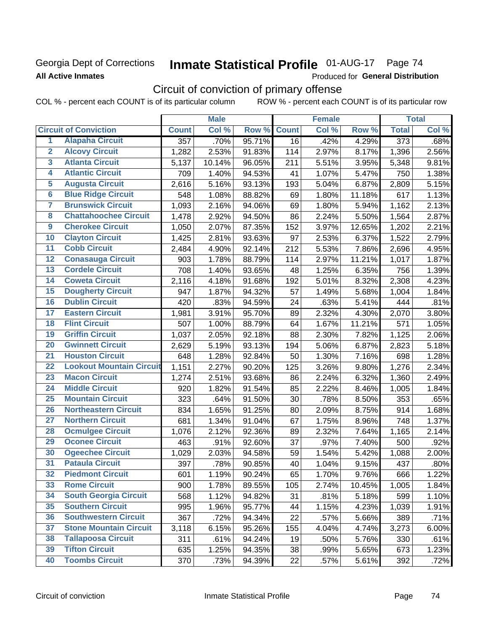## Georgia Dept of Corrections **All Active Inmates**

# Inmate Statistical Profile 01-AUG-17 Page 74

Produced for General Distribution

# Circuit of conviction of primary offense

COL % - percent each COUNT is of its particular column ROW % - percent each COUNT is of its particular row

|                         |                                 |                  | <b>Male</b> |        |              | <b>Female</b> |        |                  | <b>Total</b> |
|-------------------------|---------------------------------|------------------|-------------|--------|--------------|---------------|--------|------------------|--------------|
|                         | <b>Circuit of Conviction</b>    | <b>Count</b>     | Col %       | Row %  | <b>Count</b> | Col %         | Row %  | <b>Total</b>     | Col %        |
| 1                       | <b>Alapaha Circuit</b>          | $\overline{357}$ | .70%        | 95.71% | 16           | .42%          | 4.29%  | $\overline{373}$ | .68%         |
| $\overline{2}$          | <b>Alcovy Circuit</b>           | 1,282            | 2.53%       | 91.83% | 114          | 2.97%         | 8.17%  | 1,396            | 2.56%        |
| $\overline{\mathbf{3}}$ | <b>Atlanta Circuit</b>          | 5,137            | 10.14%      | 96.05% | 211          | 5.51%         | 3.95%  | 5,348            | 9.81%        |
| 4                       | <b>Atlantic Circuit</b>         | 709              | 1.40%       | 94.53% | 41           | 1.07%         | 5.47%  | 750              | 1.38%        |
| 5                       | <b>Augusta Circuit</b>          | 2,616            | 5.16%       | 93.13% | 193          | 5.04%         | 6.87%  | 2,809            | 5.15%        |
| $\overline{6}$          | <b>Blue Ridge Circuit</b>       | 548              | 1.08%       | 88.82% | 69           | 1.80%         | 11.18% | 617              | 1.13%        |
| $\overline{\mathbf{7}}$ | <b>Brunswick Circuit</b>        | 1,093            | 2.16%       | 94.06% | 69           | 1.80%         | 5.94%  | 1,162            | 2.13%        |
| $\overline{\mathbf{8}}$ | <b>Chattahoochee Circuit</b>    | 1,478            | 2.92%       | 94.50% | 86           | 2.24%         | 5.50%  | 1,564            | 2.87%        |
| $\overline{9}$          | <b>Cherokee Circuit</b>         | 1,050            | 2.07%       | 87.35% | 152          | 3.97%         | 12.65% | 1,202            | 2.21%        |
| 10                      | <b>Clayton Circuit</b>          | 1,425            | 2.81%       | 93.63% | 97           | 2.53%         | 6.37%  | 1,522            | 2.79%        |
| $\overline{11}$         | <b>Cobb Circuit</b>             | 2,484            | 4.90%       | 92.14% | 212          | 5.53%         | 7.86%  | 2,696            | 4.95%        |
| $\overline{12}$         | <b>Conasauga Circuit</b>        | 903              | 1.78%       | 88.79% | 114          | 2.97%         | 11.21% | 1,017            | 1.87%        |
| 13                      | <b>Cordele Circuit</b>          | 708              | 1.40%       | 93.65% | 48           | 1.25%         | 6.35%  | 756              | 1.39%        |
| 14                      | <b>Coweta Circuit</b>           | 2,116            | 4.18%       | 91.68% | 192          | 5.01%         | 8.32%  | 2,308            | 4.23%        |
| 15                      | <b>Dougherty Circuit</b>        | 947              | 1.87%       | 94.32% | 57           | 1.49%         | 5.68%  | 1,004            | 1.84%        |
| 16                      | <b>Dublin Circuit</b>           | 420              | .83%        | 94.59% | 24           | .63%          | 5.41%  | 444              | .81%         |
| 17                      | <b>Eastern Circuit</b>          | 1,981            | 3.91%       | 95.70% | 89           | 2.32%         | 4.30%  | 2,070            | 3.80%        |
| 18                      | <b>Flint Circuit</b>            | 507              | 1.00%       | 88.79% | 64           | 1.67%         | 11.21% | 571              | 1.05%        |
| 19                      | <b>Griffin Circuit</b>          | 1,037            | 2.05%       | 92.18% | 88           | 2.30%         | 7.82%  | 1,125            | 2.06%        |
| 20                      | <b>Gwinnett Circuit</b>         | 2,629            | 5.19%       | 93.13% | 194          | 5.06%         | 6.87%  | 2,823            | 5.18%        |
| $\overline{21}$         | <b>Houston Circuit</b>          | 648              | 1.28%       | 92.84% | 50           | 1.30%         | 7.16%  | 698              | 1.28%        |
| $\overline{22}$         | <b>Lookout Mountain Circuit</b> | 1,151            | 2.27%       | 90.20% | 125          | 3.26%         | 9.80%  | 1,276            | 2.34%        |
| 23                      | <b>Macon Circuit</b>            | 1,274            | 2.51%       | 93.68% | 86           | 2.24%         | 6.32%  | 1,360            | 2.49%        |
| $\overline{24}$         | <b>Middle Circuit</b>           | 920              | 1.82%       | 91.54% | 85           | 2.22%         | 8.46%  | 1,005            | 1.84%        |
| 25                      | <b>Mountain Circuit</b>         | 323              | .64%        | 91.50% | 30           | .78%          | 8.50%  | 353              | .65%         |
| 26                      | <b>Northeastern Circuit</b>     | 834              | 1.65%       | 91.25% | 80           | 2.09%         | 8.75%  | 914              | 1.68%        |
| $\overline{27}$         | <b>Northern Circuit</b>         | 681              | 1.34%       | 91.04% | 67           | 1.75%         | 8.96%  | 748              | 1.37%        |
| 28                      | <b>Ocmulgee Circuit</b>         | 1,076            | 2.12%       | 92.36% | 89           | 2.32%         | 7.64%  | 1,165            | 2.14%        |
| 29                      | <b>Oconee Circuit</b>           | 463              | .91%        | 92.60% | 37           | .97%          | 7.40%  | 500              | .92%         |
| 30                      | <b>Ogeechee Circuit</b>         | 1,029            | 2.03%       | 94.58% | 59           | 1.54%         | 5.42%  | 1,088            | 2.00%        |
| $\overline{31}$         | <b>Pataula Circuit</b>          | 397              | .78%        | 90.85% | 40           | 1.04%         | 9.15%  | 437              | .80%         |
| 32                      | <b>Piedmont Circuit</b>         | 601              | 1.19%       | 90.24% | 65           | 1.70%         | 9.76%  | 666              | 1.22%        |
| 33                      | <b>Rome Circuit</b>             | 900              | 1.78%       | 89.55% | 105          | 2.74%         | 10.45% | 1,005            | 1.84%        |
| 34                      | <b>South Georgia Circuit</b>    | 568              | 1.12%       | 94.82% | 31           | .81%          | 5.18%  | 599              | 1.10%        |
| 35                      | <b>Southern Circuit</b>         | 995              | 1.96%       | 95.77% | 44           | 1.15%         | 4.23%  | 1,039            | 1.91%        |
| 36                      | <b>Southwestern Circuit</b>     | 367              | .72%        | 94.34% | 22           | .57%          | 5.66%  | 389              | .71%         |
| 37                      | <b>Stone Mountain Circuit</b>   | 3,118            | 6.15%       | 95.26% | 155          | 4.04%         | 4.74%  | 3,273            | 6.00%        |
| 38                      | <b>Tallapoosa Circuit</b>       | 311              | .61%        | 94.24% | 19           | .50%          | 5.76%  | 330              | .61%         |
| 39                      | <b>Tifton Circuit</b>           | 635              | 1.25%       | 94.35% | 38           | .99%          | 5.65%  | 673              | 1.23%        |
| 40                      | <b>Toombs Circuit</b>           | 370              | .73%        | 94.39% | 22           | .57%          | 5.61%  | 392              | .72%         |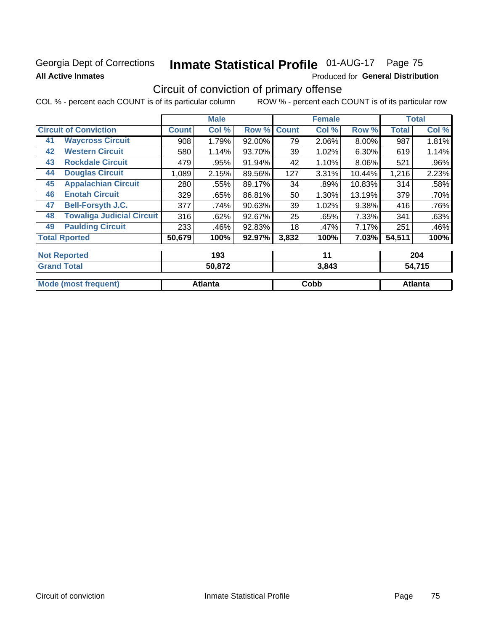## Georgia Dept of Corrections **All Active Inmates**

# Inmate Statistical Profile 01-AUG-17 Page 75

Produced for General Distribution

# Circuit of conviction of primary offense

COL % - percent each COUNT is of its particular column ROW % - percent each COUNT is of its particular row

|                                        |              | <b>Male</b> |           |              | <b>Female</b> |          |              | <b>Total</b> |
|----------------------------------------|--------------|-------------|-----------|--------------|---------------|----------|--------------|--------------|
| <b>Circuit of Conviction</b>           | <b>Count</b> | Col %       | Row %     | <b>Count</b> | Col %         | Row %    | <b>Total</b> | Col %        |
| <b>Waycross Circuit</b><br>41          | 908          | 1.79%       | 92.00%    | 79           | 2.06%         | 8.00%    | 987          | 1.81%        |
| <b>Western Circuit</b><br>42           | 580          | 1.14%       | 93.70%    | 39           | 1.02%         | 6.30%    | 619          | 1.14%        |
| <b>Rockdale Circuit</b><br>43          | 479          | .95%        | 91.94%    | 42           | 1.10%         | 8.06%    | 521          | .96%         |
| <b>Douglas Circuit</b><br>44           | 1,089        | 2.15%       | 89.56%    | 127          | 3.31%         | 10.44%   | 1,216        | 2.23%        |
| <b>Appalachian Circuit</b><br>45       | 280          | .55%        | 89.17%    | 34           | .89%          | 10.83%   | 314          | .58%         |
| <b>Enotah Circuit</b><br>46            | 329          | .65%        | 86.81%    | 50           | 1.30%         | 13.19%   | 379          | .70%         |
| 47<br><b>Bell-Forsyth J.C.</b>         | 377          | .74%        | 90.63%    | 39           | 1.02%         | 9.38%    | 416          | .76%         |
| <b>Towaliga Judicial Circuit</b><br>48 | 316          | .62%        | 92.67%    | 25           | .65%          | 7.33%    | 341          | .63%         |
| <b>Paulding Circuit</b><br>49          | 233          | .46%        | 92.83%    | 18           | .47%          | 7.17%    | 251          | .46%         |
| <b>Total Rported</b>                   | 50,679       | 100%        | $92.97\%$ | 3,832        | 100%          | $7.03\%$ | 54,511       | 100%         |
| <b>Not Reported</b>                    |              | 193         |           |              | 11            |          |              | 204          |
| <b>Grand Total</b>                     |              | 50.872      |           |              | $3.813$       |          |              | 51715        |

| ∣ Grand Total               | 30.OTZ  | ა.ი4ა | 34.7TJ  |
|-----------------------------|---------|-------|---------|
| <b>Mode (most frequent)</b> | Atlanta | Cobb  | ⊿tlanta |
|                             |         |       |         |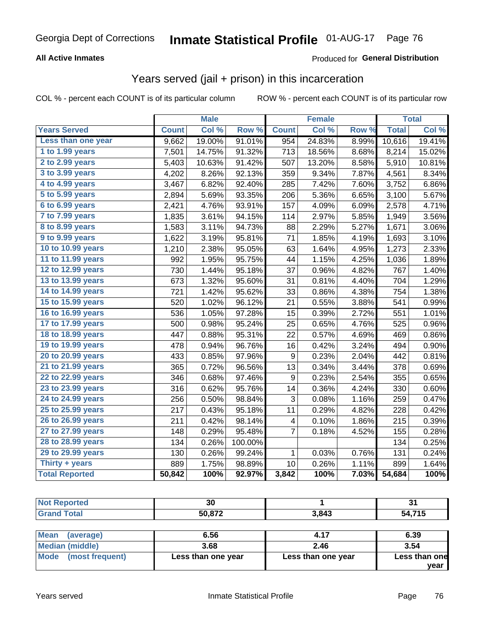#### **All Active Inmates**

#### Produced for **General Distribution**

## Years served (jail + prison) in this incarceration

|                       |              | <b>Male</b> |         |              | <b>Female</b> |       |              | <b>Total</b> |
|-----------------------|--------------|-------------|---------|--------------|---------------|-------|--------------|--------------|
| <b>Years Served</b>   | <b>Count</b> | Col %       | Row %   | <b>Count</b> | Col %         | Row % | <b>Total</b> | Col %        |
| Less than one year    | 9,662        | 19.00%      | 91.01%  | 954          | 24.83%        | 8.99% | 10,616       | 19.41%       |
| 1 to 1.99 years       | 7,501        | 14.75%      | 91.32%  | 713          | 18.56%        | 8.68% | 8,214        | 15.02%       |
| 2 to 2.99 years       | 5,403        | 10.63%      | 91.42%  | 507          | 13.20%        | 8.58% | 5,910        | 10.81%       |
| 3 to 3.99 years       | 4,202        | 8.26%       | 92.13%  | 359          | 9.34%         | 7.87% | 4,561        | 8.34%        |
| 4 to 4.99 years       | 3,467        | 6.82%       | 92.40%  | 285          | 7.42%         | 7.60% | 3,752        | 6.86%        |
| 5 to 5.99 years       | 2,894        | 5.69%       | 93.35%  | 206          | 5.36%         | 6.65% | 3,100        | 5.67%        |
| 6 to 6.99 years       | 2,421        | 4.76%       | 93.91%  | 157          | 4.09%         | 6.09% | 2,578        | 4.71%        |
| 7 to 7.99 years       | 1,835        | 3.61%       | 94.15%  | 114          | 2.97%         | 5.85% | 1,949        | 3.56%        |
| 8 to 8.99 years       | 1,583        | 3.11%       | 94.73%  | 88           | 2.29%         | 5.27% | 1,671        | 3.06%        |
| 9 to 9.99 years       | 1,622        | 3.19%       | 95.81%  | 71           | 1.85%         | 4.19% | 1,693        | 3.10%        |
| 10 to 10.99 years     | 1,210        | 2.38%       | 95.05%  | 63           | 1.64%         | 4.95% | 1,273        | 2.33%        |
| 11 to 11.99 years     | 992          | 1.95%       | 95.75%  | 44           | 1.15%         | 4.25% | 1,036        | 1.89%        |
| 12 to 12.99 years     | 730          | 1.44%       | 95.18%  | 37           | 0.96%         | 4.82% | 767          | 1.40%        |
| 13 to 13.99 years     | 673          | 1.32%       | 95.60%  | 31           | 0.81%         | 4.40% | 704          | 1.29%        |
| 14 to 14.99 years     | 721          | 1.42%       | 95.62%  | 33           | 0.86%         | 4.38% | 754          | 1.38%        |
| 15 to 15.99 years     | 520          | 1.02%       | 96.12%  | 21           | 0.55%         | 3.88% | 541          | 0.99%        |
| 16 to 16.99 years     | 536          | 1.05%       | 97.28%  | 15           | 0.39%         | 2.72% | 551          | 1.01%        |
| 17 to 17.99 years     | 500          | 0.98%       | 95.24%  | 25           | 0.65%         | 4.76% | 525          | 0.96%        |
| 18 to 18.99 years     | 447          | 0.88%       | 95.31%  | 22           | 0.57%         | 4.69% | 469          | 0.86%        |
| 19 to 19.99 years     | 478          | 0.94%       | 96.76%  | 16           | 0.42%         | 3.24% | 494          | 0.90%        |
| 20 to 20.99 years     | 433          | 0.85%       | 97.96%  | 9            | 0.23%         | 2.04% | 442          | 0.81%        |
| 21 to 21.99 years     | 365          | 0.72%       | 96.56%  | 13           | 0.34%         | 3.44% | 378          | 0.69%        |
| 22 to 22.99 years     | 346          | 0.68%       | 97.46%  | 9            | 0.23%         | 2.54% | 355          | 0.65%        |
| 23 to 23.99 years     | 316          | 0.62%       | 95.76%  | 14           | 0.36%         | 4.24% | 330          | 0.60%        |
| 24 to 24.99 years     | 256          | 0.50%       | 98.84%  | 3            | 0.08%         | 1.16% | 259          | 0.47%        |
| 25 to 25.99 years     | 217          | 0.43%       | 95.18%  | 11           | 0.29%         | 4.82% | 228          | 0.42%        |
| 26 to 26.99 years     | 211          | 0.42%       | 98.14%  | 4            | 0.10%         | 1.86% | 215          | 0.39%        |
| 27 to 27.99 years     | 148          | 0.29%       | 95.48%  | 7            | 0.18%         | 4.52% | 155          | 0.28%        |
| 28 to 28.99 years     | 134          | 0.26%       | 100.00% |              |               |       | 134          | 0.25%        |
| 29 to 29.99 years     | 130          | 0.26%       | 99.24%  | $\mathbf 1$  | 0.03%         | 0.76% | 131          | 0.24%        |
| Thirty + years        | 889          | 1.75%       | 98.89%  | 10           | 0.26%         | 1.11% | 899          | 1.64%        |
| <b>Total Reported</b> | 50,842       | 100%        | 92.97%  | 3,842        | 100%          | 7.03% | 54,684       | 100%         |

| <b>No</b><br><b>rted</b> | 30     |       | ີ<br>O L    |
|--------------------------|--------|-------|-------------|
| <b>Fotal</b>             | 50.872 | 3,843 | ,715<br>-54 |

| Mean<br>(average)       | 6.56               | 4.17               | 6.39          |
|-------------------------|--------------------|--------------------|---------------|
| Median (middle)         | 3.68               | 2.46               | 3.54          |
| Mode<br>(most frequent) | Less than one year | Less than one year | Less than one |
|                         |                    |                    | vear          |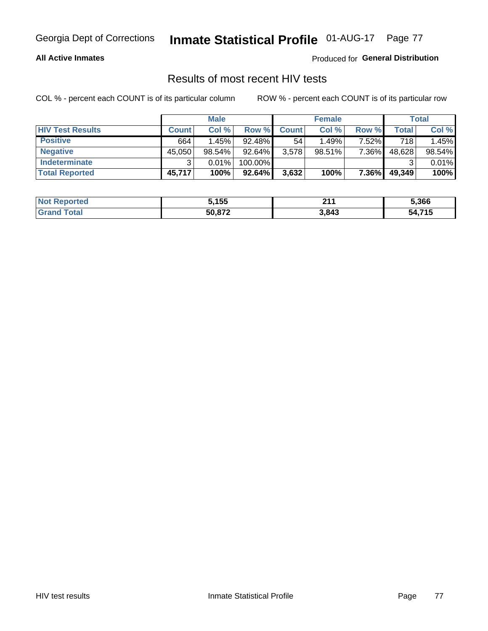#### **All Active Inmates**

Produced for **General Distribution**

### Results of most recent HIV tests

|                         |              | <b>Male</b> |           |              | <b>Female</b> |          |        | Total  |
|-------------------------|--------------|-------------|-----------|--------------|---------------|----------|--------|--------|
| <b>HIV Test Results</b> | <b>Count</b> | Col %       | Row %I    | <b>Count</b> | Col %         | Row %    | Total  | Col %  |
| <b>Positive</b>         | 664          | 1.45%       | $92.48\%$ | 54           | 1.49%         | $7.52\%$ | 718    | 1.45%  |
| <b>Negative</b>         | 45,050       | $98.54\%$   | 92.64%    | 3,578        | $98.51\%$     | 7.36%    | 48,628 | 98.54% |
| <b>Indeterminate</b>    | 2            | 0.01%       | 100.00%   |              |               |          |        | 0.01%  |
| <b>Total Reported</b>   | 45,717       | 100%        | 92.64%    | 3,632        | 100%          | 7.36%    | 49,349 | 100%   |

| <b>Not Reported</b> | 5,155  | 24/<br>4 L L | 5,366  |
|---------------------|--------|--------------|--------|
| Гоtal               | 50,872 | 3,843        | 54,715 |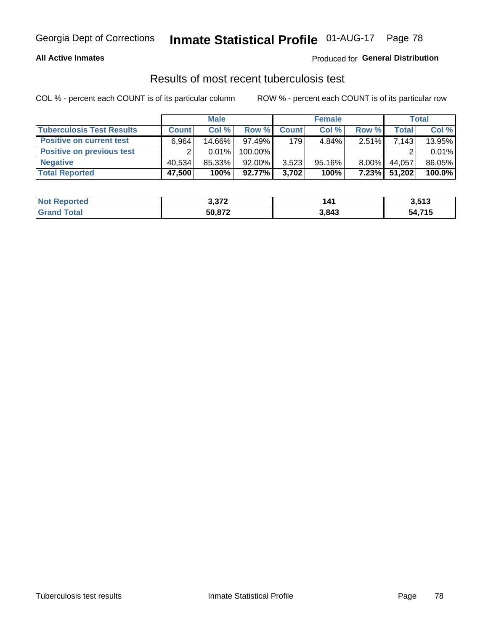#### **All Active Inmates**

#### Produced for **General Distribution**

### Results of most recent tuberculosis test

|                                  | <b>Male</b>  |           |           | <b>Female</b> |           |          | Total  |        |
|----------------------------------|--------------|-----------|-----------|---------------|-----------|----------|--------|--------|
| <b>Tuberculosis Test Results</b> | <b>Count</b> | Col%      | Row %     | <b>Count</b>  | Col %     | Row %    | Total  | Col %  |
| <b>Positive on current test</b>  | 6.964        | $14.66\%$ | $97.49\%$ | 179           | 4.84%     | 2.51%    | 7,143  | 13.95% |
| <b>Positive on previous test</b> | ົ            | $0.01\%$  | 100.00%   |               |           |          |        | 0.01%  |
| <b>Negative</b>                  | 40.534       | 85.33%    | $92.00\%$ | 3,523         | $95.16\%$ | $8.00\%$ | 44.057 | 86.05% |
| <b>Total Reported</b>            | 47,500       | 100%      | $92.77\%$ | 3,702         | 100%      | $7.23\%$ | 51,202 | 100.0% |

| <b>Not Reported</b>  | 3,372  | 141   | 3,513        |
|----------------------|--------|-------|--------------|
| <b>Total</b><br>Gran | 50,872 | 3,843 | 54,715<br>54 |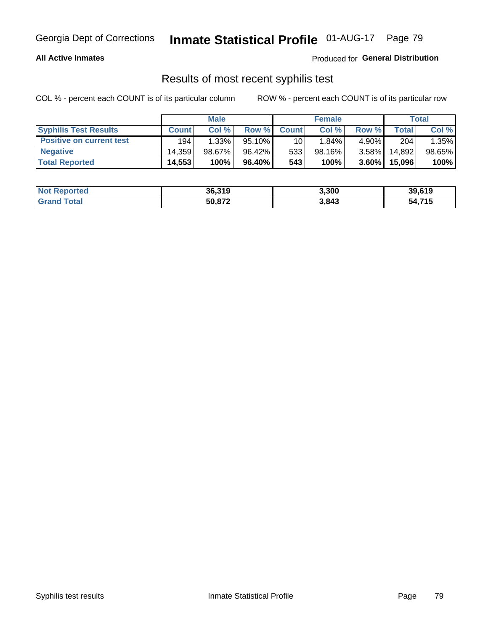#### **All Active Inmates**

Produced for **General Distribution**

### Results of most recent syphilis test

|                                 | <b>Male</b>  |           |           | <b>Female</b> |           |          | Total  |        |
|---------------------------------|--------------|-----------|-----------|---------------|-----------|----------|--------|--------|
| <b>Syphilis Test Results</b>    | <b>Count</b> | Col%      | Row %     | <b>Count</b>  | Col %     | Row %    | Total  | Col %  |
| <b>Positive on current test</b> | 194          | 1.33%     | $95.10\%$ | 10            | $1.84\%$  | $4.90\%$ | 204    | 1.35%  |
| <b>Negative</b>                 | 14.359       | $98.67\%$ | 96.42%    | 533           | $98.16\%$ | $3.58\%$ | 14.892 | 98.65% |
| <b>Total Reported</b>           | 14,553       | 100%      | 96.40% I  | 543           | 100%      | $3.60\%$ | 15,096 | 100%   |

| <b>Not Reported</b> | 36,319 | 3,300 | 39,619 |
|---------------------|--------|-------|--------|
| <b>Grand Total</b>  | 50.872 | 3,843 | 54,715 |